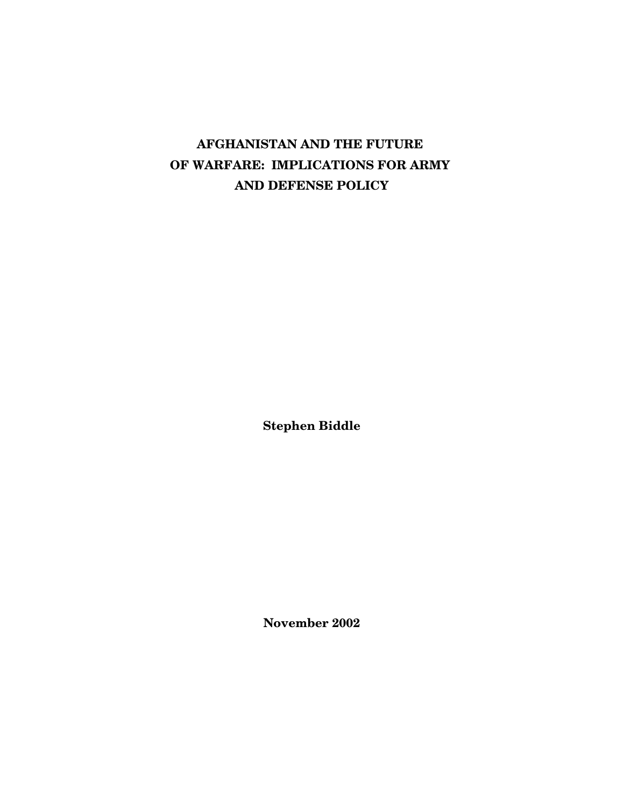# **AFGHANISTAN AND THE FUTURE OF WARFARE: IMPLICATIONS FOR ARMY AND DEFENSE POLICY**

**Stephen Biddle**

**November 2002**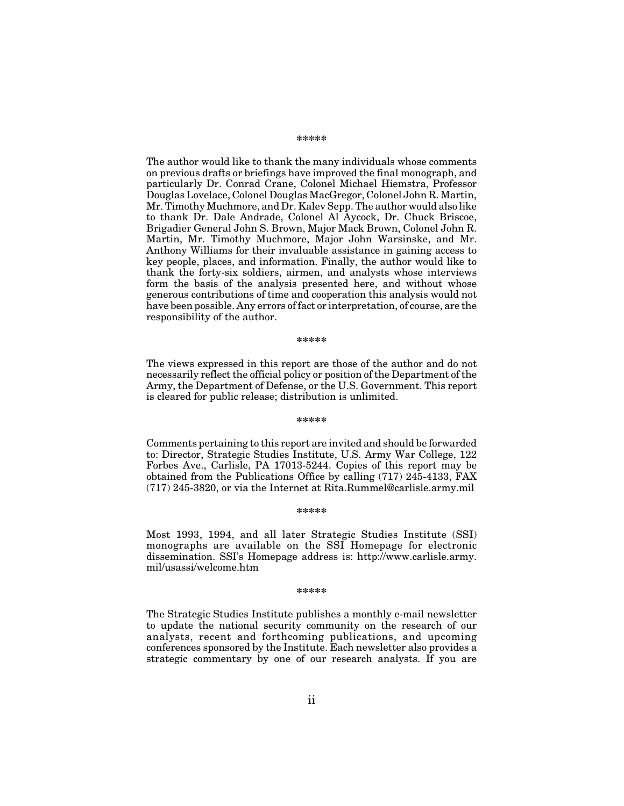#### **\*\*\*\*\***

The author would like to thank the many individuals whose comments on previous drafts or briefings have improved the final monograph, and particularly Dr. Conrad Crane, Colonel Michael Hiemstra, Professor Douglas Lovelace, Colonel Douglas MacGregor, Colonel John R. Martin, Mr. Timothy Muchmore, and Dr. Kalev Sepp. The author would also like to thank Dr. Dale Andrade, Colonel Al Aycock, Dr. Chuck Briscoe, Brigadier General John S. Brown, Major Mack Brown, Colonel John R. Martin, Mr. Timothy Muchmore, Major John Warsinske, and Mr. Anthony Williams for their invaluable assistance in gaining access to key people, places, and information. Finally, the author would like to thank the forty-six soldiers, airmen, and analysts whose interviews form the basis of the analysis presented here, and without whose generous contributions of time and cooperation this analysis would not have been possible. Any errors of fact or interpretation, of course, are the responsibility of the author.

#### **\*\*\*\*\***

The views expressed in this report are those of the author and do not necessarily reflect the official policy or position of the Department of the Army, the Department of Defense, or the U.S. Government. This report is cleared for public release; distribution is unlimited.

#### **\*\*\*\*\***

Comments pertaining to this report are invited and should be forwarded to: Director, Strategic Studies Institute, U.S. Army War College, 122 Forbes Ave., Carlisle, PA 17013-5244. Copies of this report may be obtained from the Publications Office by calling (717) 245-4133, FAX (717) 245-3820, or via the Internet at Rita.Rummel@carlisle.army.mil

#### **\*\*\*\*\***

Most 1993, 1994, and all later Strategic Studies Institute (SSI) monographs are available on the SSI Homepage for electronic dissemination. SSI's Homepage address is: http://www.carlisle.army. mil/usassi/welcome.htm

#### **\*\*\*\*\***

The Strategic Studies Institute publishes a monthly e-mail newsletter to update the national security community on the research of our analysts, recent and forthcoming publications, and upcoming conferences sponsored by the Institute. Each newsletter also provides a strategic commentary by one of our research analysts. If you are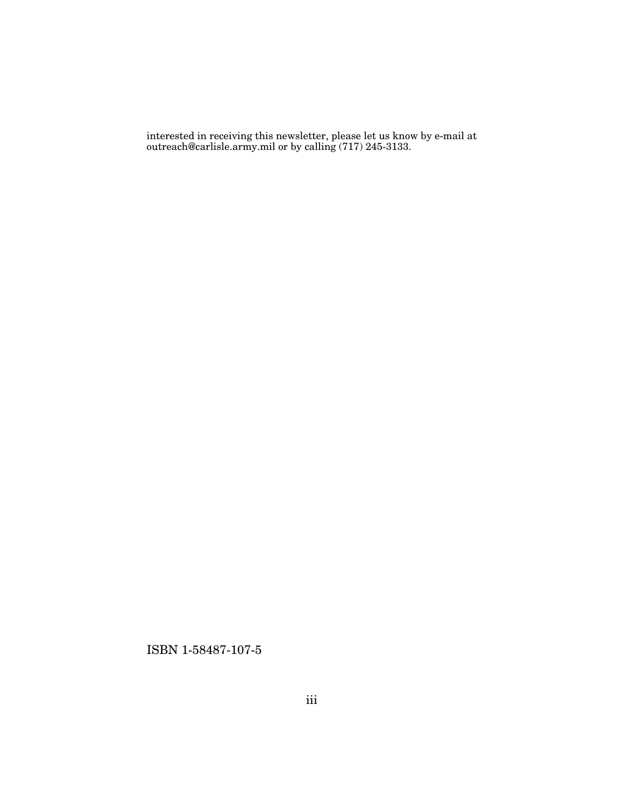interested in receiving this newsletter, please let us know by e-mail at outreach@carlisle.army.mil or by calling (717) 245-3133.

ISBN 1-58487-107-5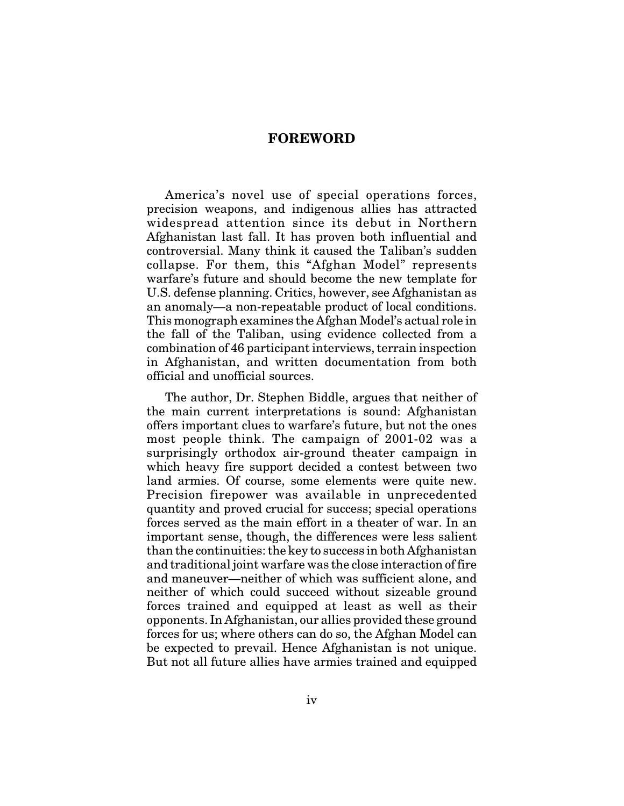#### **FOREWORD**

America's novel use of special operations forces, precision weapons, and indigenous allies has attracted widespread attention since its debut in Northern Afghanistan last fall. It has proven both influential and controversial. Many think it caused the Taliban's sudden collapse. For them, this "Afghan Model" represents warfare's future and should become the new template for U.S. defense planning. Critics, however, see Afghanistan as an anomaly—a non-repeatable product of local conditions. This monograph examines the Afghan Model's actual role in the fall of the Taliban, using evidence collected from a combination of 46 participant interviews, terrain inspection in Afghanistan, and written documentation from both official and unofficial sources.

The author, Dr. Stephen Biddle, argues that neither of the main current interpretations is sound: Afghanistan offers important clues to warfare's future, but not the ones most people think. The campaign of 2001-02 was a surprisingly orthodox air-ground theater campaign in which heavy fire support decided a contest between two land armies. Of course, some elements were quite new. Precision firepower was available in unprecedented quantity and proved crucial for success; special operations forces served as the main effort in a theater of war. In an important sense, though, the differences were less salient than the continuities: the key to success in both Afghanistan and traditional joint warfare was the close interaction of fire and maneuver—neither of which was sufficient alone, and neither of which could succeed without sizeable ground forces trained and equipped at least as well as their opponents. In Afghanistan, our allies provided these ground forces for us; where others can do so, the Afghan Model can be expected to prevail. Hence Afghanistan is not unique. But not all future allies have armies trained and equipped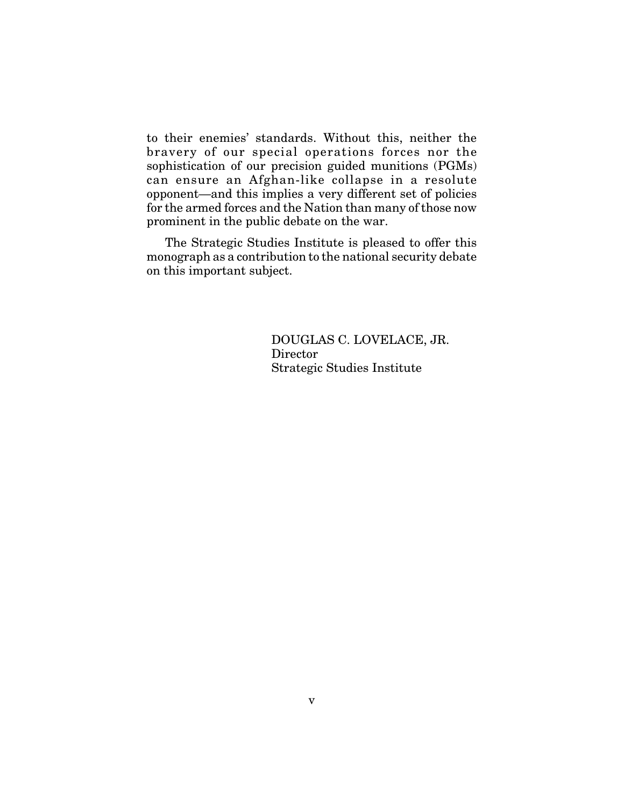to their enemies' standards. Without this, neither the bravery of our special operations forces nor the sophistication of our precision guided munitions (PGMs) can ensure an Afghan-like collapse in a resolute opponent—and this implies a very different set of policies for the armed forces and the Nation than many of those now prominent in the public debate on the war.

The Strategic Studies Institute is pleased to offer this monograph as a contribution to the national security debate on this important subject.

> DOUGLAS C. LOVELACE, JR. Director Strategic Studies Institute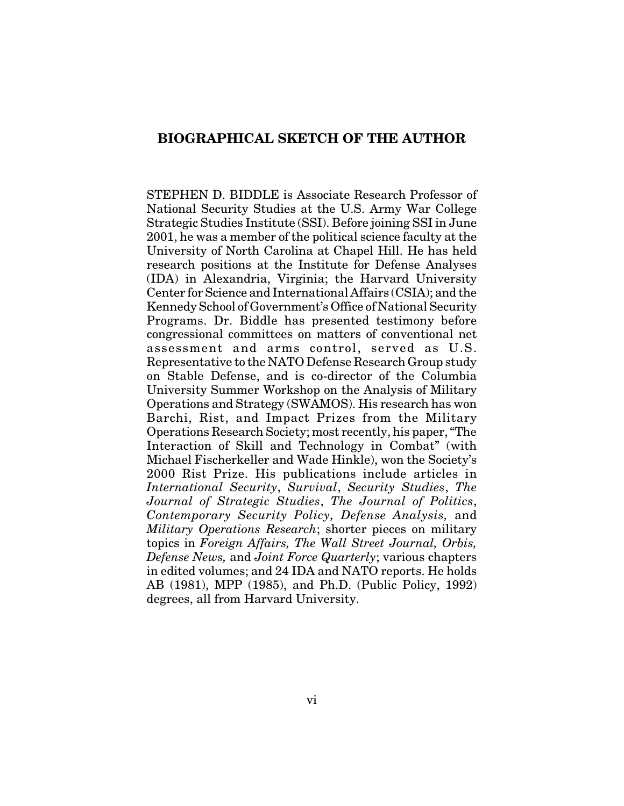### **BIOGRAPHICAL SKETCH OF THE AUTHOR**

STEPHEN D. BIDDLE is Associate Research Professor of National Security Studies at the U.S. Army War College Strategic Studies Institute (SSI). Before joining SSI in June 2001, he was a member of the political science faculty at the University of North Carolina at Chapel Hill. He has held research positions at the Institute for Defense Analyses (IDA) in Alexandria, Virginia; the Harvard University Center for Science and International Affairs (CSIA); and the Kennedy School of Government's Office of National Security Programs. Dr. Biddle has presented testimony before congressional committees on matters of conventional net assessment and arms control, served as U.S. Representative to the NATO Defense Research Group study on Stable Defense, and is co-director of the Columbia University Summer Workshop on the Analysis of Military Operations and Strategy (SWAMOS). His research has won Barchi, Rist, and Impact Prizes from the Military Operations Research Society; most recently, his paper, "The Interaction of Skill and Technology in Combat" (with Michael Fischerkeller and Wade Hinkle), won the Society's 2000 Rist Prize. His publications include articles in *International Security*, *Survival*, *Security Studies*, *The Journal of Strategic Studies*, *The Journal of Politics*, *Contemporary Security Policy, Defense Analysis,* and *Military Operations Research*; shorter pieces on military topics in *Foreign Affairs, The Wall Street Journal, Orbis, Defense News,* and *Joint Force Quarterly*; various chapters in edited volumes; and 24 IDA and NATO reports. He holds AB (1981), MPP (1985), and Ph.D. (Public Policy, 1992) degrees, all from Harvard University.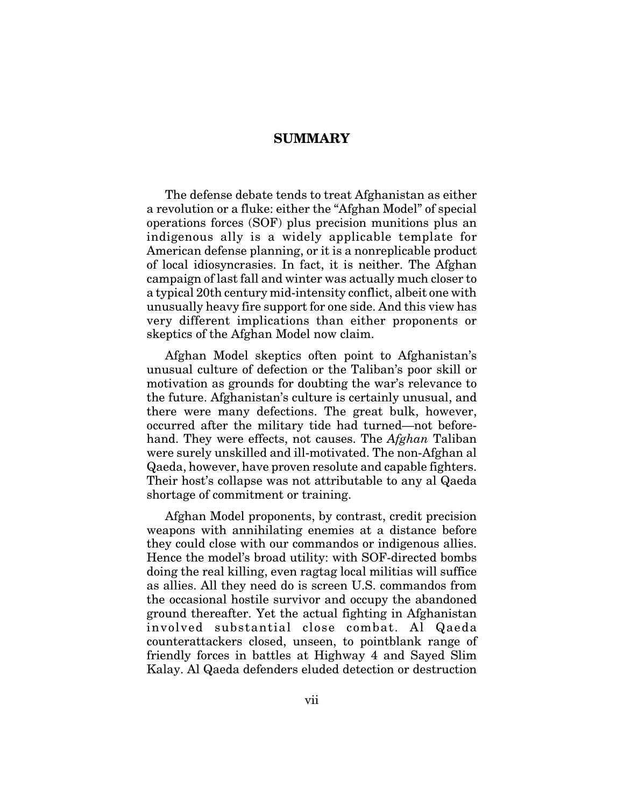### **SUMMARY**

The defense debate tends to treat Afghanistan as either a revolution or a fluke: either the "Afghan Model" of special operations forces (SOF) plus precision munitions plus an indigenous ally is a widely applicable template for American defense planning, or it is a nonreplicable product of local idiosyncrasies. In fact, it is neither. The Afghan campaign of last fall and winter was actually much closer to a typical 20th century mid-intensity conflict, albeit one with unusually heavy fire support for one side. And this view has very different implications than either proponents or skeptics of the Afghan Model now claim.

Afghan Model skeptics often point to Afghanistan's unusual culture of defection or the Taliban's poor skill or motivation as grounds for doubting the war's relevance to the future. Afghanistan's culture is certainly unusual, and there were many defections. The great bulk, however, occurred after the military tide had turned—not beforehand. They were effects, not causes. The *Afghan* Taliban were surely unskilled and ill-motivated. The non-Afghan al Qaeda, however, have proven resolute and capable fighters. Their host's collapse was not attributable to any al Qaeda shortage of commitment or training.

Afghan Model proponents, by contrast, credit precision weapons with annihilating enemies at a distance before they could close with our commandos or indigenous allies. Hence the model's broad utility: with SOF-directed bombs doing the real killing, even ragtag local militias will suffice as allies. All they need do is screen U.S. commandos from the occasional hostile survivor and occupy the abandoned ground thereafter. Yet the actual fighting in Afghanistan involved substantial close combat. Al Qaeda counterattackers closed, unseen, to pointblank range of friendly forces in battles at Highway 4 and Sayed Slim Kalay. Al Qaeda defenders eluded detection or destruction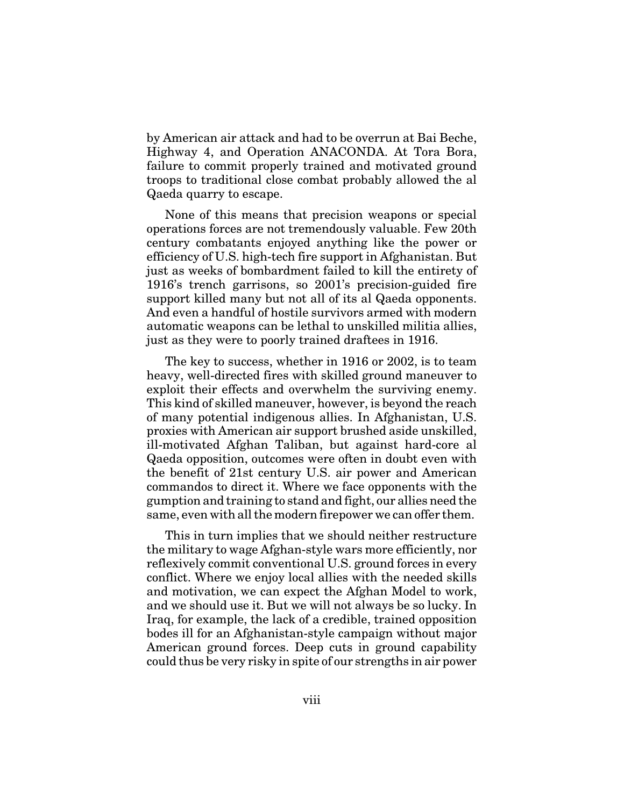by American air attack and had to be overrun at Bai Beche, Highway 4, and Operation ANACONDA. At Tora Bora, failure to commit properly trained and motivated ground troops to traditional close combat probably allowed the al Qaeda quarry to escape.

None of this means that precision weapons or special operations forces are not tremendously valuable. Few 20th century combatants enjoyed anything like the power or efficiency of U.S. high-tech fire support in Afghanistan. But just as weeks of bombardment failed to kill the entirety of 1916's trench garrisons, so 2001's precision-guided fire support killed many but not all of its al Qaeda opponents. And even a handful of hostile survivors armed with modern automatic weapons can be lethal to unskilled militia allies, just as they were to poorly trained draftees in 1916.

The key to success, whether in 1916 or 2002, is to team heavy, well-directed fires with skilled ground maneuver to exploit their effects and overwhelm the surviving enemy. This kind of skilled maneuver, however, is beyond the reach of many potential indigenous allies. In Afghanistan, U.S. proxies with American air support brushed aside unskilled, ill-motivated Afghan Taliban, but against hard-core al Qaeda opposition, outcomes were often in doubt even with the benefit of 21st century U.S. air power and American commandos to direct it. Where we face opponents with the gumption and training to stand and fight, our allies need the same, even with all the modern firepower we can offer them.

This in turn implies that we should neither restructure the military to wage Afghan-style wars more efficiently, nor reflexively commit conventional U.S. ground forces in every conflict. Where we enjoy local allies with the needed skills and motivation, we can expect the Afghan Model to work, and we should use it. But we will not always be so lucky. In Iraq, for example, the lack of a credible, trained opposition bodes ill for an Afghanistan-style campaign without major American ground forces. Deep cuts in ground capability could thus be very risky in spite of our strengths in air power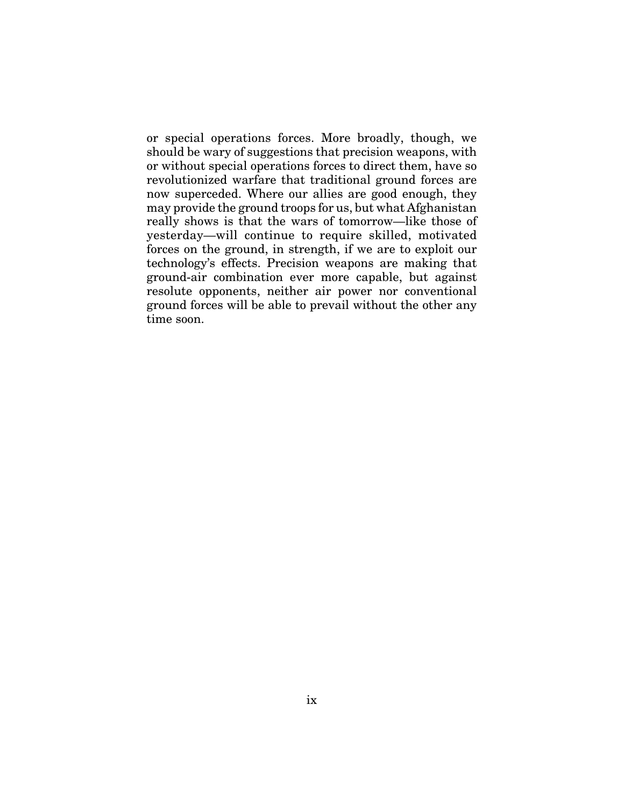or special operations forces. More broadly, though, we should be wary of suggestions that precision weapons, with or without special operations forces to direct them, have so revolutionized warfare that traditional ground forces are now superceded. Where our allies are good enough, they may provide the ground troops for us, but what Afghanistan really shows is that the wars of tomorrow—like those of yesterday—will continue to require skilled, motivated forces on the ground, in strength, if we are to exploit our technology's effects. Precision weapons are making that ground-air combination ever more capable, but against resolute opponents, neither air power nor conventional ground forces will be able to prevail without the other any time soon.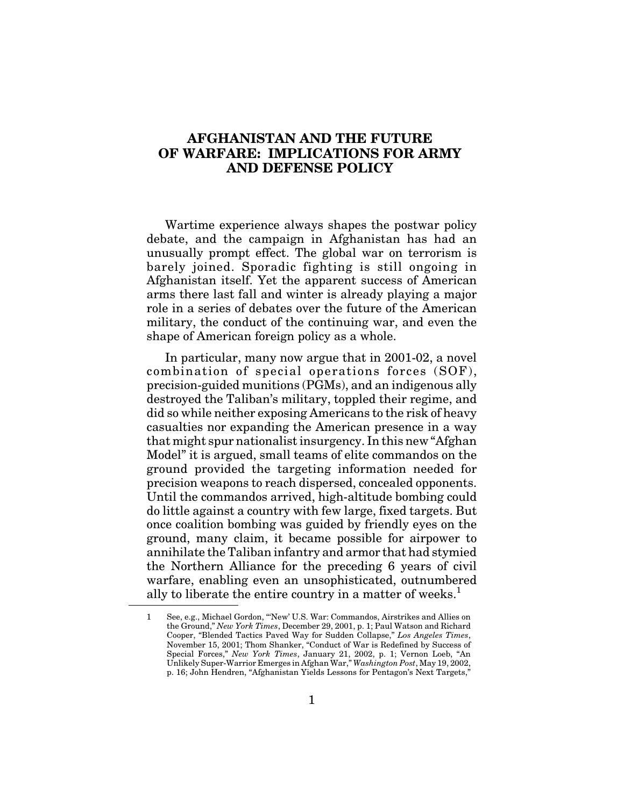# **AFGHANISTAN AND THE FUTURE OF WARFARE: IMPLICATIONS FOR ARMY AND DEFENSE POLICY**

Wartime experience always shapes the postwar policy debate, and the campaign in Afghanistan has had an unusually prompt effect. The global war on terrorism is barely joined. Sporadic fighting is still ongoing in Afghanistan itself. Yet the apparent success of American arms there last fall and winter is already playing a major role in a series of debates over the future of the American military, the conduct of the continuing war, and even the shape of American foreign policy as a whole.

In particular, many now argue that in 2001-02, a novel combination of special operations forces (SOF), precision-guided munitions (PGMs), and an indigenous ally destroyed the Taliban's military, toppled their regime, and did so while neither exposing Americans to the risk of heavy casualties nor expanding the American presence in a way that might spur nationalist insurgency. In this new "Afghan Model" it is argued, small teams of elite commandos on the ground provided the targeting information needed for precision weapons to reach dispersed, concealed opponents. Until the commandos arrived, high-altitude bombing could do little against a country with few large, fixed targets. But once coalition bombing was guided by friendly eyes on the ground, many claim, it became possible for airpower to annihilate the Taliban infantry and armor that had stymied the Northern Alliance for the preceding 6 years of civil warfare, enabling even an unsophisticated, outnumbered ally to liberate the entire country in a matter of weeks. $<sup>1</sup>$ </sup>

<sup>1</sup> See, e.g., Michael Gordon, "'New' U.S. War: Commandos, Airstrikes and Allies on the Ground," *New York Times*, December 29, 2001, p. 1; Paul Watson and Richard Cooper, "Blended Tactics Paved Way for Sudden Collapse," *Los Angeles Times*, November 15, 2001; Thom Shanker, "Conduct of War is Redefined by Success of Special Forces," *New York Times*, January 21, 2002, p. 1; Vernon Loeb, "An Unlikely Super-Warrior Emerges in Afghan War," *Washington Post*, May 19, 2002, p. 16; John Hendren, "Afghanistan Yields Lessons for Pentagon's Next Targets,"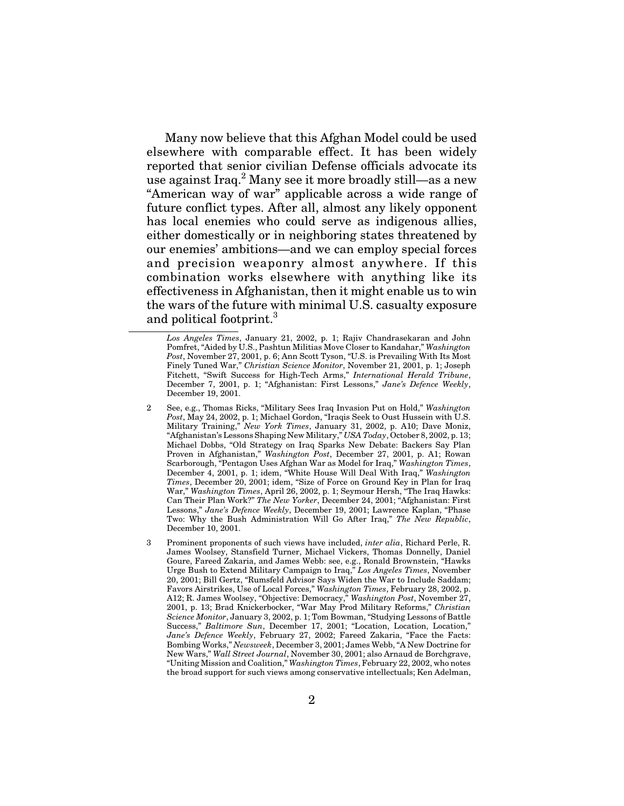Many now believe that this Afghan Model could be used elsewhere with comparable effect. It has been widely reported that senior civilian Defense officials advocate its use against  $\text{Iraq.}^2$  Many see it more broadly still—as a new "American way of war" applicable across a wide range of future conflict types. After all, almost any likely opponent has local enemies who could serve as indigenous allies, either domestically or in neighboring states threatened by our enemies' ambitions—and we can employ special forces and precision weaponry almost anywhere. If this combination works elsewhere with anything like its effectiveness in Afghanistan, then it might enable us to win the wars of the future with minimal U.S. casualty exposure and political footprint.<sup>3</sup>

*Los Angeles Times*, January 21, 2002, p. 1; Rajiv Chandrasekaran and John Pomfret, "Aided by U.S., Pashtun Militias Move Closer to Kandahar," *Washington Post*, November 27, 2001, p. 6; Ann Scott Tyson, "U.S. is Prevailing With Its Most Finely Tuned War," *Christian Science Monitor*, November 21, 2001, p. 1; Joseph Fitchett, "Swift Success for High-Tech Arms," *International Herald Tribune*, December 7, 2001, p. 1; "Afghanistan: First Lessons," *Jane's Defence Weekly*, December 19, 2001.

<sup>2</sup> See, e.g., Thomas Ricks, "Military Sees Iraq Invasion Put on Hold," *Washington Post*, May 24, 2002, p. 1; Michael Gordon, "Iraqis Seek to Oust Hussein with U.S. Military Training," *New York Times*, January 31, 2002, p. A10; Dave Moniz, "Afghanistan's Lessons Shaping New Military," *USA Today*, October 8, 2002, p. 13; Michael Dobbs, "Old Strategy on Iraq Sparks New Debate: Backers Say Plan Proven in Afghanistan," *Washington Post*, December 27, 2001, p. A1; Rowan Scarborough, "Pentagon Uses Afghan War as Model for Iraq," *Washington Times*, December 4, 2001, p. 1; idem, "White House Will Deal With Iraq," *Washington Times*, December 20, 2001; idem, "Size of Force on Ground Key in Plan for Iraq War," *Washington Times*, April 26, 2002, p. 1; Seymour Hersh, "The Iraq Hawks: Can Their Plan Work?" *The New Yorker*, December 24, 2001; "Afghanistan: First Lessons," *Jane's Defence Weekly*, December 19, 2001; Lawrence Kaplan, "Phase Two: Why the Bush Administration Will Go After Iraq," *The New Republic*, December 10, 2001.

<sup>3</sup> Prominent proponents of such views have included, *inter alia*, Richard Perle, R. James Woolsey, Stansfield Turner, Michael Vickers, Thomas Donnelly, Daniel Goure, Fareed Zakaria, and James Webb: see, e.g., Ronald Brownstein, "Hawks Urge Bush to Extend Military Campaign to Iraq," *Los Angeles Times*, November 20, 2001; Bill Gertz, "Rumsfeld Advisor Says Widen the War to Include Saddam; Favors Airstrikes, Use of Local Forces," *Washington Times*, February 28, 2002, p. A12; R. James Woolsey, "Objective: Democracy," *Washington Post*, November 27, 2001, p. 13; Brad Knickerbocker, "War May Prod Military Reforms," *Christian Science Monitor*, January 3, 2002, p. 1; Tom Bowman, "Studying Lessons of Battle Success," *Baltimore Sun*, December 17, 2001; "Location, Location, Location," *Jane's Defence Weekly*, February 27, 2002; Fareed Zakaria, "Face the Facts: Bombing Works," *Newsweek*, December 3, 2001; James Webb, "A New Doctrine for New Wars," *Wall Street Journal*, November 30, 2001; also Arnaud de Borchgrave, "Uniting Mission and Coalition," *Washington Times*, February 22, 2002, who notes the broad support for such views among conservative intellectuals; Ken Adelman,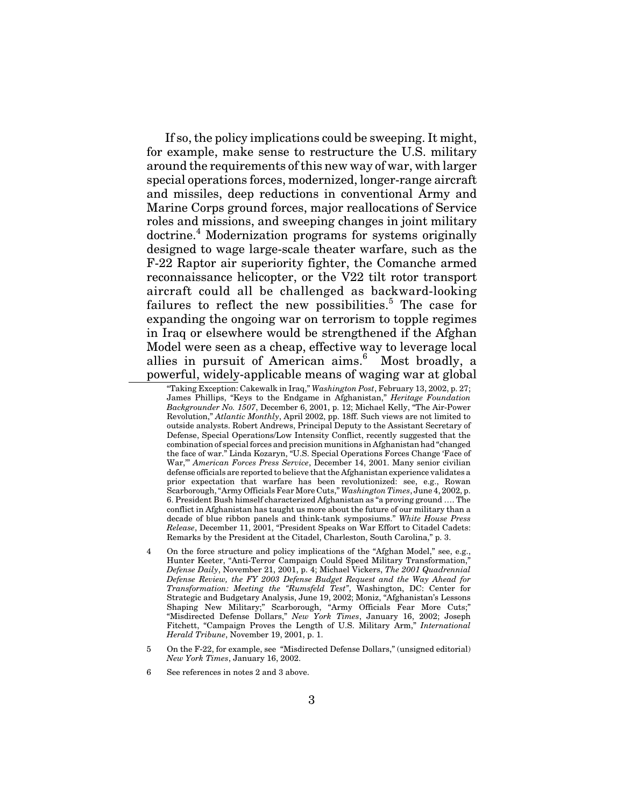If so, the policy implications could be sweeping. It might, for example, make sense to restructure the U.S. military around the requirements of this new way of war, with larger special operations forces, modernized, longer-range aircraft and missiles, deep reductions in conventional Army and Marine Corps ground forces, major reallocations of Service roles and missions, and sweeping changes in joint military doctrine.<sup>4</sup> Modernization programs for systems originally designed to wage large-scale theater warfare, such as the F-22 Raptor air superiority fighter, the Comanche armed reconnaissance helicopter, or the V22 tilt rotor transport aircraft could all be challenged as backward-looking failures to reflect the new possibilities.<sup>5</sup> The case for expanding the ongoing war on terrorism to topple regimes in Iraq or elsewhere would be strengthened if the Afghan Model were seen as a cheap, effective way to leverage local allies in pursuit of American aims.<sup>6</sup> Most broadly, a powerful, widely-applicable means of waging war at global

"Taking Exception: Cakewalk in Iraq," *Washington Post*, February 13, 2002, p. 27; James Phillips, "Keys to the Endgame in Afghanistan," *Heritage Foundation Backgrounder No. 1507*, December 6, 2001, p. 12; Michael Kelly, "The Air-Power Revolution," *Atlantic Monthly*, April 2002, pp. 18ff. Such views are not limited to outside analysts. Robert Andrews, Principal Deputy to the Assistant Secretary of Defense, Special Operations/Low Intensity Conflict, recently suggested that the combination of special forces and precision munitions in Afghanistan had "changed the face of war." Linda Kozaryn, "U.S. Special Operations Forces Change 'Face of War,'" *American Forces Press Service*, December 14, 2001. Many senior civilian defense officials are reported to believe that the Afghanistan experience validates a prior expectation that warfare has been revolutionized: see, e.g., Rowan Scarborough, "Army Officials Fear More Cuts," *Washington Times*, June 4, 2002, p. 6. President Bush himself characterized Afghanistan as "a proving ground …. The conflict in Afghanistan has taught us more about the future of our military than a decade of blue ribbon panels and think-tank symposiums." *White House Press Release*, December 11, 2001, "President Speaks on War Effort to Citadel Cadets: Remarks by the President at the Citadel, Charleston, South Carolina," p. 3.

- 4 On the force structure and policy implications of the "Afghan Model," see, e.g., Hunter Keeter, "Anti-Terror Campaign Could Speed Military Transformation, *Defense Daily*, November 21, 2001, p. 4; Michael Vickers, *The 2001 Quadrennial Defense Review, the FY 2003 Defense Budget Request and the Way Ahead for Transformation: Meeting the "Rumsfeld Test"*, Washington, DC: Center for Strategic and Budgetary Analysis, June 19, 2002; Moniz, "Afghanistan's Lessons Shaping New Military;" Scarborough, "Army Officials Fear More Cuts;" "Misdirected Defense Dollars," *New York Times*, January 16, 2002; Joseph Fitchett, "Campaign Proves the Length of U.S. Military Arm," *International Herald Tribune*, November 19, 2001, p. 1.
- 5 On the F-22, for example, see "Misdirected Defense Dollars," (unsigned editorial) *New York Times*, January 16, 2002.
- 6 See references in notes 2 and 3 above.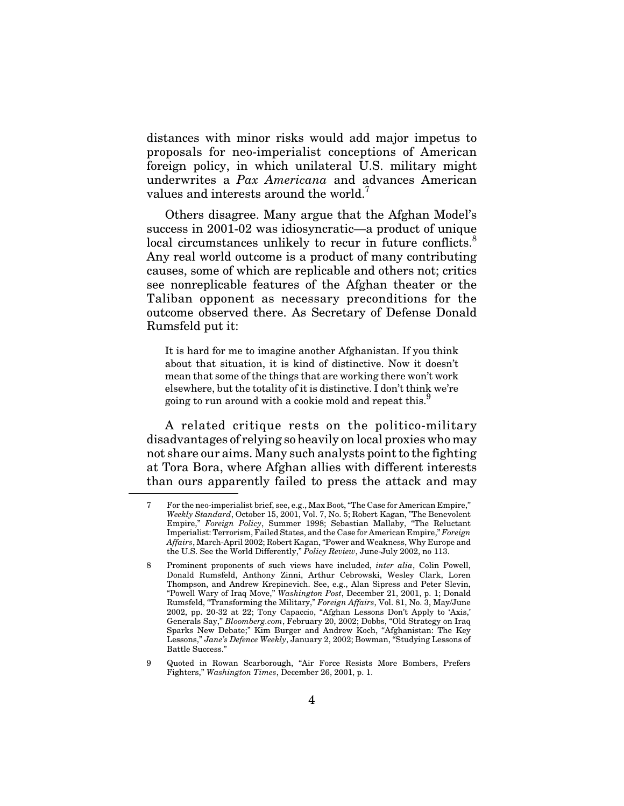distances with minor risks would add major impetus to proposals for neo-imperialist conceptions of American foreign policy, in which unilateral U.S. military might underwrites a *Pax Americana* and advances American values and interests around the world.<sup>7</sup>

Others disagree. Many argue that the Afghan Model's success in 2001-02 was idiosyncratic—a product of unique local circumstances unlikely to recur in future conflicts.<sup>8</sup> Any real world outcome is a product of many contributing causes, some of which are replicable and others not; critics see nonreplicable features of the Afghan theater or the Taliban opponent as necessary preconditions for the outcome observed there. As Secretary of Defense Donald Rumsfeld put it:

It is hard for me to imagine another Afghanistan. If you think about that situation, it is kind of distinctive. Now it doesn't mean that some of the things that are working there won't work elsewhere, but the totality of it is distinctive. I don't think we're going to run around with a cookie mold and repeat this.<sup>9</sup>

A related critique rests on the politico-military disadvantages of relying so heavily on local proxies who may not share our aims. Many such analysts point to the fighting at Tora Bora, where Afghan allies with different interests than ours apparently failed to press the attack and may

<sup>7</sup> For the neo-imperialist brief, see, e.g., Max Boot, "The Case for American Empire," *Weekly Standard*, October 15, 2001, Vol. 7, No. 5; Robert Kagan, "The Benevolent Empire," *Foreign Policy*, Summer 1998; Sebastian Mallaby, "The Reluctant Imperialist: Terrorism, Failed States, and the Case for American Empire," *Foreign Affairs*, March-April 2002; Robert Kagan, "Power and Weakness, Why Europe and the U.S. See the World Differently," *Policy Review*, June-July 2002, no 113.

<sup>8</sup> Prominent proponents of such views have included, *inter alia*, Colin Powell, Donald Rumsfeld, Anthony Zinni, Arthur Cebrowski, Wesley Clark, Loren Thompson, and Andrew Krepinevich. See, e.g., Alan Sipress and Peter Slevin, "Powell Wary of Iraq Move," *Washington Post*, December 21, 2001, p. 1; Donald Rumsfeld, "Transforming the Military," *Foreign Affairs*, Vol. 81, No. 3, May/June 2002, pp. 20-32 at 22; Tony Capaccio, "Afghan Lessons Don't Apply to 'Axis,' Generals Say," *Bloomberg.com*, February 20, 2002; Dobbs, "Old Strategy on Iraq Sparks New Debate;" Kim Burger and Andrew Koch, "Afghanistan: The Key Lessons," *Jane's Defence Weekly*, January 2, 2002; Bowman, "Studying Lessons of Battle Success.'

<sup>9</sup> Quoted in Rowan Scarborough, "Air Force Resists More Bombers, Prefers Fighters," *Washington Times*, December 26, 2001, p. 1.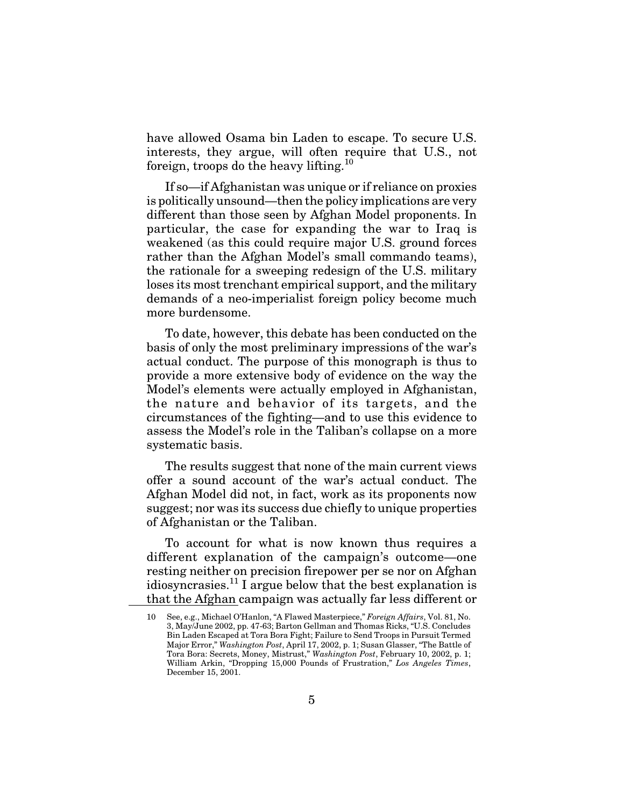have allowed Osama bin Laden to escape. To secure U.S. interests, they argue, will often require that U.S., not foreign, troops do the heavy lifting.<sup>10</sup>

If so—if Afghanistan was unique or if reliance on proxies is politically unsound—then the policy implications are very different than those seen by Afghan Model proponents. In particular, the case for expanding the war to Iraq is weakened (as this could require major U.S. ground forces rather than the Afghan Model's small commando teams), the rationale for a sweeping redesign of the U.S. military loses its most trenchant empirical support, and the military demands of a neo-imperialist foreign policy become much more burdensome.

To date, however, this debate has been conducted on the basis of only the most preliminary impressions of the war's actual conduct. The purpose of this monograph is thus to provide a more extensive body of evidence on the way the Model's elements were actually employed in Afghanistan, the nature and behavior of its targets, and the circumstances of the fighting—and to use this evidence to assess the Model's role in the Taliban's collapse on a more systematic basis.

The results suggest that none of the main current views offer a sound account of the war's actual conduct. The Afghan Model did not, in fact, work as its proponents now suggest; nor was its success due chiefly to unique properties of Afghanistan or the Taliban.

To account for what is now known thus requires a different explanation of the campaign's outcome—one resting neither on precision firepower per se nor on Afghan idiosyncrasies.<sup>11</sup> I argue below that the best explanation is that the Afghan campaign was actually far less different or

<sup>10</sup> See, e.g., Michael O'Hanlon, "A Flawed Masterpiece," *Foreign Affairs*, Vol. 81, No. 3, May/June 2002, pp. 47-63; Barton Gellman and Thomas Ricks, "U.S. Concludes Bin Laden Escaped at Tora Bora Fight; Failure to Send Troops in Pursuit Termed Major Error," *Washington Post*, April 17, 2002, p. 1; Susan Glasser, "The Battle of Tora Bora: Secrets, Money, Mistrust," *Washington Post*, February 10, 2002, p. 1; William Arkin, "Dropping 15,000 Pounds of Frustration," *Los Angeles Times*, December 15, 2001.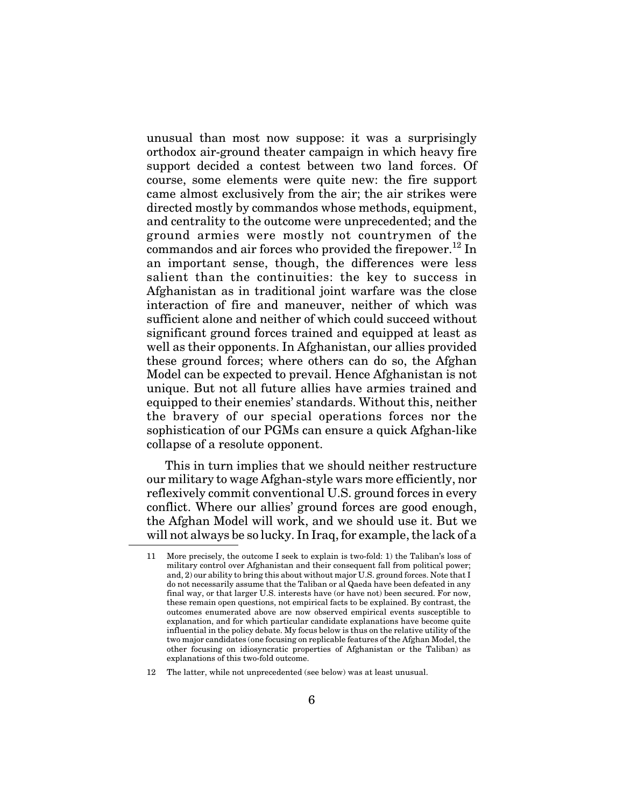unusual than most now suppose: it was a surprisingly orthodox air-ground theater campaign in which heavy fire support decided a contest between two land forces. Of course, some elements were quite new: the fire support came almost exclusively from the air; the air strikes were directed mostly by commandos whose methods, equipment, and centrality to the outcome were unprecedented; and the ground armies were mostly not countrymen of the commandos and air forces who provided the firepower.<sup>12</sup> In an important sense, though, the differences were less salient than the continuities: the key to success in Afghanistan as in traditional joint warfare was the close interaction of fire and maneuver, neither of which was sufficient alone and neither of which could succeed without significant ground forces trained and equipped at least as well as their opponents. In Afghanistan, our allies provided these ground forces; where others can do so, the Afghan Model can be expected to prevail. Hence Afghanistan is not unique. But not all future allies have armies trained and equipped to their enemies' standards. Without this, neither the bravery of our special operations forces nor the sophistication of our PGMs can ensure a quick Afghan-like collapse of a resolute opponent.

This in turn implies that we should neither restructure our military to wage Afghan-style wars more efficiently, nor reflexively commit conventional U.S. ground forces in every conflict. Where our allies' ground forces are good enough, the Afghan Model will work, and we should use it. But we will not always be so lucky. In Iraq, for example, the lack of a

<sup>11</sup> More precisely, the outcome I seek to explain is two-fold: 1) the Taliban's loss of military control over Afghanistan and their consequent fall from political power; and, 2) our ability to bring this about without major U.S. ground forces. Note that I do not necessarily assume that the Taliban or al Qaeda have been defeated in any final way, or that larger U.S. interests have (or have not) been secured. For now, these remain open questions, not empirical facts to be explained. By contrast, the outcomes enumerated above are now observed empirical events susceptible to explanation, and for which particular candidate explanations have become quite influential in the policy debate. My focus below is thus on the relative utility of the two major candidates (one focusing on replicable features of the Afghan Model, the other focusing on idiosyncratic properties of Afghanistan or the Taliban) as explanations of this two-fold outcome.

<sup>12</sup> The latter, while not unprecedented (see below) was at least unusual.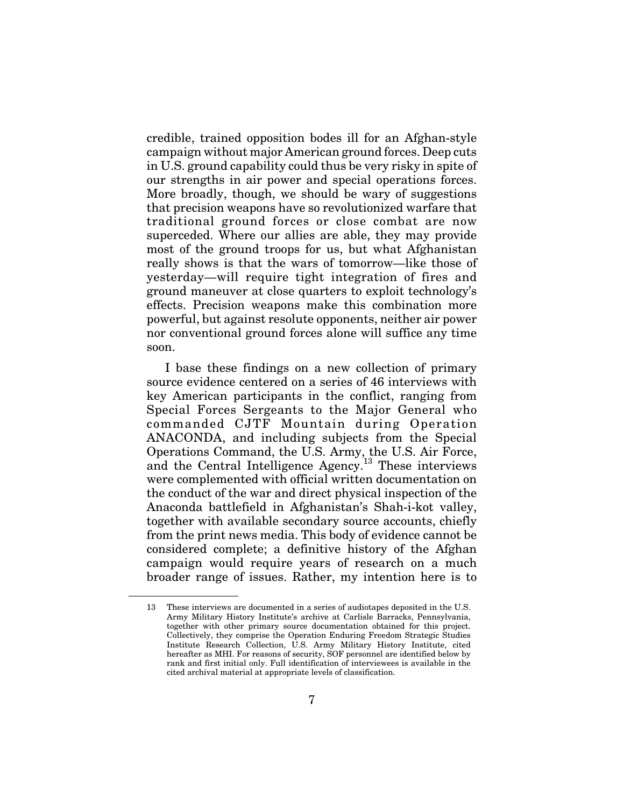credible, trained opposition bodes ill for an Afghan-style campaign without major American ground forces. Deep cuts in U.S. ground capability could thus be very risky in spite of our strengths in air power and special operations forces. More broadly, though, we should be wary of suggestions that precision weapons have so revolutionized warfare that traditional ground forces or close combat are now superceded. Where our allies are able, they may provide most of the ground troops for us, but what Afghanistan really shows is that the wars of tomorrow—like those of yesterday—will require tight integration of fires and ground maneuver at close quarters to exploit technology's effects. Precision weapons make this combination more powerful, but against resolute opponents, neither air power nor conventional ground forces alone will suffice any time soon.

I base these findings on a new collection of primary source evidence centered on a series of 46 interviews with key American participants in the conflict, ranging from Special Forces Sergeants to the Major General who commanded CJTF Mountain during Operation ANACONDA, and including subjects from the Special Operations Command, the U.S. Army, the U.S. Air Force, and the Central Intelligence Agency.<sup>13</sup> These interviews were complemented with official written documentation on the conduct of the war and direct physical inspection of the Anaconda battlefield in Afghanistan's Shah-i-kot valley, together with available secondary source accounts, chiefly from the print news media. This body of evidence cannot be considered complete; a definitive history of the Afghan campaign would require years of research on a much broader range of issues. Rather, my intention here is to

<sup>13</sup> These interviews are documented in a series of audiotapes deposited in the U.S. Army Military History Institute's archive at Carlisle Barracks, Pennsylvania, together with other primary source documentation obtained for this project. Collectively, they comprise the Operation Enduring Freedom Strategic Studies Institute Research Collection, U.S. Army Military History Institute, cited hereafter as MHI. For reasons of security, SOF personnel are identified below by rank and first initial only. Full identification of interviewees is available in the cited archival material at appropriate levels of classification.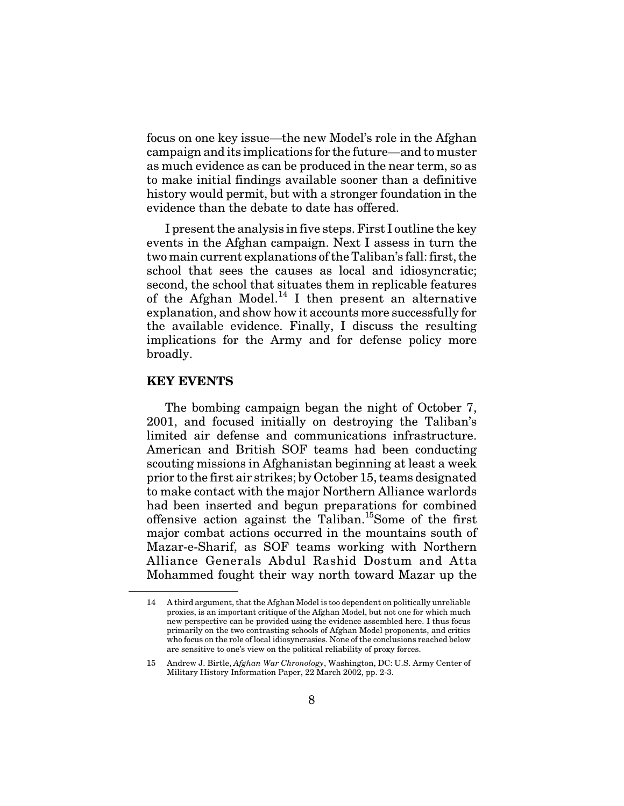focus on one key issue—the new Model's role in the Afghan campaign and its implications for the future—and to muster as much evidence as can be produced in the near term, so as to make initial findings available sooner than a definitive history would permit, but with a stronger foundation in the evidence than the debate to date has offered.

I present the analysis in five steps. First I outline the key events in the Afghan campaign. Next I assess in turn the two main current explanations of the Taliban's fall: first, the school that sees the causes as local and idiosyncratic; second, the school that situates them in replicable features of the Afghan Model.<sup>14</sup> I then present an alternative explanation, and show how it accounts more successfully for the available evidence. Finally, I discuss the resulting implications for the Army and for defense policy more broadly.

#### **KEY EVENTS**

The bombing campaign began the night of October 7, 2001, and focused initially on destroying the Taliban's limited air defense and communications infrastructure. American and British SOF teams had been conducting scouting missions in Afghanistan beginning at least a week prior to the first air strikes; by October 15, teams designated to make contact with the major Northern Alliance warlords had been inserted and begun preparations for combined offensive action against the Taliban.15Some of the first major combat actions occurred in the mountains south of Mazar-e-Sharif, as SOF teams working with Northern Alliance Generals Abdul Rashid Dostum and Atta Mohammed fought their way north toward Mazar up the

<sup>14</sup> A third argument, that the Afghan Model is too dependent on politically unreliable proxies, is an important critique of the Afghan Model, but not one for which much new perspective can be provided using the evidence assembled here. I thus focus primarily on the two contrasting schools of Afghan Model proponents, and critics who focus on the role of local idiosyncrasies. None of the conclusions reached below are sensitive to one's view on the political reliability of proxy forces.

<sup>15</sup> Andrew J. Birtle, *Afghan War Chronology*, Washington, DC: U.S. Army Center of Military History Information Paper, 22 March 2002, pp. 2-3.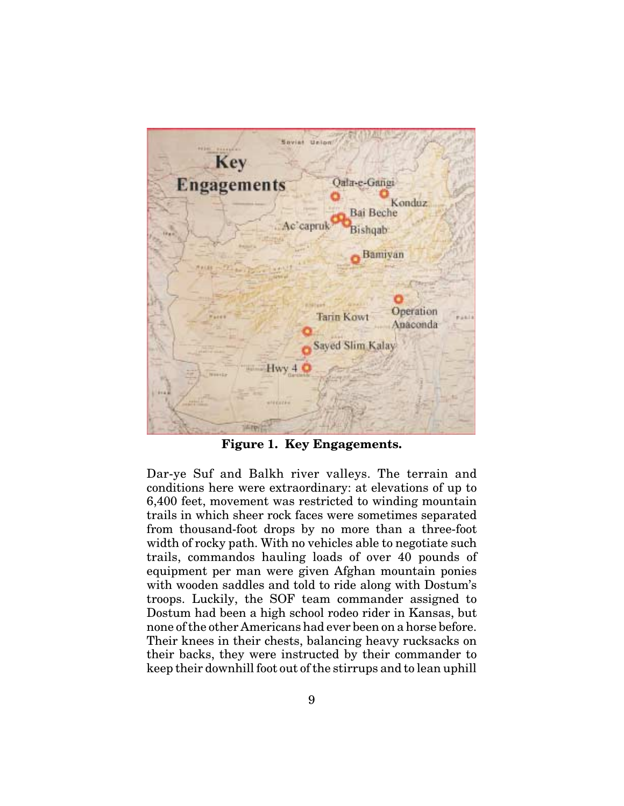

**Figure 1. Key Engagements.**

Dar-ye Suf and Balkh river valleys. The terrain and conditions here were extraordinary: at elevations of up to 6,400 feet, movement was restricted to winding mountain trails in which sheer rock faces were sometimes separated from thousand-foot drops by no more than a three-foot width of rocky path. With no vehicles able to negotiate such trails, commandos hauling loads of over 40 pounds of equipment per man were given Afghan mountain ponies with wooden saddles and told to ride along with Dostum's troops. Luckily, the SOF team commander assigned to Dostum had been a high school rodeo rider in Kansas, but none of the other Americans had ever been on a horse before. Their knees in their chests, balancing heavy rucksacks on their backs, they were instructed by their commander to keep their downhill foot out of the stirrups and to lean uphill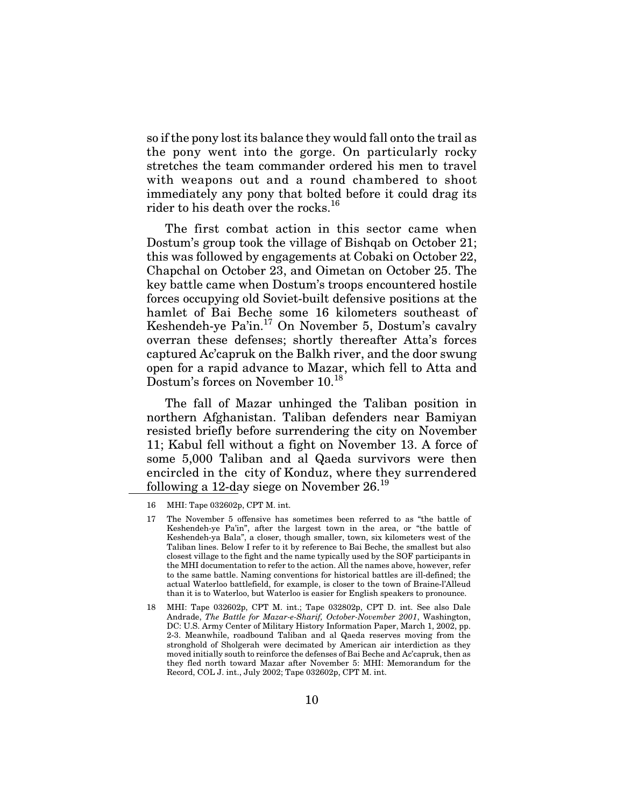so if the pony lost its balance they would fall onto the trail as the pony went into the gorge. On particularly rocky stretches the team commander ordered his men to travel with weapons out and a round chambered to shoot immediately any pony that bolted before it could drag its rider to his death over the rocks.<sup>16</sup>

The first combat action in this sector came when Dostum's group took the village of Bishqab on October 21; this was followed by engagements at Cobaki on October 22, Chapchal on October 23, and Oimetan on October 25. The key battle came when Dostum's troops encountered hostile forces occupying old Soviet-built defensive positions at the hamlet of Bai Beche some 16 kilometers southeast of Keshendeh-ye Pa'in.17 On November 5, Dostum's cavalry overran these defenses; shortly thereafter Atta's forces captured Ac'capruk on the Balkh river, and the door swung open for a rapid advance to Mazar, which fell to Atta and Dostum's forces on November  $10^{18}$ 

The fall of Mazar unhinged the Taliban position in northern Afghanistan. Taliban defenders near Bamiyan resisted briefly before surrendering the city on November 11; Kabul fell without a fight on November 13. A force of some 5,000 Taliban and al Qaeda survivors were then encircled in the city of Konduz, where they surrendered following a 12-day siege on November 26.<sup>19</sup>

<sup>16</sup> MHI: Tape 032602p, CPT M. int.

<sup>17</sup> The November 5 offensive has sometimes been referred to as "the battle of Keshendeh-ye Pa'in", after the largest town in the area, or "the battle of Keshendeh-ya Bala", a closer, though smaller, town, six kilometers west of the Taliban lines. Below I refer to it by reference to Bai Beche, the smallest but also closest village to the fight and the name typically used by the SOF participants in the MHI documentation to refer to the action. All the names above, however, refer to the same battle. Naming conventions for historical battles are ill-defined; the actual Waterloo battlefield, for example, is closer to the town of Braine-l'Alleud than it is to Waterloo, but Waterloo is easier for English speakers to pronounce.

<sup>18</sup> MHI: Tape 032602p, CPT M. int.; Tape 032802p, CPT D. int. See also Dale Andrade, *The Battle for Mazar-e-Sharif, October-November 2001*, Washington, DC: U.S. Army Center of Military History Information Paper, March 1, 2002, pp. 2-3. Meanwhile, roadbound Taliban and al Qaeda reserves moving from the stronghold of Sholgerah were decimated by American air interdiction as they moved initially south to reinforce the defenses of Bai Beche and Ac'capruk, then as they fled north toward Mazar after November 5: MHI: Memorandum for the Record, COL J. int., July 2002; Tape 032602p, CPT M. int.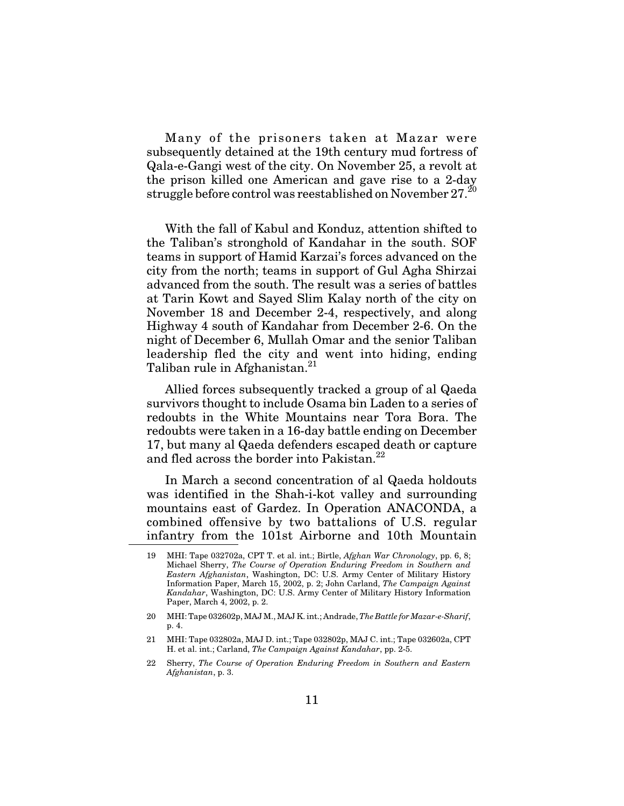Many of the prisoners taken at Mazar were subsequently detained at the 19th century mud fortress of Qala-e-Gangi west of the city. On November 25, a revolt at the prison killed one American and gave rise to a 2-day struggle before control was reestablished on November  $27.^{20}$ 

With the fall of Kabul and Konduz, attention shifted to the Taliban's stronghold of Kandahar in the south. SOF teams in support of Hamid Karzai's forces advanced on the city from the north; teams in support of Gul Agha Shirzai advanced from the south. The result was a series of battles at Tarin Kowt and Sayed Slim Kalay north of the city on November 18 and December 2-4, respectively, and along Highway 4 south of Kandahar from December 2-6. On the night of December 6, Mullah Omar and the senior Taliban leadership fled the city and went into hiding, ending Taliban rule in Afghanistan.<sup>21</sup>

Allied forces subsequently tracked a group of al Qaeda survivors thought to include Osama bin Laden to a series of redoubts in the White Mountains near Tora Bora. The redoubts were taken in a 16-day battle ending on December 17, but many al Qaeda defenders escaped death or capture and fled across the border into Pakistan.<sup>22</sup>

In March a second concentration of al Qaeda holdouts was identified in the Shah-i-kot valley and surrounding mountains east of Gardez. In Operation ANACONDA, a combined offensive by two battalions of U.S. regular infantry from the 101st Airborne and 10th Mountain

<sup>19</sup> MHI: Tape 032702a, CPT T. et al. int.; Birtle, *Afghan War Chronology*, pp. 6, 8; Michael Sherry, *The Course of Operation Enduring Freedom in Southern and Eastern Afghanistan*, Washington, DC: U.S. Army Center of Military History Information Paper, March 15, 2002, p. 2; John Carland, *The Campaign Against Kandahar*, Washington, DC: U.S. Army Center of Military History Information Paper, March 4, 2002, p. 2.

<sup>20</sup> MHI: Tape 032602p, MAJ M., MAJ K. int.; Andrade, *The Battle for Mazar-e-Sharif*, p. 4.

<sup>21</sup> MHI: Tape 032802a, MAJ D. int.; Tape 032802p, MAJ C. int.; Tape 032602a, CPT H. et al. int.; Carland, *The Campaign Against Kandahar*, pp. 2-5.

<sup>22</sup> Sherry, *The Course of Operation Enduring Freedom in Southern and Eastern Afghanistan*, p. 3.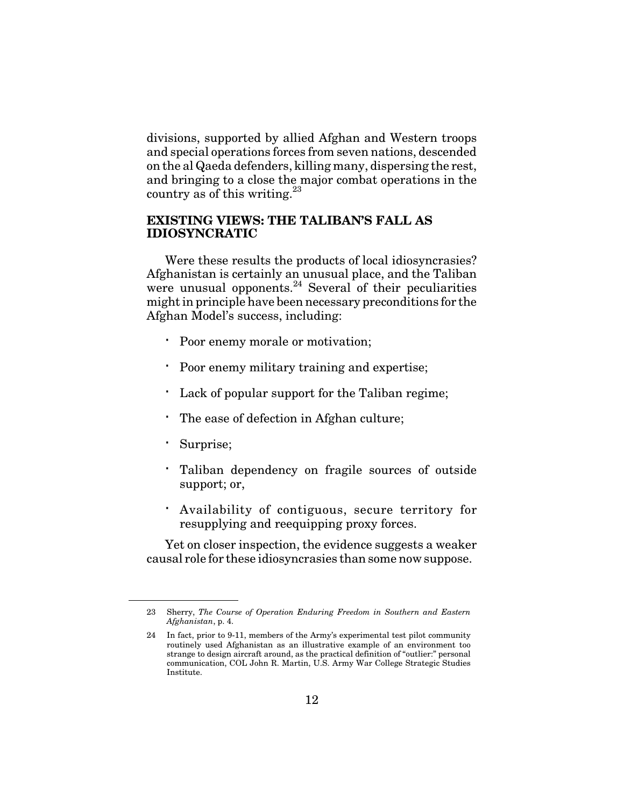divisions, supported by allied Afghan and Western troops and special operations forces from seven nations, descended on the al Qaeda defenders, killing many, dispersing the rest, and bringing to a close the major combat operations in the country as of this writing. $23$ 

#### **EXISTING VIEWS: THE TALIBAN'S FALL AS IDIOSYNCRATIC**

Were these results the products of local idiosyncrasies? Afghanistan is certainly an unusual place, and the Taliban were unusual opponents.<sup>24</sup> Several of their peculiarities might in principle have been necessary preconditions for the Afghan Model's success, including:

Poor enemy morale or motivation;

Poor enemy military training and expertise;

Lack of popular support for the Taliban regime;

The ease of defection in Afghan culture;

Surprise;

Taliban dependency on fragile sources of outside support; or,

Availability of contiguous, secure territory for resupplying and reequipping proxy forces.

Yet on closer inspection, the evidence suggests a weaker causal role for these idiosyncrasies than some now suppose.

<sup>23</sup> Sherry, *The Course of Operation Enduring Freedom in Southern and Eastern Afghanistan*, p. 4.

<sup>24</sup> In fact, prior to 9-11, members of the Army's experimental test pilot community routinely used Afghanistan as an illustrative example of an environment too strange to design aircraft around, as the practical definition of "outlier:" personal communication, COL John R. Martin, U.S. Army War College Strategic Studies Institute.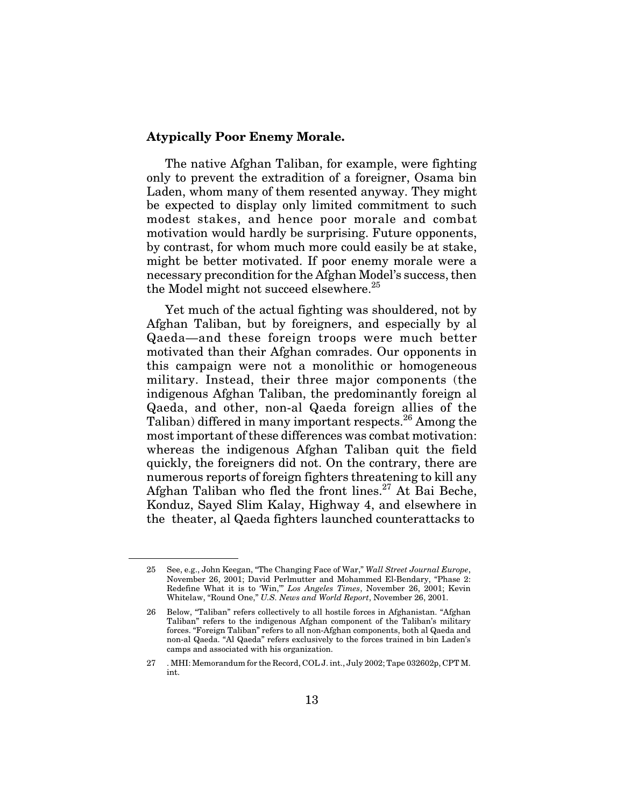#### **Atypically Poor Enemy Morale.**

The native Afghan Taliban, for example, were fighting only to prevent the extradition of a foreigner, Osama bin Laden, whom many of them resented anyway. They might be expected to display only limited commitment to such modest stakes, and hence poor morale and combat motivation would hardly be surprising. Future opponents, by contrast, for whom much more could easily be at stake, might be better motivated. If poor enemy morale were a necessary precondition for the Afghan Model's success, then the Model might not succeed elsewhere.<sup>25</sup>

Yet much of the actual fighting was shouldered, not by Afghan Taliban, but by foreigners, and especially by al Qaeda—and these foreign troops were much better motivated than their Afghan comrades. Our opponents in this campaign were not a monolithic or homogeneous military. Instead, their three major components (the indigenous Afghan Taliban, the predominantly foreign al Qaeda, and other, non-al Qaeda foreign allies of the Taliban) differed in many important respects.<sup>26</sup> Among the most important of these differences was combat motivation: whereas the indigenous Afghan Taliban quit the field quickly, the foreigners did not. On the contrary, there are numerous reports of foreign fighters threatening to kill any Afghan Taliban who fled the front lines.<sup>27</sup> At Bai Beche, Konduz, Sayed Slim Kalay, Highway 4, and elsewhere in the theater, al Qaeda fighters launched counterattacks to

<sup>25</sup> See, e.g., John Keegan, "The Changing Face of War," *Wall Street Journal Europe*, November 26, 2001; David Perlmutter and Mohammed El-Bendary, "Phase 2: Redefine What it is to 'Win,'" *Los Angeles Times*, November 26, 2001; Kevin Whitelaw, "Round One," *U.S. News and World Report*, November 26, 2001.

<sup>26</sup> Below, "Taliban" refers collectively to all hostile forces in Afghanistan. "Afghan Taliban" refers to the indigenous Afghan component of the Taliban's military forces. "Foreign Taliban" refers to all non-Afghan components, both al Qaeda and non-al Qaeda. "Al Qaeda" refers exclusively to the forces trained in bin Laden's camps and associated with his organization.

<sup>27 .</sup> MHI: Memorandum for the Record, COL J. int., July 2002; Tape 032602p, CPT M. int.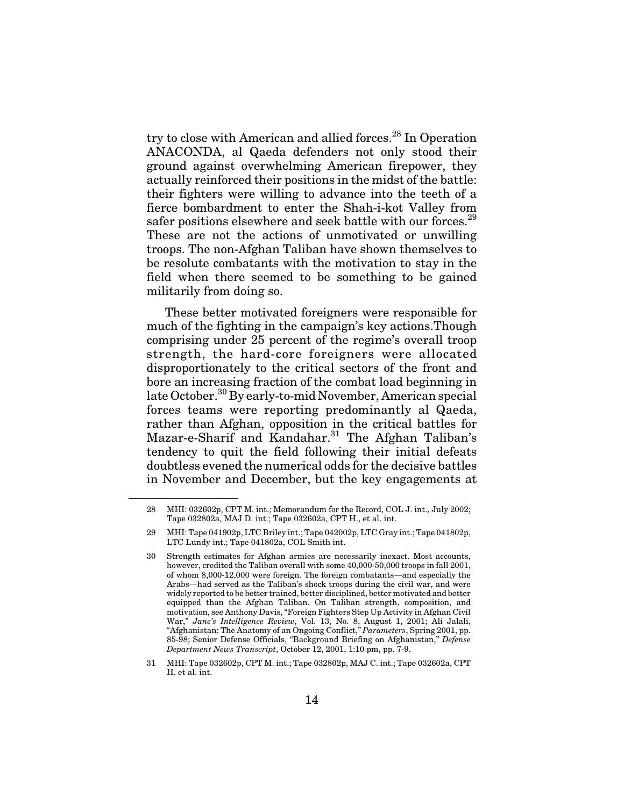try to close with American and allied forces.<sup>28</sup> In Operation ANACONDA, al Qaeda defenders not only stood their ground against overwhelming American firepower, they actually reinforced their positions in the midst of the battle: their fighters were willing to advance into the teeth of a fierce bombardment to enter the Shah-i-kot Valley from safer positions elsewhere and seek battle with our forces.<sup>29</sup> These are not the actions of unmotivated or unwilling troops. The non-Afghan Taliban have shown themselves to be resolute combatants with the motivation to stay in the field when there seemed to be something to be gained militarily from doing so.

These better motivated foreigners were responsible for much of the fighting in the campaign's key actions.Though comprising under 25 percent of the regime's overall troop strength, the hard-core foreigners were allocated disproportionately to the critical sectors of the front and bore an increasing fraction of the combat load beginning in late October.<sup>30</sup> By early-to-mid November, American special forces teams were reporting predominantly al Qaeda, rather than Afghan, opposition in the critical battles for Mazar-e-Sharif and Kandahar.<sup>31</sup> The Afghan Taliban's tendency to quit the field following their initial defeats doubtless evened the numerical odds for the decisive battles in November and December, but the key engagements at

<sup>28</sup> MHI: 032602p, CPT M. int.; Memorandum for the Record, COL J. int., July 2002; Tape 032802a, MAJ D. int.; Tape 032602a, CPT H., et al. int.

<sup>29</sup> MHI: Tape 041902p, LTC Briley int.; Tape 042002p, LTC Gray int.; Tape 041802p, LTC Lundy int.; Tape 041802a, COL Smith int.

<sup>30</sup> Strength estimates for Afghan armies are necessarily inexact. Most accounts, however, credited the Taliban overall with some 40,000-50,000 troops in fall 2001, of whom 8,000-12,000 were foreign. The foreign combatants—and especially the Arabs—had served as the Taliban's shock troops during the civil war, and were widely reported to be better trained, better disciplined, better motivated and better equipped than the Afghan Taliban. On Taliban strength, composition, and motivation, see Anthony Davis, "Foreign Fighters Step Up Activity in Afghan Civil War," *Jane's Intelligence Review*, Vol. 13, No. 8, August 1, 2001; Ali Jalali, "Afghanistan: The Anatomy of an Ongoing Conflict," *Parameters*, Spring 2001, pp. 85-98; Senior Defense Officials, "Background Briefing on Afghanistan," *Defense Department News Transcript*, October 12, 2001, 1:10 pm, pp. 7-9.

<sup>31</sup> MHI: Tape 032602p, CPT M. int.; Tape 032802p, MAJ C. int.; Tape 032602a, CPT H. et al. int.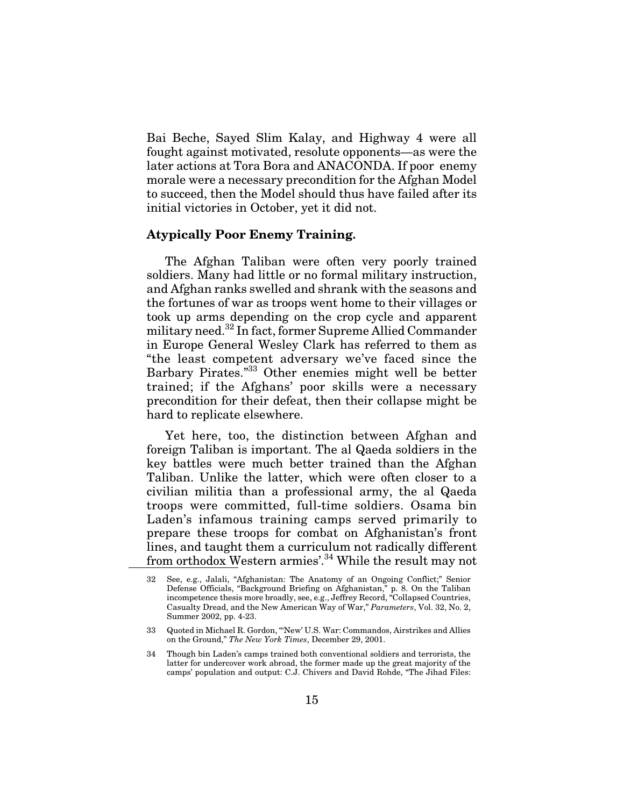Bai Beche, Sayed Slim Kalay, and Highway 4 were all fought against motivated, resolute opponents—as were the later actions at Tora Bora and ANACONDA. If poor enemy morale were a necessary precondition for the Afghan Model to succeed, then the Model should thus have failed after its initial victories in October, yet it did not.

#### **Atypically Poor Enemy Training.**

The Afghan Taliban were often very poorly trained soldiers. Many had little or no formal military instruction, and Afghan ranks swelled and shrank with the seasons and the fortunes of war as troops went home to their villages or took up arms depending on the crop cycle and apparent military need.32 In fact, former Supreme Allied Commander in Europe General Wesley Clark has referred to them as "the least competent adversary we've faced since the Barbary Pirates."33 Other enemies might well be better trained; if the Afghans' poor skills were a necessary precondition for their defeat, then their collapse might be hard to replicate elsewhere.

Yet here, too, the distinction between Afghan and foreign Taliban is important. The al Qaeda soldiers in the key battles were much better trained than the Afghan Taliban. Unlike the latter, which were often closer to a civilian militia than a professional army, the al Qaeda troops were committed, full-time soldiers. Osama bin Laden's infamous training camps served primarily to prepare these troops for combat on Afghanistan's front lines, and taught them a curriculum not radically different from orthodox Western armies'.34 While the result may not

<sup>32</sup> See, e.g., Jalali, "Afghanistan: The Anatomy of an Ongoing Conflict;" Senior Defense Officials, "Background Briefing on Afghanistan," p. 8. On the Taliban incompetence thesis more broadly, see, e.g., Jeffrey Record, "Collapsed Countries, Casualty Dread, and the New American Way of War," *Parameters*, Vol. 32, No. 2, Summer 2002, pp. 4-23.

<sup>33</sup> Quoted in Michael R. Gordon, "'New' U.S. War: Commandos, Airstrikes and Allies on the Ground," *The New York Times*, December 29, 2001.

<sup>34</sup> Though bin Laden's camps trained both conventional soldiers and terrorists, the latter for undercover work abroad, the former made up the great majority of the camps' population and output: C.J. Chivers and David Rohde, "The Jihad Files: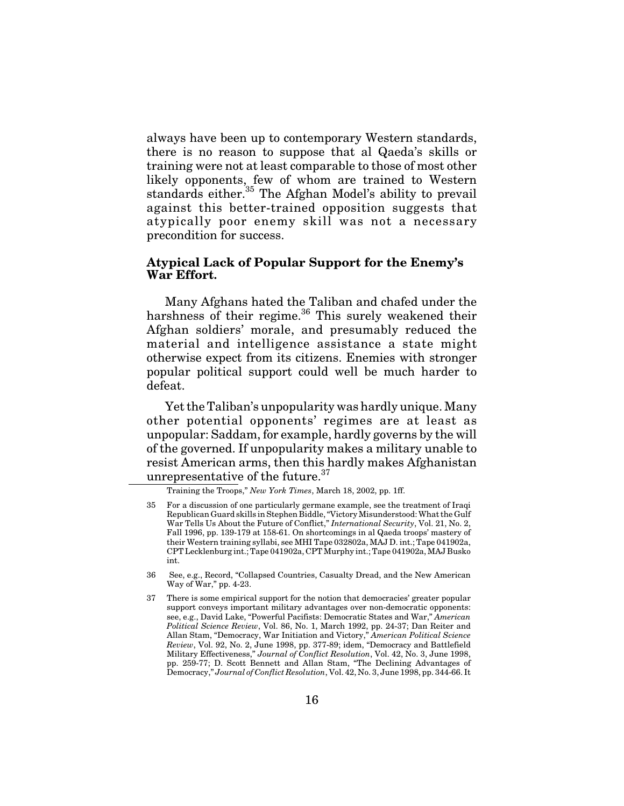always have been up to contemporary Western standards, there is no reason to suppose that al Qaeda's skills or training were not at least comparable to those of most other likely opponents, few of whom are trained to Western standards either.<sup>35</sup> The Afghan Model's ability to prevail against this better-trained opposition suggests that atypically poor enemy skill was not a necessary precondition for success.

#### **Atypical Lack of Popular Support for the Enemy's War Effort.**

Many Afghans hated the Taliban and chafed under the harshness of their regime.<sup>36</sup> This surely weakened their Afghan soldiers' morale, and presumably reduced the material and intelligence assistance a state might otherwise expect from its citizens. Enemies with stronger popular political support could well be much harder to defeat.

Yet the Taliban's unpopularity was hardly unique. Many other potential opponents' regimes are at least as unpopular: Saddam, for example, hardly governs by the will of the governed. If unpopularity makes a military unable to resist American arms, then this hardly makes Afghanistan unrepresentative of the future.<sup>37</sup>

Training the Troops," *New York Times*, March 18, 2002, pp. 1ff.

<sup>35</sup> For a discussion of one particularly germane example, see the treatment of Iraqi Republican Guard skills in Stephen Biddle, "Victory Misunderstood: What the Gulf War Tells Us About the Future of Conflict," *International Security*, Vol. 21, No. 2, Fall 1996, pp. 139-179 at 158-61. On shortcomings in al Qaeda troops' mastery of their Western training syllabi, see MHI Tape 032802a, MAJ D. int.; Tape 041902a, CPT Lecklenburg int.; Tape 041902a, CPT Murphy int.; Tape 041902a, MAJ Busko int.

<sup>36</sup> See, e.g., Record, "Collapsed Countries, Casualty Dread, and the New American Way of War," pp. 4-23.

<sup>37</sup> There is some empirical support for the notion that democracies' greater popular support conveys important military advantages over non-democratic opponents: see, e.g., David Lake, "Powerful Pacifists: Democratic States and War," *American Political Science Review*, Vol. 86, No. 1, March 1992, pp. 24-37; Dan Reiter and Allan Stam, "Democracy, War Initiation and Victory," *American Political Science Review*, Vol. 92, No. 2, June 1998, pp. 377-89; idem, "Democracy and Battlefield Military Effectiveness," *Journal of Conflict Resolution*, Vol. 42, No. 3, June 1998, pp. 259-77; D. Scott Bennett and Allan Stam, "The Declining Advantages of Democracy," *Journal of Conflict Resolution*, Vol. 42, No. 3, June 1998, pp. 344-66. It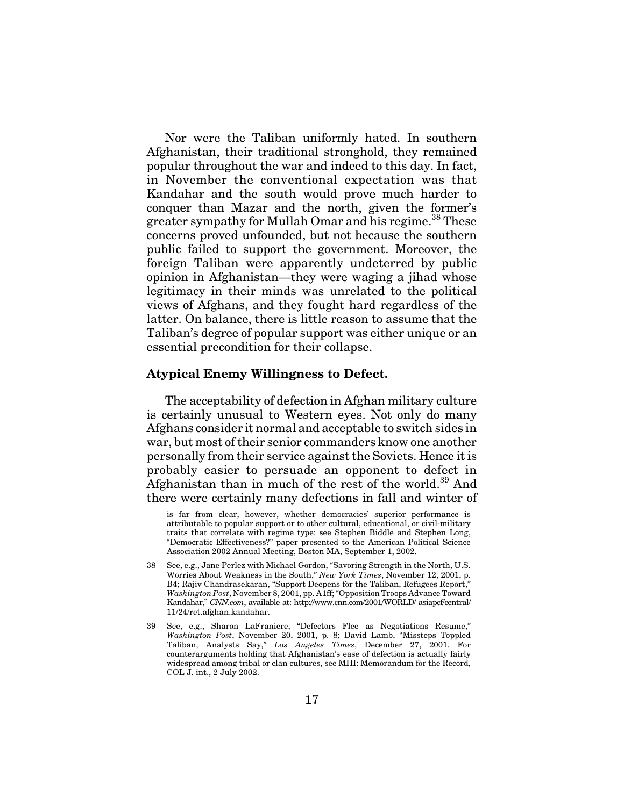Nor were the Taliban uniformly hated. In southern Afghanistan, their traditional stronghold, they remained popular throughout the war and indeed to this day. In fact, in November the conventional expectation was that Kandahar and the south would prove much harder to conquer than Mazar and the north, given the former's greater sympathy for Mullah Omar and his regime.<sup>38</sup> These concerns proved unfounded, but not because the southern public failed to support the government. Moreover, the foreign Taliban were apparently undeterred by public opinion in Afghanistan—they were waging a jihad whose legitimacy in their minds was unrelated to the political views of Afghans, and they fought hard regardless of the latter. On balance, there is little reason to assume that the Taliban's degree of popular support was either unique or an essential precondition for their collapse.

#### **Atypical Enemy Willingness to Defect.**

The acceptability of defection in Afghan military culture is certainly unusual to Western eyes. Not only do many Afghans consider it normal and acceptable to switch sides in war, but most of their senior commanders know one another personally from their service against the Soviets. Hence it is probably easier to persuade an opponent to defect in Afghanistan than in much of the rest of the world.39 And there were certainly many defections in fall and winter of

is far from clear, however, whether democracies' superior performance is attributable to popular support or to other cultural, educational, or civil-military traits that correlate with regime type: see Stephen Biddle and Stephen Long, "Democratic Effectiveness?" paper presented to the American Political Science Association 2002 Annual Meeting, Boston MA, September 1, 2002.

<sup>38</sup> See, e.g., Jane Perlez with Michael Gordon, "Savoring Strength in the North, U.S. Worries About Weakness in the South," *New York Times*, November 12, 2001, p. B4; Rajiv Chandrasekaran, "Support Deepens for the Taliban, Refugees Report," *Washington Post*, November 8, 2001, pp. A1ff; "Opposition Troops Advance Toward Kandahar," *CNN.com*, available at: http://www.cnn.com/2001/WORLD/ asiapcf/central/ 11/24/ret.afghan.kandahar.

<sup>39</sup> See, e.g., Sharon LaFraniere, "Defectors Flee as Negotiations Resume," *Washington Post*, November 20, 2001, p. 8; David Lamb, "Missteps Toppled Taliban, Analysts Say," *Los Angeles Times*, December 27, 2001. For counterarguments holding that Afghanistan's ease of defection is actually fairly widespread among tribal or clan cultures, see MHI: Memorandum for the Record, COL J. int., 2 July 2002.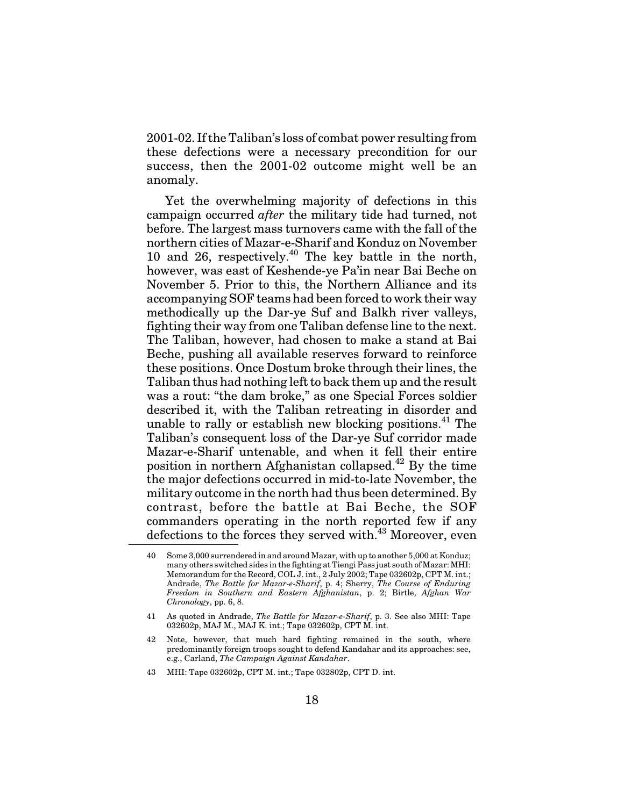2001-02. If the Taliban's loss of combat power resulting from these defections were a necessary precondition for our success, then the 2001-02 outcome might well be an anomaly.

Yet the overwhelming majority of defections in this campaign occurred *after* the military tide had turned, not before. The largest mass turnovers came with the fall of the northern cities of Mazar-e-Sharif and Konduz on November 10 and 26, respectively.<sup>40</sup> The key battle in the north, however, was east of Keshende-ye Pa'in near Bai Beche on November 5. Prior to this, the Northern Alliance and its accompanying SOF teams had been forced to work their way methodically up the Dar-ye Suf and Balkh river valleys, fighting their way from one Taliban defense line to the next. The Taliban, however, had chosen to make a stand at Bai Beche, pushing all available reserves forward to reinforce these positions. Once Dostum broke through their lines, the Taliban thus had nothing left to back them up and the result was a rout: "the dam broke," as one Special Forces soldier described it, with the Taliban retreating in disorder and unable to rally or establish new blocking positions.<sup>41</sup> The Taliban's consequent loss of the Dar-ye Suf corridor made Mazar-e-Sharif untenable, and when it fell their entire position in northern Afghanistan collapsed.42 By the time the major defections occurred in mid-to-late November, the military outcome in the north had thus been determined. By contrast, before the battle at Bai Beche, the SOF commanders operating in the north reported few if any defections to the forces they served with.<sup>43</sup> Moreover, even

43 MHI: Tape 032602p, CPT M. int.; Tape 032802p, CPT D. int.

<sup>40</sup> Some 3,000 surrendered in and around Mazar, with up to another 5,000 at Konduz; many others switched sides in the fighting at Tiengi Pass just south of Mazar: MHI: Memorandum for the Record, COL J. int., 2 July 2002; Tape 032602p, CPT M. int.; Andrade, *The Battle for Mazar-e-Sharif*, p. 4; Sherry, *The Course of Enduring Freedom in Southern and Eastern Afghanistan*, p. 2; Birtle, *Afghan War Chronology*, pp. 6, 8.

<sup>41</sup> As quoted in Andrade, *The Battle for Mazar-e-Sharif*, p. 3. See also MHI: Tape 032602p, MAJ M., MAJ K. int.; Tape 032602p, CPT M. int.

<sup>42</sup> Note, however, that much hard fighting remained in the south, where predominantly foreign troops sought to defend Kandahar and its approaches: see, e.g., Carland, *The Campaign Against Kandahar*.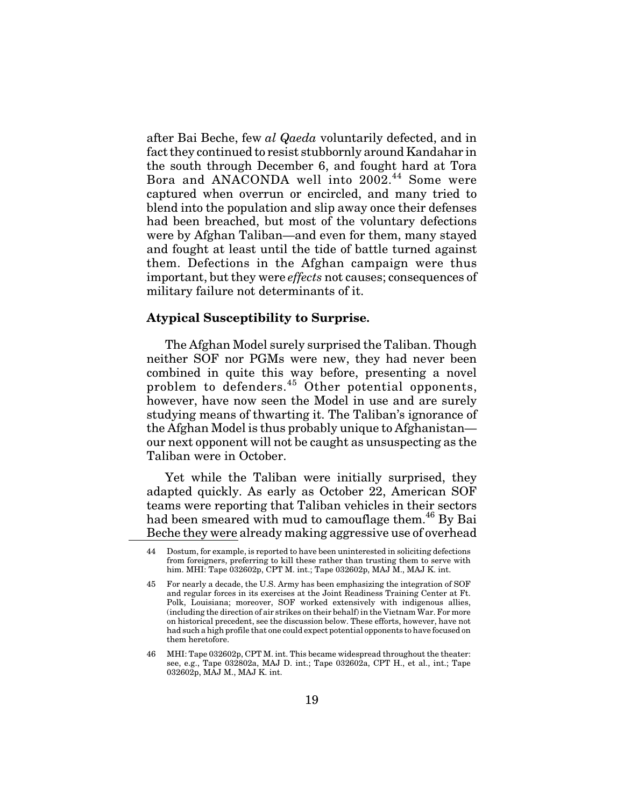after Bai Beche, few *al Qaeda* voluntarily defected, and in fact they continued to resist stubbornly around Kandahar in the south through December 6, and fought hard at Tora Bora and ANACONDA well into 2002.<sup>44</sup> Some were captured when overrun or encircled, and many tried to blend into the population and slip away once their defenses had been breached, but most of the voluntary defections were by Afghan Taliban—and even for them, many stayed and fought at least until the tide of battle turned against them. Defections in the Afghan campaign were thus important, but they were *effects* not causes; consequences of military failure not determinants of it.

#### **Atypical Susceptibility to Surprise.**

The Afghan Model surely surprised the Taliban. Though neither SOF nor PGMs were new, they had never been combined in quite this way before, presenting a novel problem to defenders.<sup>45</sup> Other potential opponents, however, have now seen the Model in use and are surely studying means of thwarting it. The Taliban's ignorance of the Afghan Model is thus probably unique to Afghanistan our next opponent will not be caught as unsuspecting as the Taliban were in October.

Yet while the Taliban were initially surprised, they adapted quickly. As early as October 22, American SOF teams were reporting that Taliban vehicles in their sectors had been smeared with mud to camouflage them.<sup>46</sup> By Bai Beche they were already making aggressive use of overhead

<sup>44</sup> Dostum, for example, is reported to have been uninterested in soliciting defections from foreigners, preferring to kill these rather than trusting them to serve with him. MHI: Tape 032602p, CPT M. int.; Tape 032602p, MAJ M., MAJ K. int.

<sup>45</sup> For nearly a decade, the U.S. Army has been emphasizing the integration of SOF and regular forces in its exercises at the Joint Readiness Training Center at Ft. Polk, Louisiana; moreover, SOF worked extensively with indigenous allies, (including the direction of air strikes on their behalf) in the Vietnam War. For more on historical precedent, see the discussion below. These efforts, however, have not had such a high profile that one could expect potential opponents to have focused on them heretofore.

<sup>46</sup> MHI: Tape 032602p, CPT M. int. This became widespread throughout the theater: see, e.g., Tape 032802a, MAJ D. int.; Tape 032602a, CPT H., et al., int.; Tape 032602p, MAJ M., MAJ K. int.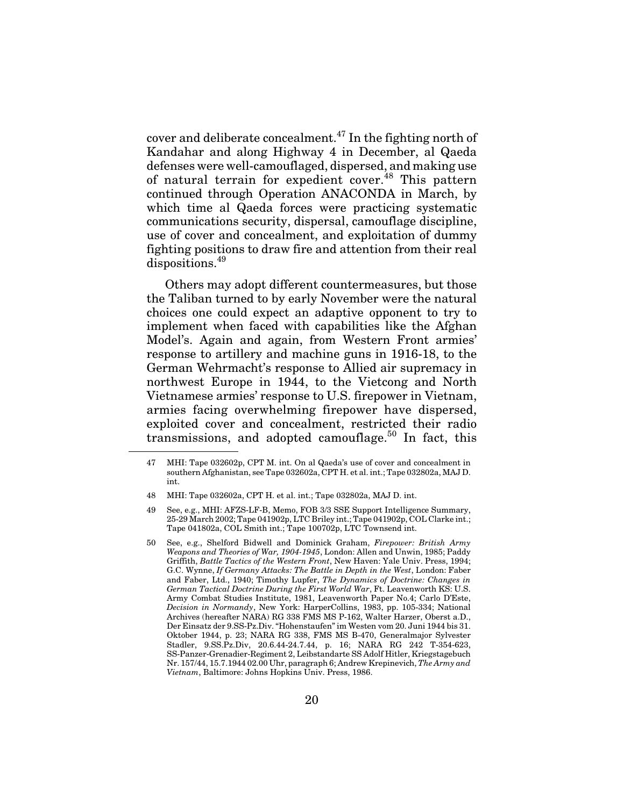cover and deliberate concealment.47 In the fighting north of Kandahar and along Highway 4 in December, al Qaeda defenses were well-camouflaged, dispersed, and making use of natural terrain for expedient cover.<sup>48</sup> This pattern continued through Operation ANACONDA in March, by which time al Qaeda forces were practicing systematic communications security, dispersal, camouflage discipline, use of cover and concealment, and exploitation of dummy fighting positions to draw fire and attention from their real dispositions.<sup>49</sup>

Others may adopt different countermeasures, but those the Taliban turned to by early November were the natural choices one could expect an adaptive opponent to try to implement when faced with capabilities like the Afghan Model's. Again and again, from Western Front armies' response to artillery and machine guns in 1916-18, to the German Wehrmacht's response to Allied air supremacy in northwest Europe in 1944, to the Vietcong and North Vietnamese armies' response to U.S. firepower in Vietnam, armies facing overwhelming firepower have dispersed, exploited cover and concealment, restricted their radio transmissions, and adopted camouflage.<sup>50</sup> In fact, this

<sup>47</sup> MHI: Tape 032602p, CPT M. int. On al Qaeda's use of cover and concealment in southern Afghanistan, see Tape 032602a, CPT H. et al. int.; Tape 032802a, MAJ D. int.

<sup>48</sup> MHI: Tape 032602a, CPT H. et al. int.; Tape 032802a, MAJ D. int.

<sup>49</sup> See, e.g., MHI: AFZS-LF-B, Memo, FOB 3/3 SSE Support Intelligence Summary, 25-29 March 2002; Tape 041902p, LTC Briley int.; Tape 041902p, COL Clarke int.; Tape 041802a, COL Smith int.; Tape 100702p, LTC Townsend int.

<sup>50</sup> See, e.g., Shelford Bidwell and Dominick Graham, *Firepower: British Army Weapons and Theories of War, 1904-1945*, London: Allen and Unwin, 1985; Paddy Griffith, *Battle Tactics of the Western Front*, New Haven: Yale Univ. Press, 1994; G.C. Wynne, *If Germany Attacks: The Battle in Depth in the West*, London: Faber and Faber, Ltd., 1940; Timothy Lupfer, *The Dynamics of Doctrine: Changes in German Tactical Doctrine During the First World War*, Ft. Leavenworth KS: U.S. Army Combat Studies Institute, 1981, Leavenworth Paper No.4; Carlo D'Este, *Decision in Normandy*, New York: HarperCollins, 1983, pp. 105-334; National Archives (hereafter NARA) RG338 FMS MS P-162, Walter Harzer, Oberst a.D., Der Einsatz der 9.SS-Pz.Div. "Hohenstaufen" im Westen vom 20. Juni 1944 bis 31. Oktober 1944, p. 23; NARA RG338, FMS MS B-470, Generalmajor Sylvester Stadler, 9.SS.Pz.Div, 20.6.44-24.7.44, p. 16; NARA RG 242 T-354-623, SS-Panzer-Grenadier-Regiment 2, Leibstandarte SS Adolf Hitler, Kriegstagebuch Nr. 157/44, 15.7.1944 02.00 Uhr, paragraph 6; Andrew Krepinevich, *The Army and Vietnam*, Baltimore: Johns Hopkins Univ. Press, 1986.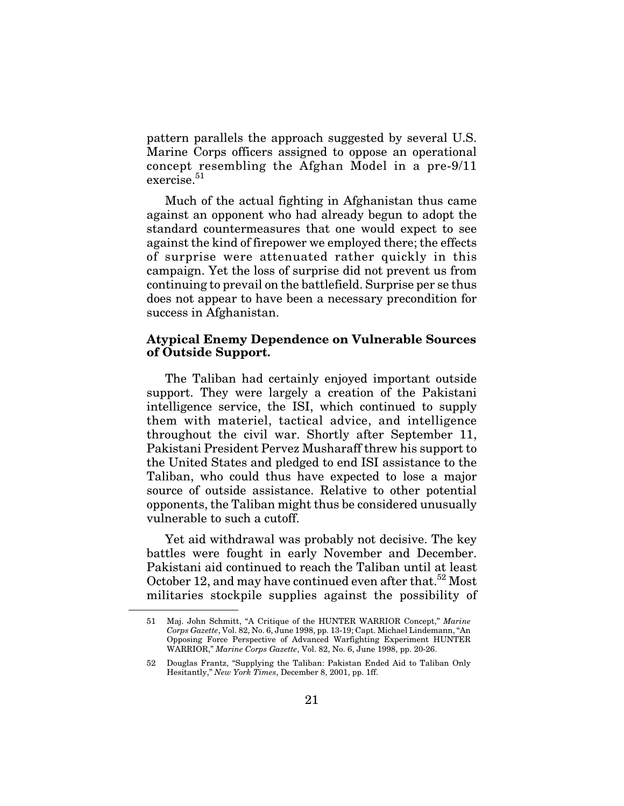pattern parallels the approach suggested by several U.S. Marine Corps officers assigned to oppose an operational concept resembling the Afghan Model in a pre-9/11 exercise.<sup>51</sup>

Much of the actual fighting in Afghanistan thus came against an opponent who had already begun to adopt the standard countermeasures that one would expect to see against the kind of firepower we employed there; the effects of surprise were attenuated rather quickly in this campaign. Yet the loss of surprise did not prevent us from continuing to prevail on the battlefield. Surprise per se thus does not appear to have been a necessary precondition for success in Afghanistan.

#### **Atypical Enemy Dependence on Vulnerable Sources of Outside Support.**

The Taliban had certainly enjoyed important outside support. They were largely a creation of the Pakistani intelligence service, the ISI, which continued to supply them with materiel, tactical advice, and intelligence throughout the civil war. Shortly after September 11, Pakistani President Pervez Musharaff threw his support to the United States and pledged to end ISI assistance to the Taliban, who could thus have expected to lose a major source of outside assistance. Relative to other potential opponents, the Taliban might thus be considered unusually vulnerable to such a cutoff.

Yet aid withdrawal was probably not decisive. The key battles were fought in early November and December. Pakistani aid continued to reach the Taliban until at least October 12, and may have continued even after that.<sup>52</sup> Most militaries stockpile supplies against the possibility of

<sup>51</sup> Maj. John Schmitt, "A Critique of the HUNTER WARRIOR Concept," *Marine Corps Gazette*, Vol. 82, No. 6, June 1998, pp. 13-19; Capt. Michael Lindemann, "An Opposing Force Perspective of Advanced Warfighting Experiment HUNTER WARRIOR," *Marine Corps Gazette*, Vol. 82, No. 6, June 1998, pp. 20-26.

<sup>52</sup> Douglas Frantz, "Supplying the Taliban: Pakistan Ended Aid to Taliban Only Hesitantly," *New York Times*, December 8, 2001, pp. 1ff.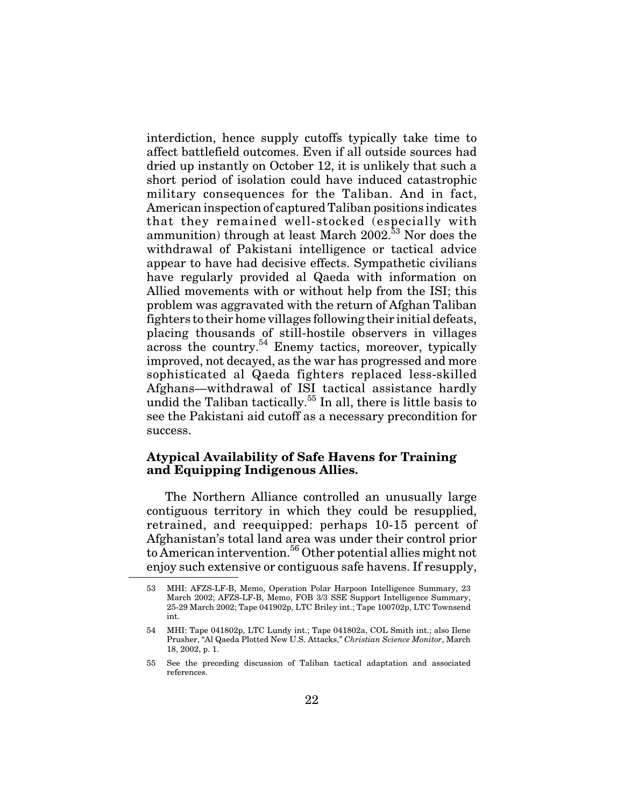interdiction, hence supply cutoffs typically take time to affect battlefield outcomes. Even if all outside sources had dried up instantly on October 12, it is unlikely that such a short period of isolation could have induced catastrophic military consequences for the Taliban. And in fact, American inspection of captured Taliban positions indicates that they remained well-stocked (especially with ammunition) through at least March  $2002<sup>53</sup>$  Nor does the withdrawal of Pakistani intelligence or tactical advice appear to have had decisive effects. Sympathetic civilians have regularly provided al Qaeda with information on Allied movements with or without help from the ISI; this problem was aggravated with the return of Afghan Taliban fighters to their home villages following their initial defeats, placing thousands of still-hostile observers in villages across the country.<sup>54</sup> Enemy tactics, moreover, typically improved, not decayed, as the war has progressed and more sophisticated al Qaeda fighters replaced less-skilled Afghans—withdrawal of ISI tactical assistance hardly undid the Taliban tactically.<sup>55</sup> In all, there is little basis to see the Pakistani aid cutoff as a necessary precondition for success.

#### **Atypical Availability of Safe Havens for Training and Equipping Indigenous Allies.**

The Northern Alliance controlled an unusually large contiguous territory in which they could be resupplied, retrained, and reequipped: perhaps 10-15 percent of Afghanistan's total land area was under their control prior to American intervention.56 Other potential allies might not enjoy such extensive or contiguous safe havens. If resupply,

<sup>53</sup> MHI: AFZS-LF-B, Memo, Operation Polar Harpoon Intelligence Summary, 23 March 2002; AFZS-LF-B, Memo, FOB 3/3 SSE Support Intelligence Summary, 25-29 March 2002; Tape 041902p, LTC Briley int.; Tape 100702p, LTC Townsend int.

<sup>54</sup> MHI: Tape 041802p, LTC Lundy int.; Tape 041802a, COL Smith int.; also Ilene Prusher, "Al Qaeda Plotted New U.S. Attacks," *Christian Science Monitor*, March 18, 2002, p. 1.

<sup>55</sup> See the preceding discussion of Taliban tactical adaptation and associated references.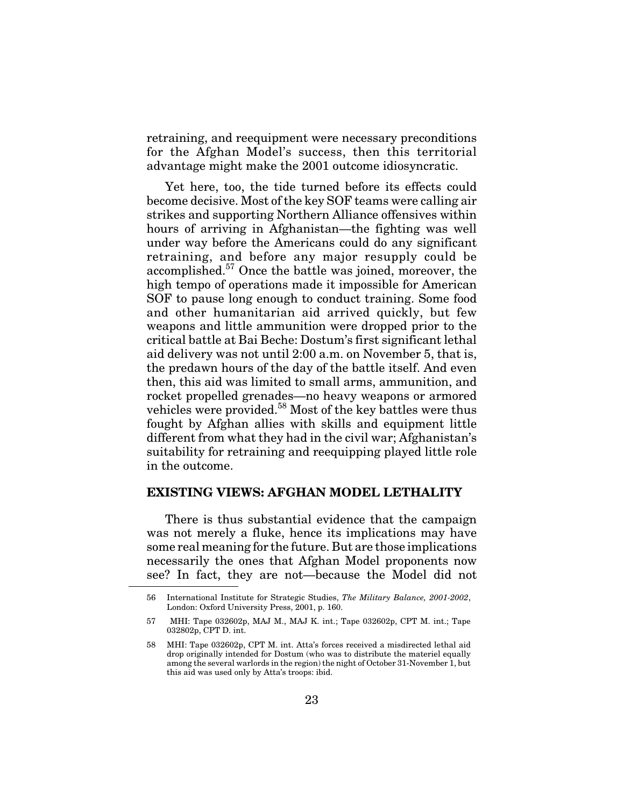retraining, and reequipment were necessary preconditions for the Afghan Model's success, then this territorial advantage might make the 2001 outcome idiosyncratic.

Yet here, too, the tide turned before its effects could become decisive. Most of the key SOF teams were calling air strikes and supporting Northern Alliance offensives within hours of arriving in Afghanistan—the fighting was well under way before the Americans could do any significant retraining, and before any major resupply could be accomplished.<sup>57</sup> Once the battle was joined, moreover, the high tempo of operations made it impossible for American SOF to pause long enough to conduct training. Some food and other humanitarian aid arrived quickly, but few weapons and little ammunition were dropped prior to the critical battle at Bai Beche: Dostum's first significant lethal aid delivery was not until 2:00 a.m. on November 5, that is, the predawn hours of the day of the battle itself. And even then, this aid was limited to small arms, ammunition, and rocket propelled grenades—no heavy weapons or armored vehicles were provided.58 Most of the key battles were thus fought by Afghan allies with skills and equipment little different from what they had in the civil war; Afghanistan's suitability for retraining and reequipping played little role in the outcome.

### **EXISTING VIEWS: AFGHAN MODEL LETHALITY**

There is thus substantial evidence that the campaign was not merely a fluke, hence its implications may have some real meaning for the future. But are those implications necessarily the ones that Afghan Model proponents now see? In fact, they are not—because the Model did not

<sup>56</sup> International Institute for Strategic Studies, *The Military Balance, 2001-2002*, London: Oxford University Press, 2001, p. 160.

<sup>57</sup> MHI: Tape 032602p, MAJ M., MAJ K. int.; Tape 032602p, CPT M. int.; Tape 032802p, CPT D. int.

<sup>58</sup> MHI: Tape 032602p, CPT M. int. Atta's forces received a misdirected lethal aid drop originally intended for Dostum (who was to distribute the materiel equally among the several warlords in the region) the night of October 31-November 1, but this aid was used only by Atta's troops: ibid.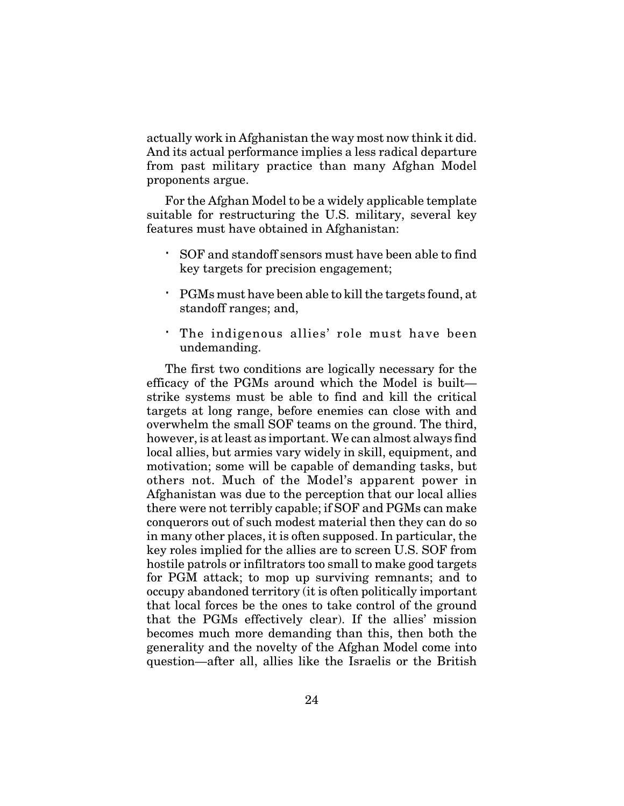actually work in Afghanistan the way most now think it did. And its actual performance implies a less radical departure from past military practice than many Afghan Model proponents argue.

For the Afghan Model to be a widely applicable template suitable for restructuring the U.S. military, several key features must have obtained in Afghanistan:

SOF and standoff sensors must have been able to find key targets for precision engagement;

PGMs must have been able to kill the targets found, at standoff ranges; and,

The indigenous allies' role must have been undemanding.

The first two conditions are logically necessary for the efficacy of the PGMs around which the Model is built strike systems must be able to find and kill the critical targets at long range, before enemies can close with and overwhelm the small SOF teams on the ground. The third, however, is at least as important. We can almost always find local allies, but armies vary widely in skill, equipment, and motivation; some will be capable of demanding tasks, but others not. Much of the Model's apparent power in Afghanistan was due to the perception that our local allies there were not terribly capable; if SOF and PGMs can make conquerors out of such modest material then they can do so in many other places, it is often supposed. In particular, the key roles implied for the allies are to screen U.S. SOF from hostile patrols or infiltrators too small to make good targets for PGM attack; to mop up surviving remnants; and to occupy abandoned territory (it is often politically important that local forces be the ones to take control of the ground that the PGMs effectively clear). If the allies' mission becomes much more demanding than this, then both the generality and the novelty of the Afghan Model come into question—after all, allies like the Israelis or the British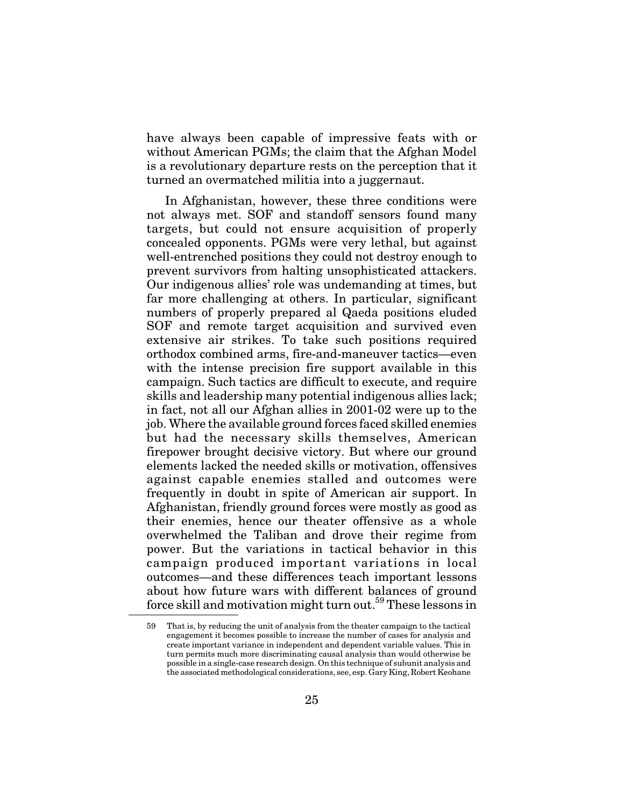have always been capable of impressive feats with or without American PGMs; the claim that the Afghan Model is a revolutionary departure rests on the perception that it turned an overmatched militia into a juggernaut.

In Afghanistan, however, these three conditions were not always met. SOF and standoff sensors found many targets, but could not ensure acquisition of properly concealed opponents. PGMs were very lethal, but against well-entrenched positions they could not destroy enough to prevent survivors from halting unsophisticated attackers. Our indigenous allies' role was undemanding at times, but far more challenging at others. In particular, significant numbers of properly prepared al Qaeda positions eluded SOF and remote target acquisition and survived even extensive air strikes. To take such positions required orthodox combined arms, fire-and-maneuver tactics—even with the intense precision fire support available in this campaign. Such tactics are difficult to execute, and require skills and leadership many potential indigenous allies lack; in fact, not all our Afghan allies in 2001-02 were up to the job. Where the available ground forces faced skilled enemies but had the necessary skills themselves, American firepower brought decisive victory. But where our ground elements lacked the needed skills or motivation, offensives against capable enemies stalled and outcomes were frequently in doubt in spite of American air support. In Afghanistan, friendly ground forces were mostly as good as their enemies, hence our theater offensive as a whole overwhelmed the Taliban and drove their regime from power. But the variations in tactical behavior in this campaign produced important variations in local outcomes—and these differences teach important lessons about how future wars with different balances of ground force skill and motivation might turn out.<sup>59</sup> These lessons in

That is, by reducing the unit of analysis from the theater campaign to the tactical engagement it becomes possible to increase the number of cases for analysis and create important variance in independent and dependent variable values. This in turn permits much more discriminating causal analysis than would otherwise be possible in a single-case research design. On this technique of subunit analysis and the associated methodological considerations, see, esp. Gary King, Robert Keohane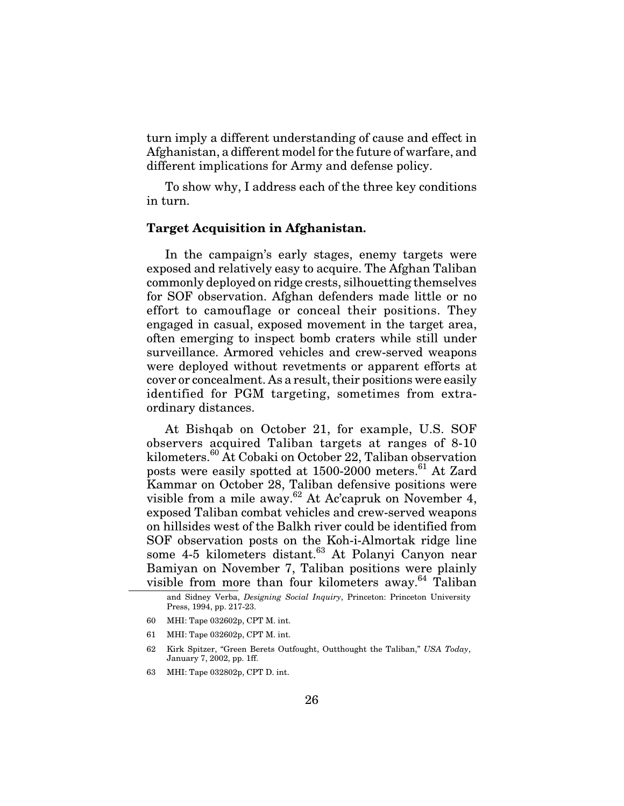turn imply a different understanding of cause and effect in Afghanistan, a different model for the future of warfare, and different implications for Army and defense policy.

To show why, I address each of the three key conditions in turn.

### **Target Acquisition in Afghanistan.**

In the campaign's early stages, enemy targets were exposed and relatively easy to acquire. The Afghan Taliban commonly deployed on ridge crests, silhouetting themselves for SOF observation. Afghan defenders made little or no effort to camouflage or conceal their positions. They engaged in casual, exposed movement in the target area, often emerging to inspect bomb craters while still under surveillance. Armored vehicles and crew-served weapons were deployed without revetments or apparent efforts at cover or concealment. As a result, their positions were easily identified for PGM targeting, sometimes from extraordinary distances.

At Bishqab on October 21, for example, U.S. SOF observers acquired Taliban targets at ranges of 8-10 kilometers.<sup>60</sup> At Cobaki on October 22, Taliban observation posts were easily spotted at 1500-2000 meters.<sup>61</sup> At Zard Kammar on October 28, Taliban defensive positions were visible from a mile away.<sup>62</sup> At Ac'capruk on November 4, exposed Taliban combat vehicles and crew-served weapons on hillsides west of the Balkh river could be identified from SOF observation posts on the Koh-i-Almortak ridge line some 4-5 kilometers distant.<sup>63</sup> At Polanyi Canyon near Bamiyan on November 7, Taliban positions were plainly visible from more than four kilometers away.<sup>64</sup> Taliban

- 60 MHI: Tape 032602p, CPT M. int.
- 61 MHI: Tape 032602p, CPT M. int.
- 62 Kirk Spitzer, "Green Berets Outfought, Outthought the Taliban," *USA Today*, January 7, 2002, pp. 1ff.
- 63 MHI: Tape 032802p, CPT D. int.

and Sidney Verba, *Designing Social Inquiry*, Princeton: Princeton University Press, 1994, pp. 217-23.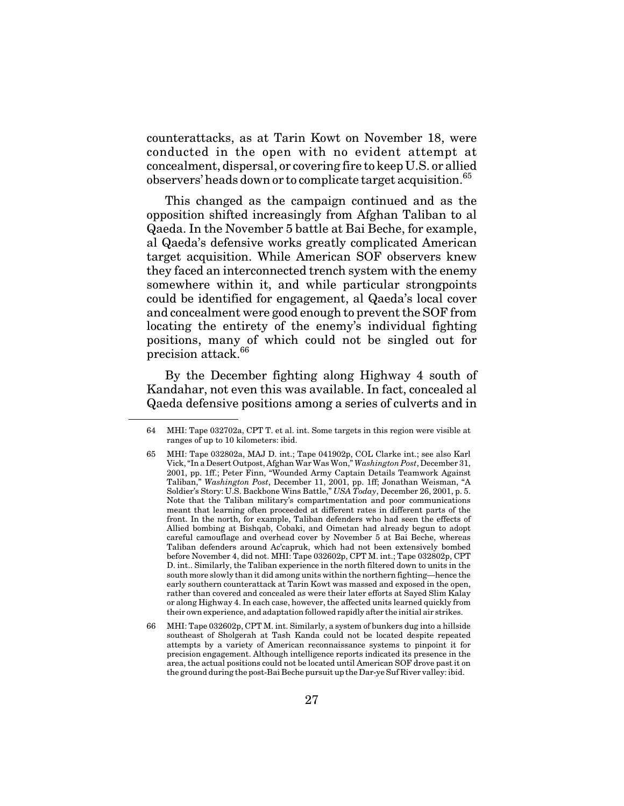counterattacks, as at Tarin Kowt on November 18, were conducted in the open with no evident attempt at concealment, dispersal, or covering fire to keep U.S. or allied observers' heads down or to complicate target acquisition.<sup>65</sup>

This changed as the campaign continued and as the opposition shifted increasingly from Afghan Taliban to al Qaeda. In the November 5 battle at Bai Beche, for example, al Qaeda's defensive works greatly complicated American target acquisition. While American SOF observers knew they faced an interconnected trench system with the enemy somewhere within it, and while particular strongpoints could be identified for engagement, al Qaeda's local cover and concealment were good enough to prevent the SOF from locating the entirety of the enemy's individual fighting positions, many of which could not be singled out for precision attack.<sup>66</sup>

By the December fighting along Highway 4 south of Kandahar, not even this was available. In fact, concealed al Qaeda defensive positions among a series of culverts and in

<sup>64</sup> MHI: Tape 032702a, CPT T. et al. int. Some targets in this region were visible at ranges of up to 10 kilometers: ibid.

<sup>65</sup> MHI: Tape 032802a, MAJ D. int.; Tape 041902p, COL Clarke int.; see also Karl Vick, "In a Desert Outpost, Afghan War Was Won," *Washington Post*, December 31, 2001, pp. 1ff.; Peter Finn, "Wounded Army Captain Details Teamwork Against Taliban," *Washington Post*, December 11, 2001, pp. 1ff; Jonathan Weisman, "A Soldier's Story: U.S. Backbone Wins Battle," *USA Today*, December 26, 2001, p. 5. Note that the Taliban military's compartmentation and poor communications meant that learning often proceeded at different rates in different parts of the front. In the north, for example, Taliban defenders who had seen the effects of Allied bombing at Bishqab, Cobaki, and Oimetan had already begun to adopt careful camouflage and overhead cover by November 5 at Bai Beche, whereas Taliban defenders around Ac'capruk, which had not been extensively bombed before November 4, did not. MHI: Tape 032602p, CPT M. int.; Tape 032802p, CPT D. int.. Similarly, the Taliban experience in the north filtered down to units in the south more slowly than it did among units within the northern fighting—hence the early southern counterattack at Tarin Kowt was massed and exposed in the open, rather than covered and concealed as were their later efforts at Sayed Slim Kalay or along Highway 4. In each case, however, the affected units learned quickly from their own experience, and adaptation followed rapidly after the initial air strikes.

<sup>66</sup> MHI: Tape 032602p, CPT M. int. Similarly, a system of bunkers dug into a hillside southeast of Sholgerah at Tash Kanda could not be located despite repeated attempts by a variety of American reconnaissance systems to pinpoint it for precision engagement. Although intelligence reports indicated its presence in the area, the actual positions could not be located until American SOF drove past it on the ground during the post-Bai Beche pursuit up the Dar-ye Suf River valley: ibid.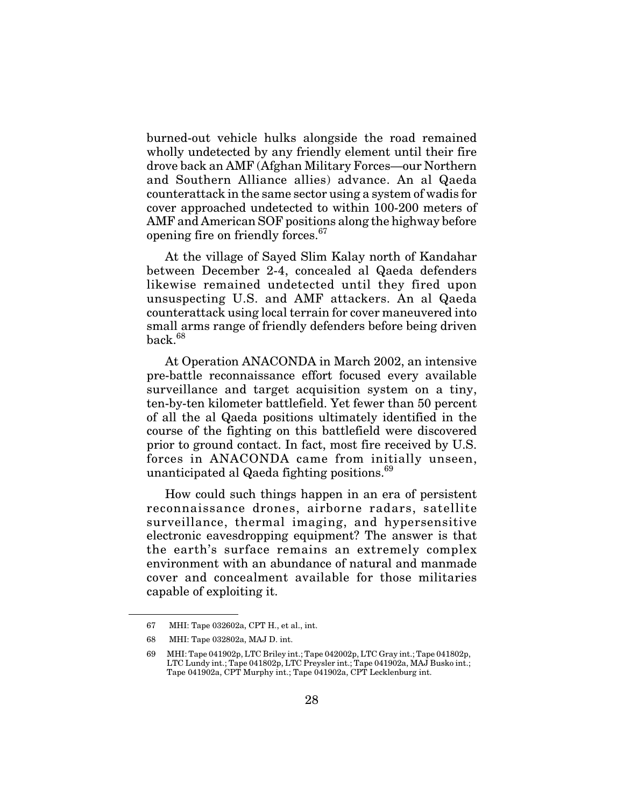burned-out vehicle hulks alongside the road remained wholly undetected by any friendly element until their fire drove back an AMF (Afghan Military Forces—our Northern and Southern Alliance allies) advance. An al Qaeda counterattack in the same sector using a system of wadis for cover approached undetected to within 100-200 meters of AMF and American SOF positions along the highway before opening fire on friendly forces.<sup>67</sup>

At the village of Sayed Slim Kalay north of Kandahar between December 2-4, concealed al Qaeda defenders likewise remained undetected until they fired upon unsuspecting U.S. and AMF attackers. An al Qaeda counterattack using local terrain for cover maneuvered into small arms range of friendly defenders before being driven  $back<sup>68</sup>$ 

At Operation ANACONDA in March 2002, an intensive pre-battle reconnaissance effort focused every available surveillance and target acquisition system on a tiny, ten-by-ten kilometer battlefield. Yet fewer than 50 percent of all the al Qaeda positions ultimately identified in the course of the fighting on this battlefield were discovered prior to ground contact. In fact, most fire received by U.S. forces in ANACONDA came from initially unseen, unanticipated al Qaeda fighting positions.<sup>69</sup>

How could such things happen in an era of persistent reconnaissance drones, airborne radars, satellite surveillance, thermal imaging, and hypersensitive electronic eavesdropping equipment? The answer is that the earth's surface remains an extremely complex environment with an abundance of natural and manmade cover and concealment available for those militaries capable of exploiting it.

<sup>67</sup> MHI: Tape 032602a, CPT H., et al., int.

<sup>68</sup> MHI: Tape 032802a, MAJ D. int.

<sup>69</sup> MHI: Tape 041902p, LTC Briley int.; Tape 042002p, LTC Gray int.; Tape 041802p, LTC Lundy int.; Tape 041802p, LTC Preysler int.; Tape 041902a, MAJ Busko int.; Tape 041902a, CPT Murphy int.; Tape 041902a, CPT Lecklenburg int.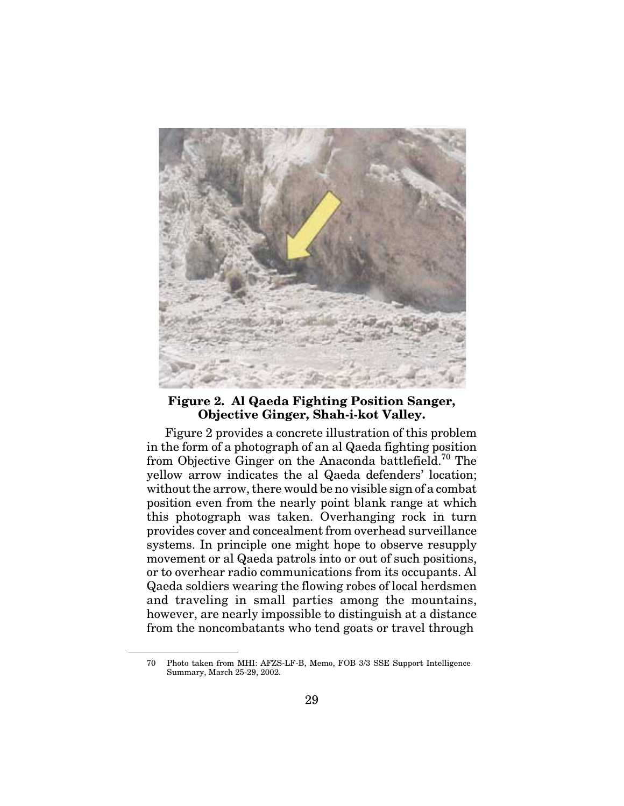

#### **Figure 2. Al Qaeda Fighting Position Sanger, Objective Ginger, Shah-i-kot Valley.**

Figure 2 provides a concrete illustration of this problem in the form of a photograph of an al Qaeda fighting position from Objective Ginger on the Anaconda battlefield.<sup>70</sup> The yellow arrow indicates the al Qaeda defenders' location; without the arrow, there would be no visible sign of a combat position even from the nearly point blank range at which this photograph was taken. Overhanging rock in turn provides cover and concealment from overhead surveillance systems. In principle one might hope to observe resupply movement or al Qaeda patrols into or out of such positions, or to overhear radio communications from its occupants. Al Qaeda soldiers wearing the flowing robes of local herdsmen and traveling in small parties among the mountains, however, are nearly impossible to distinguish at a distance from the noncombatants who tend goats or travel through

<sup>70</sup> Photo taken from MHI: AFZS-LF-B, Memo, FOB 3/3 SSE Support Intelligence Summary, March 25-29, 2002.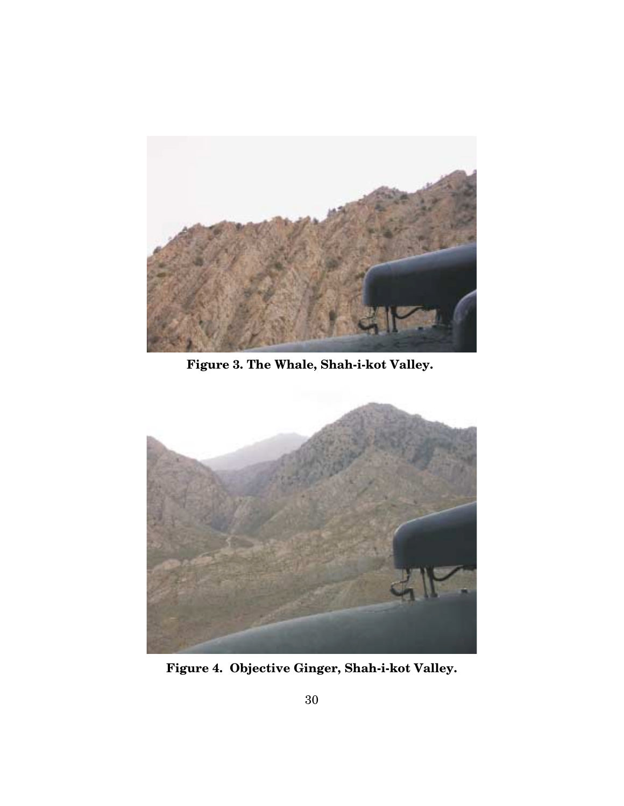

**Figure 3. The Whale, Shah-i-kot Valley.**



**Figure 4. Objective Ginger, Shah-i-kot Valley.**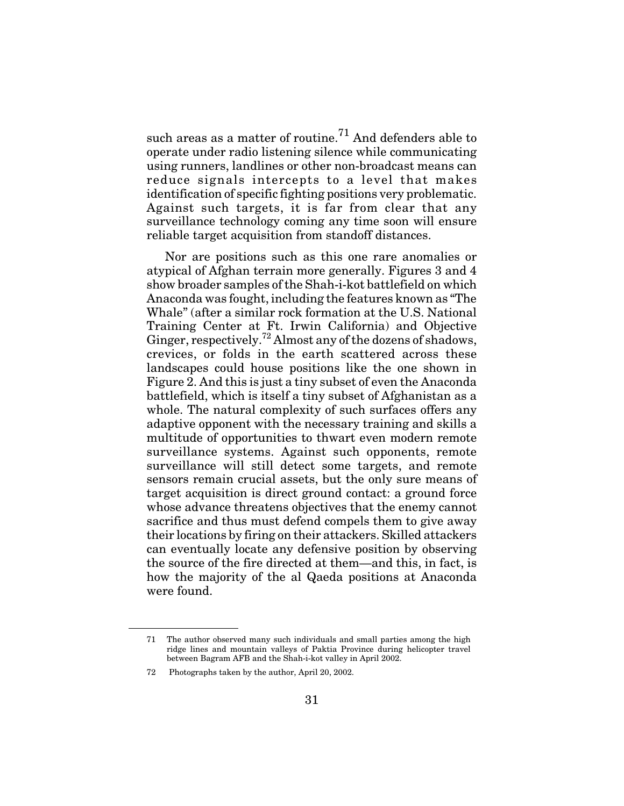such areas as a matter of routine.<sup>71</sup> And defenders able to operate under radio listening silence while communicating using runners, landlines or other non-broadcast means can reduce signals intercepts to a level that makes identification of specific fighting positions very problematic. Against such targets, it is far from clear that any surveillance technology coming any time soon will ensure reliable target acquisition from standoff distances.

Nor are positions such as this one rare anomalies or atypical of Afghan terrain more generally. Figures 3 and 4 show broader samples of the Shah-i-kot battlefield on which Anaconda was fought, including the features known as "The Whale" (after a similar rock formation at the U.S. National Training Center at Ft. Irwin California) and Objective Ginger, respectively.<sup>72</sup> Almost any of the dozens of shadows, crevices, or folds in the earth scattered across these landscapes could house positions like the one shown in Figure 2. And this is just a tiny subset of even the Anaconda battlefield, which is itself a tiny subset of Afghanistan as a whole. The natural complexity of such surfaces offers any adaptive opponent with the necessary training and skills a multitude of opportunities to thwart even modern remote surveillance systems. Against such opponents, remote surveillance will still detect some targets, and remote sensors remain crucial assets, but the only sure means of target acquisition is direct ground contact: a ground force whose advance threatens objectives that the enemy cannot sacrifice and thus must defend compels them to give away their locations by firing on their attackers. Skilled attackers can eventually locate any defensive position by observing the source of the fire directed at them—and this, in fact, is how the majority of the al Qaeda positions at Anaconda were found.

<sup>71</sup> The author observed many such individuals and small parties among the high ridge lines and mountain valleys of Paktia Province during helicopter travel between Bagram AFB and the Shah-i-kot valley in April 2002.

<sup>72</sup> Photographs taken by the author, April 20, 2002.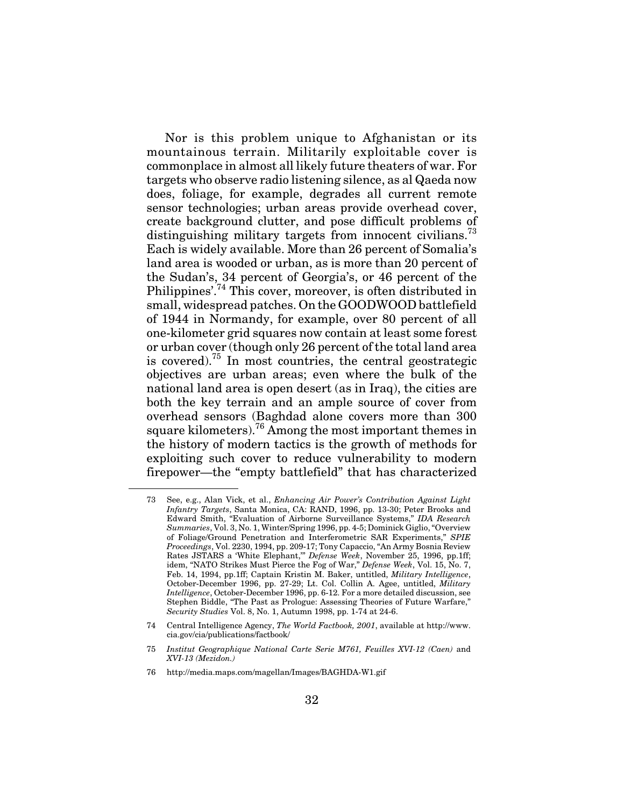Nor is this problem unique to Afghanistan or its mountainous terrain. Militarily exploitable cover is commonplace in almost all likely future theaters of war. For targets who observe radio listening silence, as al Qaeda now does, foliage, for example, degrades all current remote sensor technologies; urban areas provide overhead cover, create background clutter, and pose difficult problems of distinguishing military targets from innocent civilians.<sup>73</sup> Each is widely available. More than 26 percent of Somalia's land area is wooded or urban, as is more than 20 percent of the Sudan's, 34 percent of Georgia's, or 46 percent of the Philippines'.<sup>74</sup> This cover, moreover, is often distributed in small, widespread patches. On the GOODWOOD battlefield of 1944 in Normandy, for example, over 80 percent of all one-kilometer grid squares now contain at least some forest or urban cover (though only 26 percent of the total land area is covered).<sup>75</sup> In most countries, the central geostrategic objectives are urban areas; even where the bulk of the national land area is open desert (as in Iraq), the cities are both the key terrain and an ample source of cover from overhead sensors (Baghdad alone covers more than 300 square kilometers).<sup>76</sup> Among the most important themes in the history of modern tactics is the growth of methods for exploiting such cover to reduce vulnerability to modern firepower—the "empty battlefield" that has characterized

<sup>73</sup> See, e.g., Alan Vick, et al., *Enhancing Air Power's Contribution Against Light Infantry Targets*, Santa Monica, CA: RAND, 1996, pp. 13-30; Peter Brooks and Edward Smith, "Evaluation of Airborne Surveillance Systems," *IDA Research Summaries*, Vol. 3, No. 1, Winter/Spring 1996, pp. 4-5; Dominick Giglio, "Overview of Foliage/Ground Penetration and Interferometric SAR Experiments," *SPIE Proceedings*, Vol. 2230, 1994, pp. 209-17; Tony Capaccio, "An Army Bosnia Review Rates JSTARS a 'White Elephant,'" *Defense Week*, November 25, 1996, pp.1ff; idem, "NATO Strikes Must Pierce the Fog of War," *Defense Week*, Vol. 15, No. 7, Feb. 14, 1994, pp.1ff; Captain Kristin M. Baker, untitled, *Military Intelligence*, October-December 1996, pp. 27-29; Lt. Col. Collin A. Agee, untitled, *Military Intelligence*, October-December 1996, pp. 6-12. For a more detailed discussion, see Stephen Biddle, "The Past as Prologue: Assessing Theories of Future Warfare," *Security Studies* Vol. 8, No. 1, Autumn 1998, pp. 1-74 at 24-6.

<sup>74</sup> Central Intelligence Agency, *The World Factbook, 2001*, available at http://www. cia.gov/cia/publications/factbook/

<sup>75</sup> *Institut Geographique National Carte Serie M761, Feuilles XVI-12 (Caen)* and *XVI-13 (Mezidon.)*

<sup>76</sup> http://media.maps.com/magellan/Images/BAGHDA-W1.gif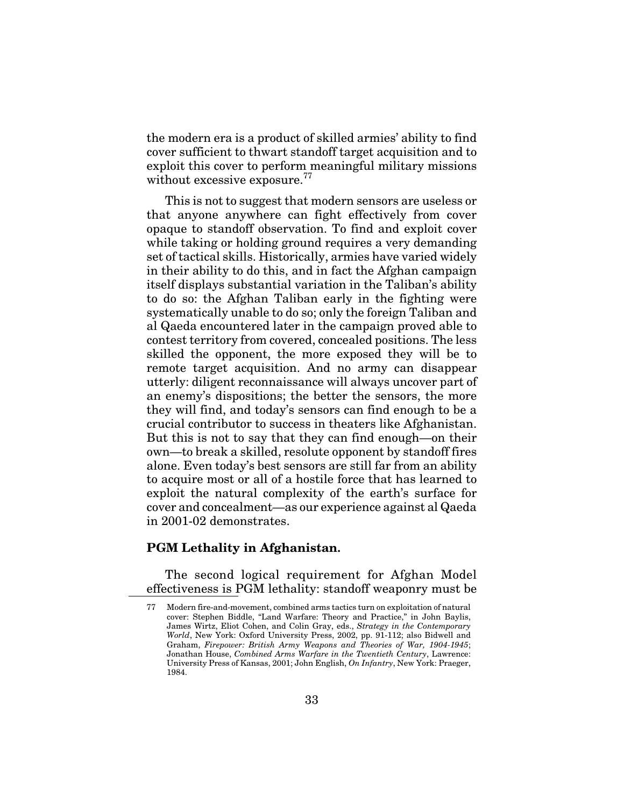the modern era is a product of skilled armies' ability to find cover sufficient to thwart standoff target acquisition and to exploit this cover to perform meaningful military missions without excessive exposure.<sup>77</sup>

This is not to suggest that modern sensors are useless or that anyone anywhere can fight effectively from cover opaque to standoff observation. To find and exploit cover while taking or holding ground requires a very demanding set of tactical skills. Historically, armies have varied widely in their ability to do this, and in fact the Afghan campaign itself displays substantial variation in the Taliban's ability to do so: the Afghan Taliban early in the fighting were systematically unable to do so; only the foreign Taliban and al Qaeda encountered later in the campaign proved able to contest territory from covered, concealed positions. The less skilled the opponent, the more exposed they will be to remote target acquisition. And no army can disappear utterly: diligent reconnaissance will always uncover part of an enemy's dispositions; the better the sensors, the more they will find, and today's sensors can find enough to be a crucial contributor to success in theaters like Afghanistan. But this is not to say that they can find enough—on their own—to break a skilled, resolute opponent by standoff fires alone. Even today's best sensors are still far from an ability to acquire most or all of a hostile force that has learned to exploit the natural complexity of the earth's surface for cover and concealment—as our experience against al Qaeda in 2001-02 demonstrates.

#### **PGM Lethality in Afghanistan.**

The second logical requirement for Afghan Model effectiveness is PGM lethality: standoff weaponry must be

<sup>77</sup> Modern fire-and-movement, combined arms tactics turn on exploitation of natural cover: Stephen Biddle, "Land Warfare: Theory and Practice," in John Baylis, James Wirtz, Eliot Cohen, and Colin Gray, eds., *Strategy in the Contemporary World*, New York: Oxford University Press, 2002, pp. 91-112; also Bidwell and Graham, *Firepower: British Army Weapons and Theories of War, 1904-1945*; Jonathan House, *Combined Arms Warfare in the Twentieth Century*, Lawrence: University Press of Kansas, 2001; John English, *On Infantry*, New York: Praeger, 1984.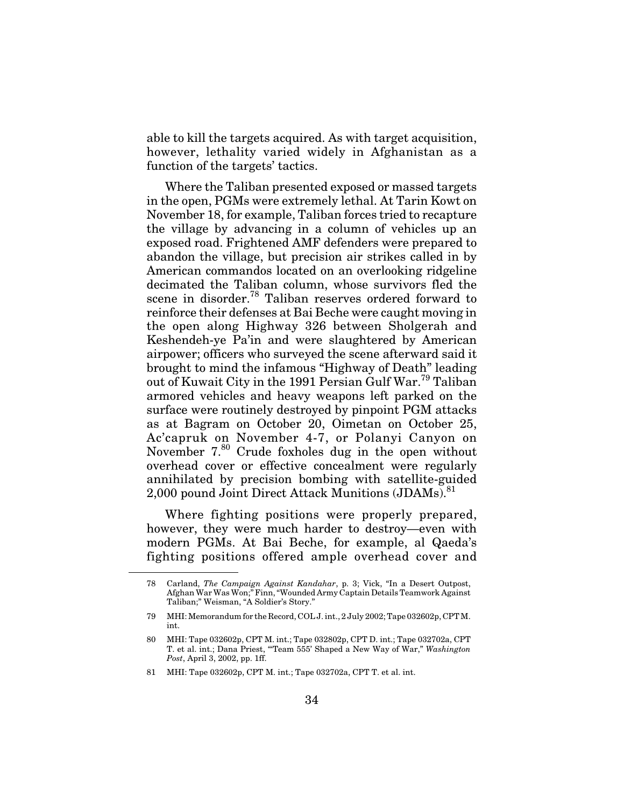able to kill the targets acquired. As with target acquisition, however, lethality varied widely in Afghanistan as a function of the targets' tactics.

Where the Taliban presented exposed or massed targets in the open, PGMs were extremely lethal. At Tarin Kowt on November 18, for example, Taliban forces tried to recapture the village by advancing in a column of vehicles up an exposed road. Frightened AMF defenders were prepared to abandon the village, but precision air strikes called in by American commandos located on an overlooking ridgeline decimated the Taliban column, whose survivors fled the scene in disorder.<sup>78</sup> Taliban reserves ordered forward to reinforce their defenses at Bai Beche were caught moving in the open along Highway 326 between Sholgerah and Keshendeh-ye Pa'in and were slaughtered by American airpower; officers who surveyed the scene afterward said it brought to mind the infamous "Highway of Death" leading out of Kuwait City in the 1991 Persian Gulf War.<sup>79</sup> Taliban armored vehicles and heavy weapons left parked on the surface were routinely destroyed by pinpoint PGM attacks as at Bagram on October 20, Oimetan on October 25, Ac'capruk on November 4-7, or Polanyi Canyon on November 7.80 Crude foxholes dug in the open without overhead cover or effective concealment were regularly annihilated by precision bombing with satellite-guided 2,000 pound Joint Direct Attack Munitions (JDAMs).<sup>81</sup>

Where fighting positions were properly prepared, however, they were much harder to destroy—even with modern PGMs. At Bai Beche, for example, al Qaeda's fighting positions offered ample overhead cover and

81 MHI: Tape 032602p, CPT M. int.; Tape 032702a, CPT T. et al. int.

<sup>78</sup> Carland, *The Campaign Against Kandahar*, p. 3; Vick, "In a Desert Outpost, Afghan War Was Won;" Finn, "Wounded Army Captain Details Teamwork Against Taliban;" Weisman, "A Soldier's Story."

<sup>79</sup> MHI: Memorandum for the Record, COL J. int., 2 July 2002; Tape 032602p, CPT M. int.

<sup>80</sup> MHI: Tape 032602p, CPT M. int.; Tape 032802p, CPT D. int.; Tape 032702a, CPT T. et al. int.; Dana Priest, "'Team 555' Shaped a New Way of War," *Washington Post*, April 3, 2002, pp. 1ff.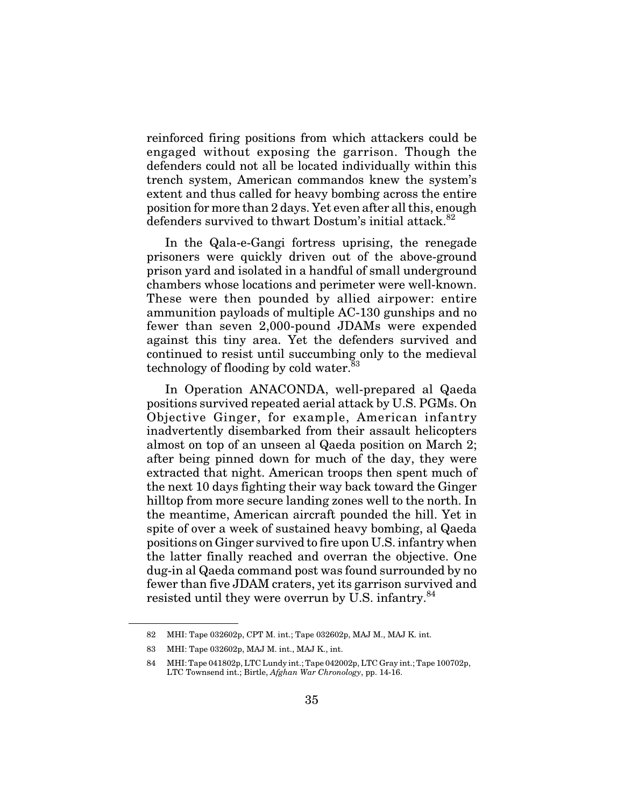reinforced firing positions from which attackers could be engaged without exposing the garrison. Though the defenders could not all be located individually within this trench system, American commandos knew the system's extent and thus called for heavy bombing across the entire position for more than 2 days. Yet even after all this, enough defenders survived to thwart Dostum's initial attack.<sup>82</sup>

In the Qala-e-Gangi fortress uprising, the renegade prisoners were quickly driven out of the above-ground prison yard and isolated in a handful of small underground chambers whose locations and perimeter were well-known. These were then pounded by allied airpower: entire ammunition payloads of multiple AC-130 gunships and no fewer than seven 2,000-pound JDAMs were expended against this tiny area. Yet the defenders survived and continued to resist until succumbing only to the medieval technology of flooding by cold water.<sup>83</sup>

In Operation ANACONDA, well-prepared al Qaeda positions survived repeated aerial attack by U.S. PGMs. On Objective Ginger, for example, American infantry inadvertently disembarked from their assault helicopters almost on top of an unseen al Qaeda position on March 2; after being pinned down for much of the day, they were extracted that night. American troops then spent much of the next 10 days fighting their way back toward the Ginger hilltop from more secure landing zones well to the north. In the meantime, American aircraft pounded the hill. Yet in spite of over a week of sustained heavy bombing, al Qaeda positions on Ginger survived to fire upon U.S. infantry when the latter finally reached and overran the objective. One dug-in al Qaeda command post was found surrounded by no fewer than five JDAM craters, yet its garrison survived and resisted until they were overrun by U.S. infantry.<sup>84</sup>

<sup>82</sup> MHI: Tape 032602p, CPT M. int.; Tape 032602p, MAJ M., MAJ K. int.

<sup>83</sup> MHI: Tape 032602p, MAJ M. int., MAJ K., int.

<sup>84</sup> MHI: Tape 041802p, LTC Lundy int.; Tape 042002p, LTC Gray int.; Tape 100702p, LTC Townsend int.; Birtle, *Afghan War Chronology*, pp. 14-16.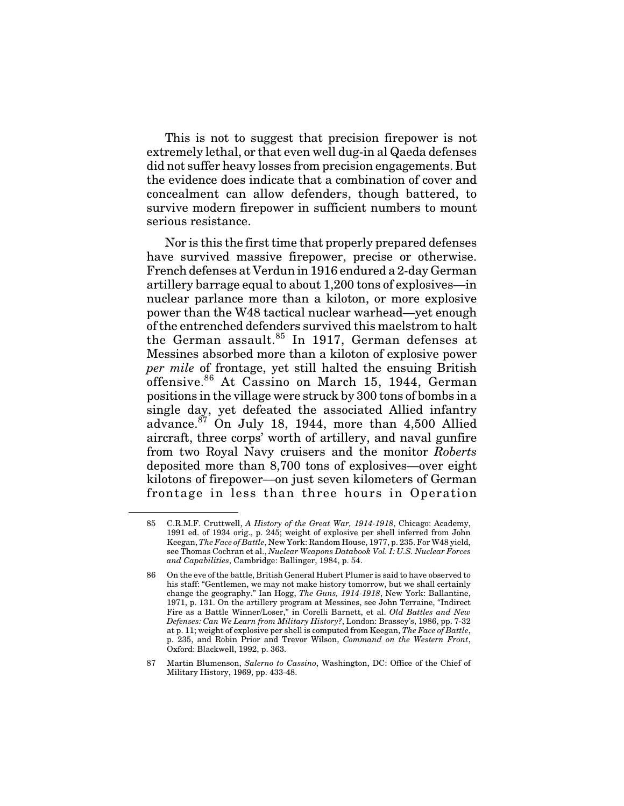This is not to suggest that precision firepower is not extremely lethal, or that even well dug-in al Qaeda defenses did not suffer heavy losses from precision engagements. But the evidence does indicate that a combination of cover and concealment can allow defenders, though battered, to survive modern firepower in sufficient numbers to mount serious resistance.

Nor is this the first time that properly prepared defenses have survived massive firepower, precise or otherwise. French defenses at Verdun in 1916 endured a 2-day German artillery barrage equal to about 1,200 tons of explosives—in nuclear parlance more than a kiloton, or more explosive power than the W48 tactical nuclear warhead—yet enough of the entrenched defenders survived this maelstrom to halt the German assault.<sup>85</sup> In 1917, German defenses at Messines absorbed more than a kiloton of explosive power *per mile* of frontage, yet still halted the ensuing British offensive. <sup>86</sup> At Cassino on March 15, 1944, German positions in the village were struck by 300 tons of bombs in a single day, yet defeated the associated Allied infantry advance. $87$  On July 18, 1944, more than 4,500 Allied aircraft, three corps' worth of artillery, and naval gunfire from two Royal Navy cruisers and the monitor *Roberts* deposited more than 8,700 tons of explosives—over eight kilotons of firepower—on just seven kilometers of German frontage in less than three hours in Operation

<sup>85</sup> C.R.M.F. Cruttwell, *A History of the Great War, 1914-1918*, Chicago: Academy, 1991 ed. of 1934 orig., p. 245; weight of explosive per shell inferred from John Keegan, *The Face of Battle*, New York: Random House, 1977, p. 235. For W48 yield, see Thomas Cochran et al., *Nuclear Weapons Databook Vol. I: U.S. Nuclear Forces and Capabilities*, Cambridge: Ballinger, 1984, p. 54.

<sup>86</sup> On the eve of the battle, British General Hubert Plumer is said to have observed to his staff: "Gentlemen, we may not make history tomorrow, but we shall certainly change the geography." Ian Hogg, *The Guns, 1914-1918*, New York: Ballantine, 1971, p. 131. On the artillery program at Messines, see John Terraine, "Indirect Fire as a Battle Winner/Loser," in Corelli Barnett, et al. *Old Battles and New Defenses: Can We Learn from Military History?*, London: Brassey's, 1986, pp. 7-32 at p. 11; weight of explosive per shell is computed from Keegan, *The Face of Battle*, p. 235, and Robin Prior and Trevor Wilson, *Command on the Western Front*, Oxford: Blackwell, 1992, p. 363.

<sup>87</sup> Martin Blumenson, *Salerno to Cassino*, Washington, DC: Office of the Chief of Military History, 1969, pp. 433-48.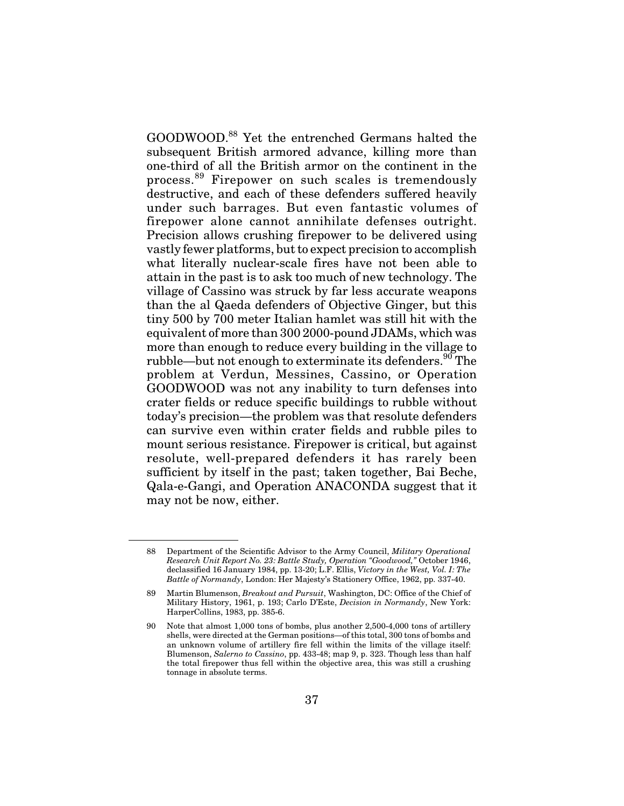GOODWOOD.<sup>88</sup> Yet the entrenched Germans halted the subsequent British armored advance, killing more than one-third of all the British armor on the continent in the process.<sup>89</sup> Firepower on such scales is tremendously destructive, and each of these defenders suffered heavily under such barrages. But even fantastic volumes of firepower alone cannot annihilate defenses outright. Precision allows crushing firepower to be delivered using vastly fewer platforms, but to expect precision to accomplish what literally nuclear-scale fires have not been able to attain in the past is to ask too much of new technology. The village of Cassino was struck by far less accurate weapons than the al Qaeda defenders of Objective Ginger, but this tiny 500 by 700 meter Italian hamlet was still hit with the equivalent of more than 300 2000-pound JDAMs, which was more than enough to reduce every building in the village to rubble—but not enough to exterminate its defenders.<sup>90</sup> The problem at Verdun, Messines, Cassino, or Operation GOODWOOD was not any inability to turn defenses into crater fields or reduce specific buildings to rubble without today's precision—the problem was that resolute defenders can survive even within crater fields and rubble piles to mount serious resistance. Firepower is critical, but against resolute, well-prepared defenders it has rarely been sufficient by itself in the past; taken together, Bai Beche, Qala-e-Gangi, and Operation ANACONDA suggest that it may not be now, either.

<sup>88</sup> Department of the Scientific Advisor to the Army Council, *Military Operational Research Unit Report No. 23: Battle Study, Operation "Goodwood,"* October 1946, declassified 16 January 1984, pp. 13-20; L.F. Ellis, *Victory in the West, Vol. I: The Battle of Normandy*, London: Her Majesty's Stationery Office, 1962, pp. 337-40.

<sup>89</sup> Martin Blumenson, *Breakout and Pursuit*, Washington, DC: Office of the Chief of Military History, 1961, p. 193; Carlo D'Este, *Decision in Normandy*, New York: HarperCollins, 1983, pp. 385-6.

<sup>90</sup> Note that almost 1,000 tons of bombs, plus another 2,500-4,000 tons of artillery shells, were directed at the German positions—of this total, 300 tons of bombs and an unknown volume of artillery fire fell within the limits of the village itself: Blumenson, *Salerno to Cassino*, pp. 433-48; map 9, p. 323. Though less than half the total firepower thus fell within the objective area, this was still a crushing tonnage in absolute terms.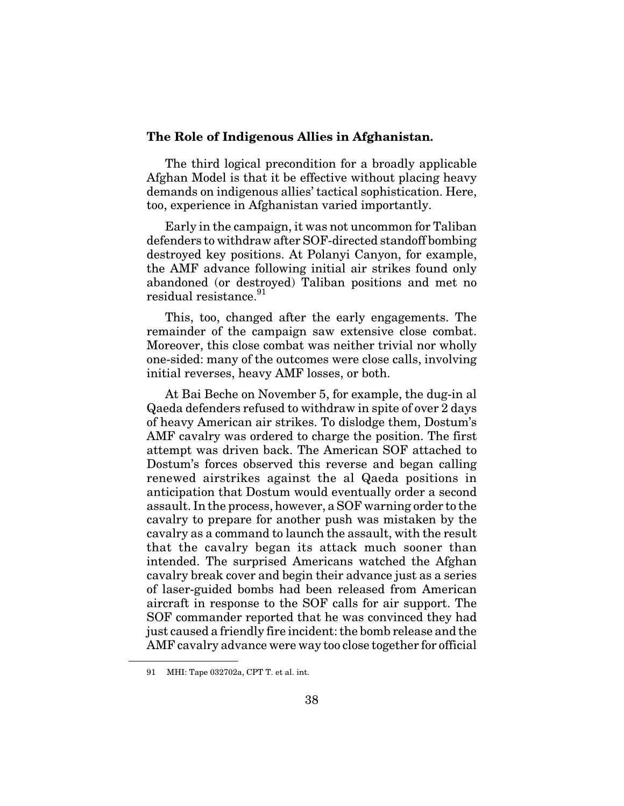#### **The Role of Indigenous Allies in Afghanistan.**

The third logical precondition for a broadly applicable Afghan Model is that it be effective without placing heavy demands on indigenous allies' tactical sophistication. Here, too, experience in Afghanistan varied importantly.

Early in the campaign, it was not uncommon for Taliban defenders to withdraw after SOF-directed standoff bombing destroyed key positions. At Polanyi Canyon, for example, the AMF advance following initial air strikes found only abandoned (or destroyed) Taliban positions and met no residual resistance.<sup>91</sup>

This, too, changed after the early engagements. The remainder of the campaign saw extensive close combat. Moreover, this close combat was neither trivial nor wholly one-sided: many of the outcomes were close calls, involving initial reverses, heavy AMF losses, or both.

At Bai Beche on November 5, for example, the dug-in al Qaeda defenders refused to withdraw in spite of over 2 days of heavy American air strikes. To dislodge them, Dostum's AMF cavalry was ordered to charge the position. The first attempt was driven back. The American SOF attached to Dostum's forces observed this reverse and began calling renewed airstrikes against the al Qaeda positions in anticipation that Dostum would eventually order a second assault. In the process, however, a SOF warning order to the cavalry to prepare for another push was mistaken by the cavalry as a command to launch the assault, with the result that the cavalry began its attack much sooner than intended. The surprised Americans watched the Afghan cavalry break cover and begin their advance just as a series of laser-guided bombs had been released from American aircraft in response to the SOF calls for air support. The SOF commander reported that he was convinced they had just caused a friendly fire incident: the bomb release and the AMF cavalry advance were way too close together for official

<sup>91</sup> MHI: Tape 032702a, CPT T. et al. int.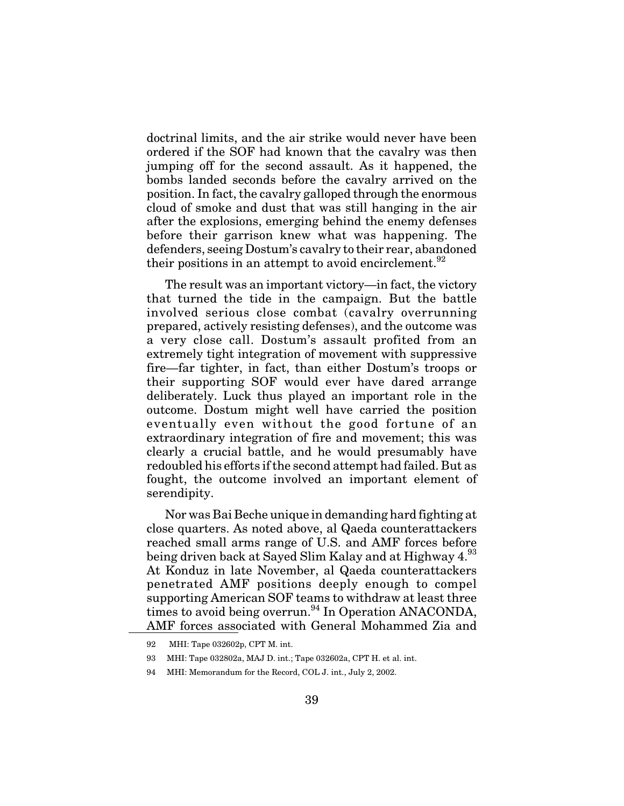doctrinal limits, and the air strike would never have been ordered if the SOF had known that the cavalry was then jumping off for the second assault. As it happened, the bombs landed seconds before the cavalry arrived on the position. In fact, the cavalry galloped through the enormous cloud of smoke and dust that was still hanging in the air after the explosions, emerging behind the enemy defenses before their garrison knew what was happening. The defenders, seeing Dostum's cavalry to their rear, abandoned their positions in an attempt to avoid encirclement.<sup>92</sup>

The result was an important victory—in fact, the victory that turned the tide in the campaign. But the battle involved serious close combat (cavalry overrunning prepared, actively resisting defenses), and the outcome was a very close call. Dostum's assault profited from an extremely tight integration of movement with suppressive fire—far tighter, in fact, than either Dostum's troops or their supporting SOF would ever have dared arrange deliberately. Luck thus played an important role in the outcome. Dostum might well have carried the position eventually even without the good fortune of an extraordinary integration of fire and movement; this was clearly a crucial battle, and he would presumably have redoubled his efforts if the second attempt had failed. But as fought, the outcome involved an important element of serendipity.

Nor was Bai Beche unique in demanding hard fighting at close quarters. As noted above, al Qaeda counterattackers reached small arms range of U.S. and AMF forces before being driven back at Sayed Slim Kalay and at Highway 4.<sup>93</sup> At Konduz in late November, al Qaeda counterattackers penetrated AMF positions deeply enough to compel supporting American SOF teams to withdraw at least three times to avoid being overrun.<sup>94</sup> In Operation ANACONDA, AMF forces associated with General Mohammed Zia and

<sup>92</sup> MHI: Tape 032602p, CPT M. int.

<sup>93</sup> MHI: Tape 032802a, MAJ D. int.; Tape 032602a, CPT H. et al. int.

<sup>94</sup> MHI: Memorandum for the Record, COL J. int., July 2, 2002.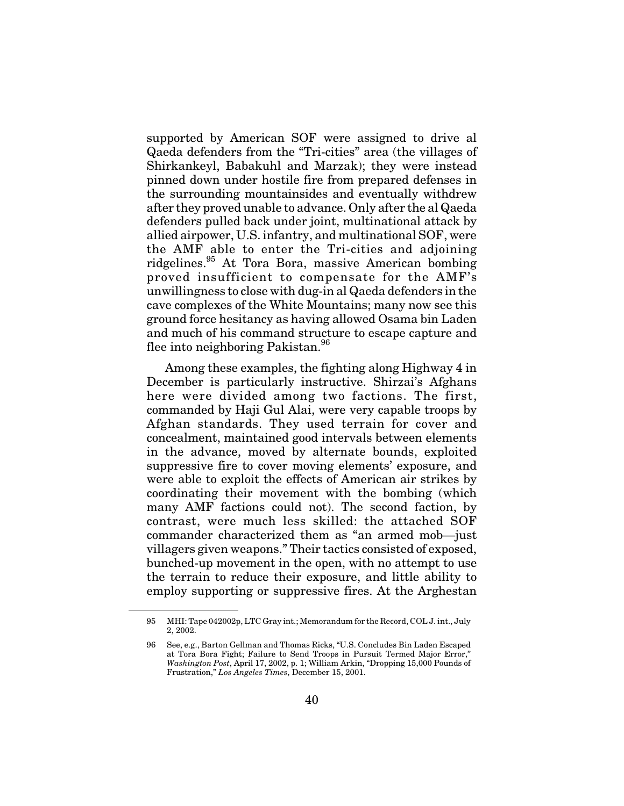supported by American SOF were assigned to drive al Qaeda defenders from the "Tri-cities" area (the villages of Shirkankeyl, Babakuhl and Marzak); they were instead pinned down under hostile fire from prepared defenses in the surrounding mountainsides and eventually withdrew after they proved unable to advance. Only after the al Qaeda defenders pulled back under joint, multinational attack by allied airpower, U.S. infantry, and multinational SOF, were the AMF able to enter the Tri-cities and adjoining ridgelines.<sup>95</sup> At Tora Bora, massive American bombing proved insufficient to compensate for the AMF's unwillingness to close with dug-in al Qaeda defenders in the cave complexes of the White Mountains; many now see this ground force hesitancy as having allowed Osama bin Laden and much of his command structure to escape capture and flee into neighboring Pakistan.<sup>96</sup>

Among these examples, the fighting along Highway 4 in December is particularly instructive. Shirzai's Afghans here were divided among two factions. The first, commanded by Haji Gul Alai, were very capable troops by Afghan standards. They used terrain for cover and concealment, maintained good intervals between elements in the advance, moved by alternate bounds, exploited suppressive fire to cover moving elements' exposure, and were able to exploit the effects of American air strikes by coordinating their movement with the bombing (which many AMF factions could not). The second faction, by contrast, were much less skilled: the attached SOF commander characterized them as "an armed mob—just villagers given weapons." Their tactics consisted of exposed, bunched-up movement in the open, with no attempt to use the terrain to reduce their exposure, and little ability to employ supporting or suppressive fires. At the Arghestan

<sup>95</sup> MHI: Tape 042002p, LTC Gray int.; Memorandum for the Record, COL J. int., July 2, 2002.

<sup>96</sup> See, e.g., Barton Gellman and Thomas Ricks, "U.S. Concludes Bin Laden Escaped at Tora Bora Fight; Failure to Send Troops in Pursuit Termed Major Error," *Washington Post*, April 17, 2002, p. 1; William Arkin, "Dropping 15,000 Pounds of Frustration," *Los Angeles Times*, December 15, 2001.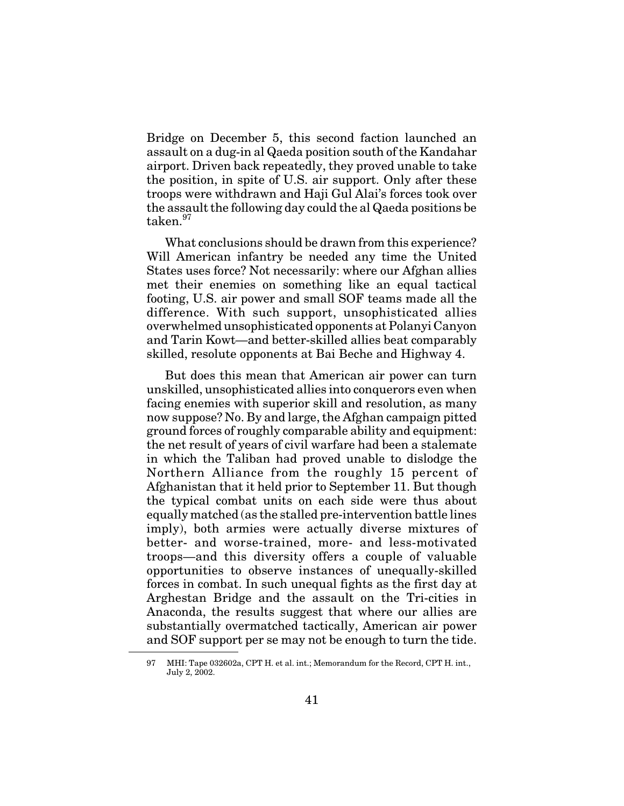Bridge on December 5, this second faction launched an assault on a dug-in al Qaeda position south of the Kandahar airport. Driven back repeatedly, they proved unable to take the position, in spite of U.S. air support. Only after these troops were withdrawn and Haji Gul Alai's forces took over the assault the following day could the al Qaeda positions be taken.<sup>97</sup>

What conclusions should be drawn from this experience? Will American infantry be needed any time the United States uses force? Not necessarily: where our Afghan allies met their enemies on something like an equal tactical footing, U.S. air power and small SOF teams made all the difference. With such support, unsophisticated allies overwhelmed unsophisticated opponents at Polanyi Canyon and Tarin Kowt—and better-skilled allies beat comparably skilled, resolute opponents at Bai Beche and Highway 4.

But does this mean that American air power can turn unskilled, unsophisticated allies into conquerors even when facing enemies with superior skill and resolution, as many now suppose? No. By and large, the Afghan campaign pitted ground forces of roughly comparable ability and equipment: the net result of years of civil warfare had been a stalemate in which the Taliban had proved unable to dislodge the Northern Alliance from the roughly 15 percent of Afghanistan that it held prior to September 11. But though the typical combat units on each side were thus about equally matched (as the stalled pre-intervention battle lines imply), both armies were actually diverse mixtures of better- and worse-trained, more- and less-motivated troops—and this diversity offers a couple of valuable opportunities to observe instances of unequally-skilled forces in combat. In such unequal fights as the first day at Arghestan Bridge and the assault on the Tri-cities in Anaconda, the results suggest that where our allies are substantially overmatched tactically, American air power and SOF support per se may not be enough to turn the tide.

<sup>97</sup> MHI: Tape 032602a, CPT H. et al. int.; Memorandum for the Record, CPT H. int., July 2, 2002.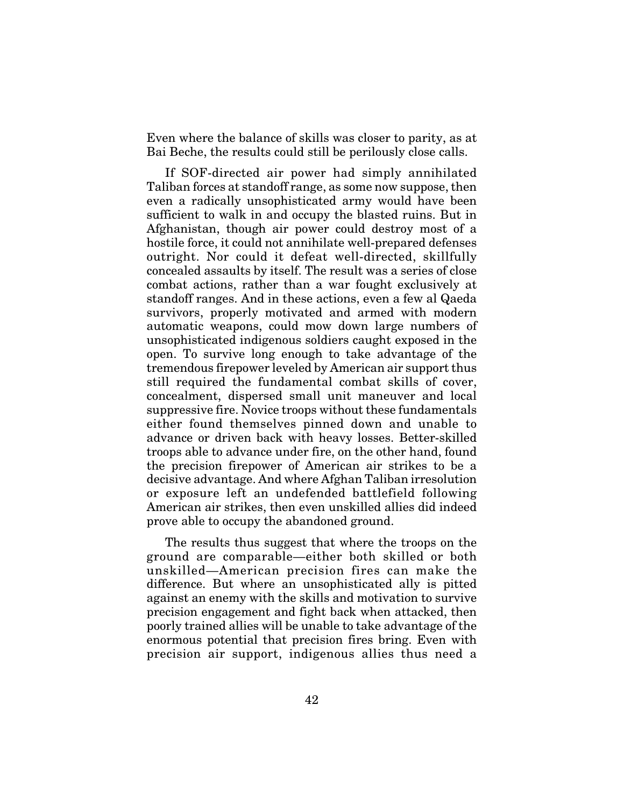Even where the balance of skills was closer to parity, as at Bai Beche, the results could still be perilously close calls.

If SOF-directed air power had simply annihilated Taliban forces at standoff range, as some now suppose, then even a radically unsophisticated army would have been sufficient to walk in and occupy the blasted ruins. But in Afghanistan, though air power could destroy most of a hostile force, it could not annihilate well-prepared defenses outright. Nor could it defeat well-directed, skillfully concealed assaults by itself. The result was a series of close combat actions, rather than a war fought exclusively at standoff ranges. And in these actions, even a few al Qaeda survivors, properly motivated and armed with modern automatic weapons, could mow down large numbers of unsophisticated indigenous soldiers caught exposed in the open. To survive long enough to take advantage of the tremendous firepower leveled by American air support thus still required the fundamental combat skills of cover, concealment, dispersed small unit maneuver and local suppressive fire. Novice troops without these fundamentals either found themselves pinned down and unable to advance or driven back with heavy losses. Better-skilled troops able to advance under fire, on the other hand, found the precision firepower of American air strikes to be a decisive advantage. And where Afghan Taliban irresolution or exposure left an undefended battlefield following American air strikes, then even unskilled allies did indeed prove able to occupy the abandoned ground.

The results thus suggest that where the troops on the ground are comparable—either both skilled or both unskilled—American precision fires can make the difference. But where an unsophisticated ally is pitted against an enemy with the skills and motivation to survive precision engagement and fight back when attacked, then poorly trained allies will be unable to take advantage of the enormous potential that precision fires bring. Even with precision air support, indigenous allies thus need a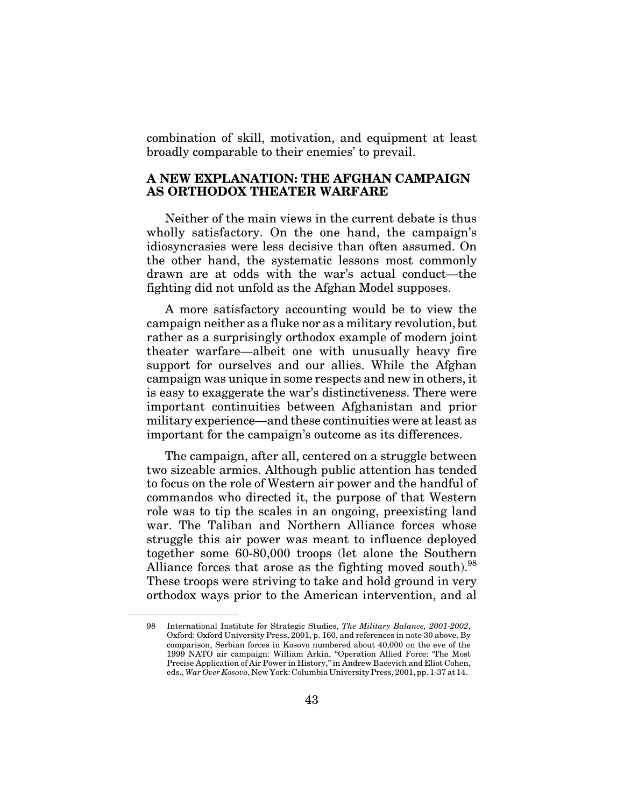combination of skill, motivation, and equipment at least broadly comparable to their enemies' to prevail.

### **A NEW EXPLANATION: THE AFGHAN CAMPAIGN AS ORTHODOX THEATER WARFARE**

Neither of the main views in the current debate is thus wholly satisfactory. On the one hand, the campaign's idiosyncrasies were less decisive than often assumed. On the other hand, the systematic lessons most commonly drawn are at odds with the war's actual conduct—the fighting did not unfold as the Afghan Model supposes.

A more satisfactory accounting would be to view the campaign neither as a fluke nor as a military revolution, but rather as a surprisingly orthodox example of modern joint theater warfare—albeit one with unusually heavy fire support for ourselves and our allies. While the Afghan campaign was unique in some respects and new in others, it is easy to exaggerate the war's distinctiveness. There were important continuities between Afghanistan and prior military experience—and these continuities were at least as important for the campaign's outcome as its differences.

The campaign, after all, centered on a struggle between two sizeable armies. Although public attention has tended to focus on the role of Western air power and the handful of commandos who directed it, the purpose of that Western role was to tip the scales in an ongoing, preexisting land war. The Taliban and Northern Alliance forces whose struggle this air power was meant to influence deployed together some 60-80,000 troops (let alone the Southern Alliance forces that arose as the fighting moved south). $98$ These troops were striving to take and hold ground in very orthodox ways prior to the American intervention, and al

<sup>98</sup> International Institute for Strategic Studies, *The Military Balance, 2001-2002*, Oxford: Oxford University Press, 2001, p. 160, and references in note 30 above. By comparison, Serbian forces in Kosovo numbered about 40,000 on the eve of the 1999 NATO air campaign: William Arkin, "Operation Allied Force: 'The Most Precise Application of Air Power in History," in Andrew Bacevich and Eliot Cohen, eds., *War Over Kosovo*, New York: Columbia University Press, 2001, pp. 1-37 at 14.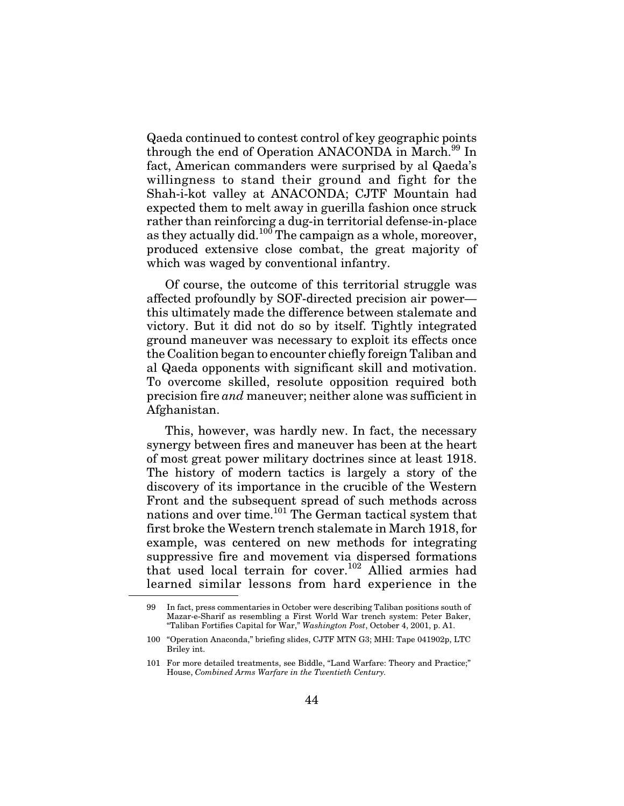Qaeda continued to contest control of key geographic points through the end of Operation ANACONDA in March.<sup>99</sup> In fact, American commanders were surprised by al Qaeda's willingness to stand their ground and fight for the Shah-i-kot valley at ANACONDA; CJTF Mountain had expected them to melt away in guerilla fashion once struck rather than reinforcing a dug-in territorial defense-in-place as they actually did.<sup>100</sup> The campaign as a whole, moreover, produced extensive close combat, the great majority of which was waged by conventional infantry.

Of course, the outcome of this territorial struggle was affected profoundly by SOF-directed precision air power this ultimately made the difference between stalemate and victory. But it did not do so by itself. Tightly integrated ground maneuver was necessary to exploit its effects once the Coalition began to encounter chiefly foreign Taliban and al Qaeda opponents with significant skill and motivation. To overcome skilled, resolute opposition required both precision fire *and* maneuver; neither alone was sufficient in Afghanistan.

This, however, was hardly new. In fact, the necessary synergy between fires and maneuver has been at the heart of most great power military doctrines since at least 1918. The history of modern tactics is largely a story of the discovery of its importance in the crucible of the Western Front and the subsequent spread of such methods across nations and over time.<sup>101</sup> The German tactical system that first broke the Western trench stalemate in March 1918, for example, was centered on new methods for integrating suppressive fire and movement via dispersed formations that used local terrain for cover.<sup>102</sup> Allied armies had learned similar lessons from hard experience in the

<sup>99</sup> In fact, press commentaries in October were describing Taliban positions south of Mazar-e-Sharif as resembling a First World War trench system: Peter Baker, "Taliban Fortifies Capital for War," *Washington Post*, October 4, 2001, p. A1.

<sup>100 &</sup>quot;Operation Anaconda," briefing slides, CJTF MTN G3; MHI: Tape 041902p, LTC Briley int.

<sup>101</sup> For more detailed treatments, see Biddle, "Land Warfare: Theory and Practice;" House, *Combined Arms Warfare in the Twentieth Century.*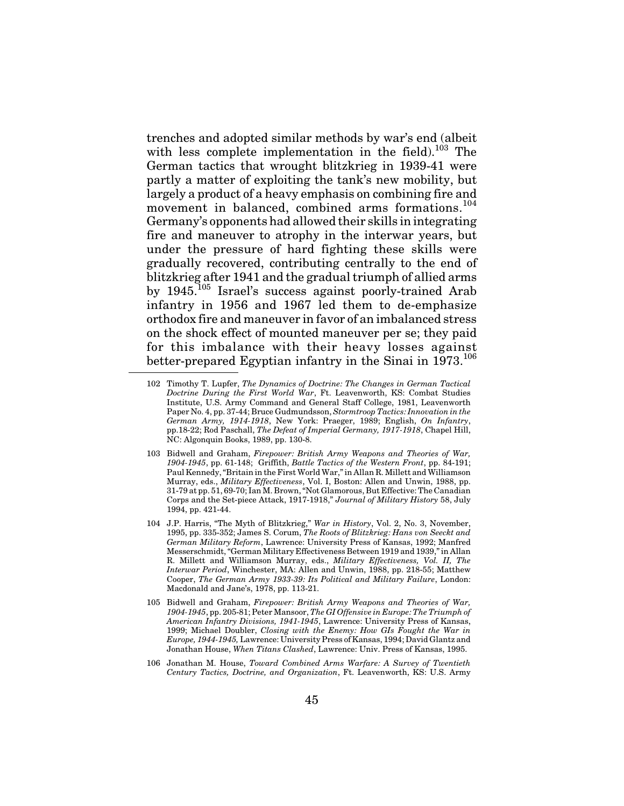trenches and adopted similar methods by war's end (albeit with less complete implementation in the field). $^{103}$  The German tactics that wrought blitzkrieg in 1939-41 were partly a matter of exploiting the tank's new mobility, but largely a product of a heavy emphasis on combining fire and movement in balanced, combined arms formations.<sup>104</sup> Germany's opponents had allowed their skills in integrating fire and maneuver to atrophy in the interwar years, but under the pressure of hard fighting these skills were gradually recovered, contributing centrally to the end of blitzkrieg after 1941 and the gradual triumph of allied arms by 1945.105 Israel's success against poorly-trained Arab infantry in 1956 and 1967 led them to de-emphasize orthodox fire and maneuver in favor of an imbalanced stress on the shock effect of mounted maneuver per se; they paid for this imbalance with their heavy losses against better-prepared Egyptian infantry in the Sinai in  $1973$ <sup>106</sup>

106 Jonathan M. House, *Toward Combined Arms Warfare: A Survey of Twentieth Century Tactics, Doctrine, and Organization*, Ft. Leavenworth, KS: U.S. Army

<sup>102</sup> Timothy T. Lupfer, *The Dynamics of Doctrine: The Changes in German Tactical Doctrine During the First World War*, Ft. Leavenworth, KS: Combat Studies Institute, U.S. Army Command and General Staff College, 1981, Leavenworth Paper No. 4, pp. 37-44; Bruce Gudmundsson, *Stormtroop Tactics: Innovation in the German Army, 1914-1918*, New York: Praeger, 1989; English, *On Infantry*, pp.18-22; Rod Paschall, *The Defeat of Imperial Germany, 1917-1918*, Chapel Hill, NC: Algonquin Books, 1989, pp. 130-8.

<sup>103</sup> Bidwell and Graham, *Firepower: British Army Weapons and Theories of War, 1904-1945*, pp. 61-148; Griffith, *Battle Tactics of the Western Front*, pp. 84-191; Paul Kennedy, "Britain in the First World War," in Allan R. Millett and Williamson Murray, eds., *Military Effectiveness*, Vol. I, Boston: Allen and Unwin, 1988, pp. 31-79 at pp. 51, 69-70; Ian M. Brown, "Not Glamorous, But Effective: The Canadian Corps and the Set-piece Attack, 1917-1918," *Journal of Military History* 58, July 1994, pp. 421-44.

<sup>104</sup> J.P. Harris, "The Myth of Blitzkrieg," *War in History*, Vol. 2, No. 3, November, 1995, pp. 335-352; James S. Corum, *The Roots of Blitzkrieg: Hans von Seeckt and German Military Reform*, Lawrence: University Press of Kansas, 1992; Manfred Messerschmidt, "German Military Effectiveness Between 1919 and 1939," in Allan R. Millett and Williamson Murray, eds., *Military Effectiveness, Vol. II, The Interwar Period*, Winchester, MA: Allen and Unwin, 1988, pp. 218-55; Matthew Cooper, *The German Army 1933-39: Its Political and Military Failure*, London: Macdonald and Jane's, 1978, pp. 113-21.

<sup>105</sup> Bidwell and Graham, *Firepower: British Army Weapons and Theories of War, 1904-1945*, pp. 205-81; Peter Mansoor, *The GI Offensive in Europe: The Triumph of American Infantry Divisions, 1941-1945*, Lawrence: University Press of Kansas, 1999; Michael Doubler, *Closing with the Enemy: How GIs Fought the War in Europe, 1944-1945,* Lawrence: University Press of Kansas, 1994; David Glantz and Jonathan House, *When Titans Clashed*, Lawrence: Univ. Press of Kansas, 1995.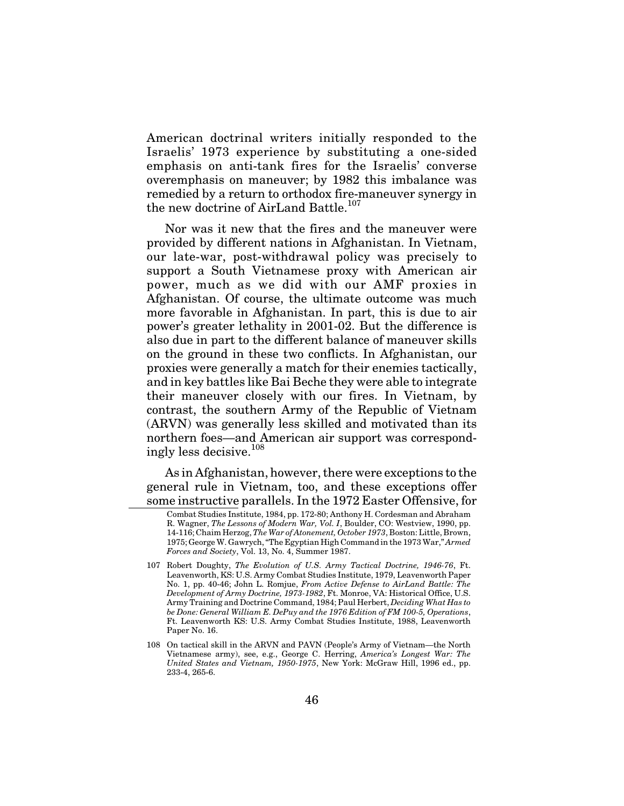American doctrinal writers initially responded to the Israelis' 1973 experience by substituting a one-sided emphasis on anti-tank fires for the Israelis' converse overemphasis on maneuver; by 1982 this imbalance was remedied by a return to orthodox fire-maneuver synergy in the new doctrine of AirLand Battle.<sup>107</sup>

Nor was it new that the fires and the maneuver were provided by different nations in Afghanistan. In Vietnam, our late-war, post-withdrawal policy was precisely to support a South Vietnamese proxy with American air power, much as we did with our AMF proxies in Afghanistan. Of course, the ultimate outcome was much more favorable in Afghanistan. In part, this is due to air power's greater lethality in 2001-02. But the difference is also due in part to the different balance of maneuver skills on the ground in these two conflicts. In Afghanistan, our proxies were generally a match for their enemies tactically, and in key battles like Bai Beche they were able to integrate their maneuver closely with our fires. In Vietnam, by contrast, the southern Army of the Republic of Vietnam (ARVN) was generally less skilled and motivated than its northern foes—and American air support was correspondingly less decisive.<sup>108</sup>

As in Afghanistan, however, there were exceptions to the general rule in Vietnam, too, and these exceptions offer some instructive parallels. In the 1972 Easter Offensive, for

Combat Studies Institute, 1984, pp. 172-80; Anthony H. Cordesman and Abraham R. Wagner, *The Lessons of Modern War, Vol. I*, Boulder, CO: Westview, 1990, pp. 14-116; Chaim Herzog,*The War of Atonement, October 1973*, Boston: Little, Brown, 1975; George W. Gawrych, "The Egyptian High Command in the 1973 War," *Armed Forces and Society*, Vol. 13, No. 4, Summer 1987.

<sup>107</sup> Robert Doughty, *The Evolution of U.S. Army Tactical Doctrine, 1946-76*, Ft. Leavenworth, KS: U.S. Army Combat Studies Institute, 1979, Leavenworth Paper No. 1, pp. 40-46; John L. Romjue, *From Active Defense to AirLand Battle: The Development of Army Doctrine, 1973-1982*, Ft. Monroe, VA: Historical Office, U.S. Army Training and Doctrine Command, 1984; Paul Herbert, *Deciding What Has to be Done: General William E. DePuy and the 1976 Edition of FM 100-5, Operations*, Ft. Leavenworth KS: U.S. Army Combat Studies Institute, 1988, Leavenworth Paper No. 16.

<sup>108</sup> On tactical skill in the ARVN and PAVN (People's Army of Vietnam—the North Vietnamese army), see, e.g., George C. Herring, *America's Longest War: The United States and Vietnam, 1950-1975*, New York: McGraw Hill, 1996 ed., pp. 233-4, 265-6.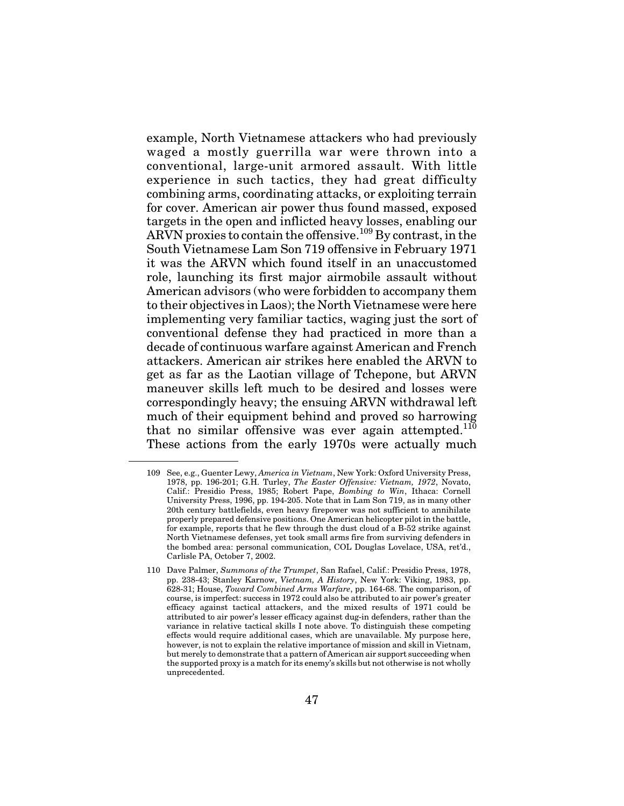example, North Vietnamese attackers who had previously waged a mostly guerrilla war were thrown into a conventional, large-unit armored assault. With little experience in such tactics, they had great difficulty combining arms, coordinating attacks, or exploiting terrain for cover. American air power thus found massed, exposed targets in the open and inflicted heavy losses, enabling our ARVN proxies to contain the offensive.  $^{109}$  By contrast, in the South Vietnamese Lam Son 719 offensive in February 1971 it was the ARVN which found itself in an unaccustomed role, launching its first major airmobile assault without American advisors (who were forbidden to accompany them to their objectives in Laos); the North Vietnamese were here implementing very familiar tactics, waging just the sort of conventional defense they had practiced in more than a decade of continuous warfare against American and French attackers. American air strikes here enabled the ARVN to get as far as the Laotian village of Tchepone, but ARVN maneuver skills left much to be desired and losses were correspondingly heavy; the ensuing ARVN withdrawal left much of their equipment behind and proved so harrowing that no similar offensive was ever again attempted.<sup>110</sup> These actions from the early 1970s were actually much

<sup>109</sup> See, e.g., Guenter Lewy, *America in Vietnam*, New York: Oxford University Press, 1978, pp. 196-201; G.H. Turley, *The Easter Offensive: Vietnam, 1972*, Novato, Calif.: Presidio Press, 1985; Robert Pape, *Bombing to Win*, Ithaca: Cornell University Press, 1996, pp. 194-205. Note that in Lam Son 719, as in many other 20th century battlefields, even heavy firepower was not sufficient to annihilate properly prepared defensive positions. One American helicopter pilot in the battle, for example, reports that he flew through the dust cloud of a B-52 strike against North Vietnamese defenses, yet took small arms fire from surviving defenders in the bombed area: personal communication, COL Douglas Lovelace, USA, ret'd., Carlisle PA, October 7, 2002.

<sup>110</sup> Dave Palmer, *Summons of the Trumpet*, San Rafael, Calif.: Presidio Press, 1978, pp. 238-43; Stanley Karnow, *Vietnam, A History*, New York: Viking, 1983, pp. 628-31; House, *Toward Combined Arms Warfare*, pp. 164-68. The comparison, of course, is imperfect: success in 1972 could also be attributed to air power's greater efficacy against tactical attackers, and the mixed results of 1971 could be attributed to air power's lesser efficacy against dug-in defenders, rather than the variance in relative tactical skills I note above. To distinguish these competing effects would require additional cases, which are unavailable. My purpose here, however, is not to explain the relative importance of mission and skill in Vietnam, but merely to demonstrate that a pattern of American air support succeeding when the supported proxy is a match for its enemy's skills but not otherwise is not wholly unprecedented.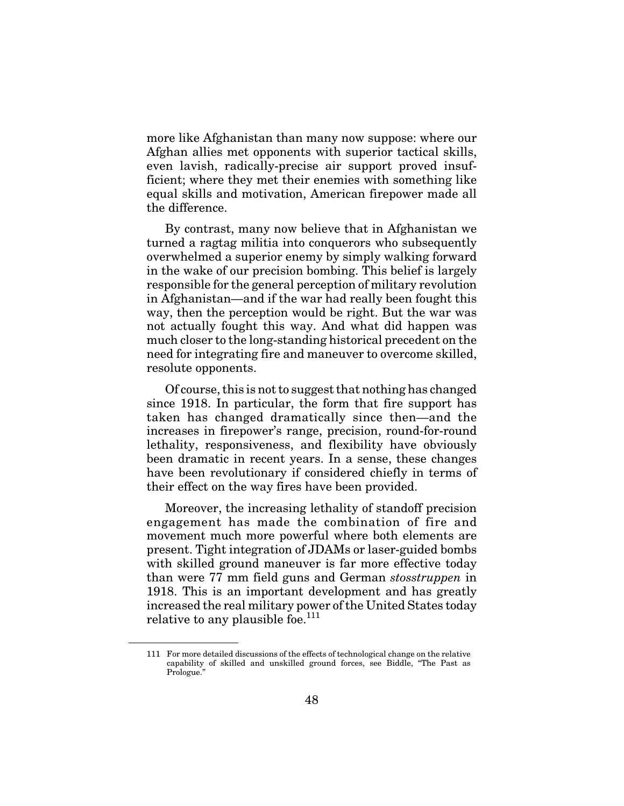more like Afghanistan than many now suppose: where our Afghan allies met opponents with superior tactical skills, even lavish, radically-precise air support proved insufficient; where they met their enemies with something like equal skills and motivation, American firepower made all the difference.

By contrast, many now believe that in Afghanistan we turned a ragtag militia into conquerors who subsequently overwhelmed a superior enemy by simply walking forward in the wake of our precision bombing. This belief is largely responsible for the general perception of military revolution in Afghanistan—and if the war had really been fought this way, then the perception would be right. But the war was not actually fought this way. And what did happen was much closer to the long-standing historical precedent on the need for integrating fire and maneuver to overcome skilled, resolute opponents.

Of course, this is not to suggest that nothing has changed since 1918. In particular, the form that fire support has taken has changed dramatically since then—and the increases in firepower's range, precision, round-for-round lethality, responsiveness, and flexibility have obviously been dramatic in recent years. In a sense, these changes have been revolutionary if considered chiefly in terms of their effect on the way fires have been provided.

Moreover, the increasing lethality of standoff precision engagement has made the combination of fire and movement much more powerful where both elements are present. Tight integration of JDAMs or laser-guided bombs with skilled ground maneuver is far more effective today than were 77 mm field guns and German *stosstruppen* in 1918. This is an important development and has greatly increased the real military power of the United States today relative to any plausible foe.<sup>111</sup>

<sup>111</sup> For more detailed discussions of the effects of technological change on the relative capability of skilled and unskilled ground forces, see Biddle, "The Past as Prologue."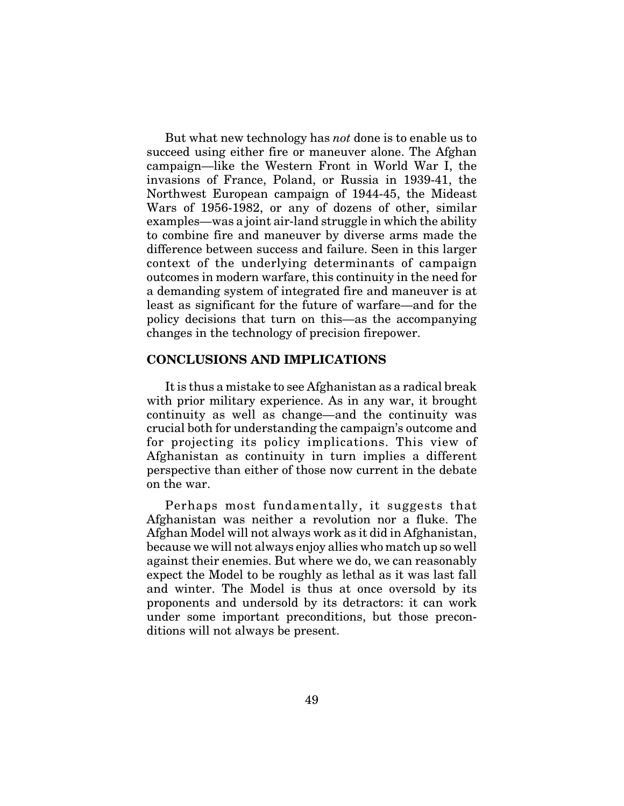But what new technology has *not* done is to enable us to succeed using either fire or maneuver alone. The Afghan campaign—like the Western Front in World War I, the invasions of France, Poland, or Russia in 1939-41, the Northwest European campaign of 1944-45, the Mideast Wars of 1956-1982, or any of dozens of other, similar examples—was a joint air-land struggle in which the ability to combine fire and maneuver by diverse arms made the difference between success and failure. Seen in this larger context of the underlying determinants of campaign outcomes in modern warfare, this continuity in the need for a demanding system of integrated fire and maneuver is at least as significant for the future of warfare—and for the policy decisions that turn on this—as the accompanying changes in the technology of precision firepower.

### **CONCLUSIONS AND IMPLICATIONS**

It is thus a mistake to see Afghanistan as a radical break with prior military experience. As in any war, it brought continuity as well as change—and the continuity was crucial both for understanding the campaign's outcome and for projecting its policy implications. This view of Afghanistan as continuity in turn implies a different perspective than either of those now current in the debate on the war.

Perhaps most fundamentally, it suggests that Afghanistan was neither a revolution nor a fluke. The Afghan Model will not always work as it did in Afghanistan, because we will not always enjoy allies who match up so well against their enemies. But where we do, we can reasonably expect the Model to be roughly as lethal as it was last fall and winter. The Model is thus at once oversold by its proponents and undersold by its detractors: it can work under some important preconditions, but those preconditions will not always be present.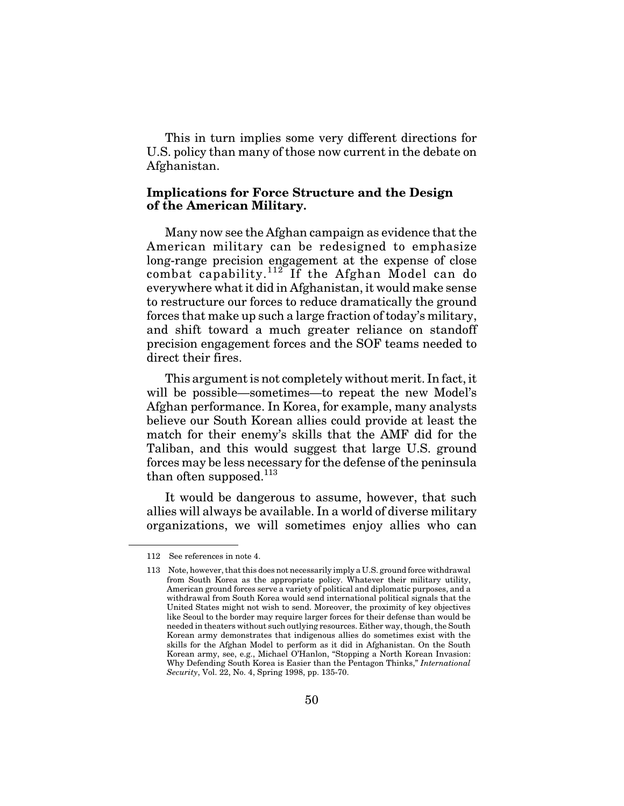This in turn implies some very different directions for U.S. policy than many of those now current in the debate on Afghanistan.

### **Implications for Force Structure and the Design of the American Military.**

Many now see the Afghan campaign as evidence that the American military can be redesigned to emphasize long-range precision engagement at the expense of close combat capability.<sup>112</sup> If the Afghan Model can do everywhere what it did in Afghanistan, it would make sense to restructure our forces to reduce dramatically the ground forces that make up such a large fraction of today's military, and shift toward a much greater reliance on standoff precision engagement forces and the SOF teams needed to direct their fires.

This argument is not completely without merit. In fact, it will be possible—sometimes—to repeat the new Model's Afghan performance. In Korea, for example, many analysts believe our South Korean allies could provide at least the match for their enemy's skills that the AMF did for the Taliban, and this would suggest that large U.S. ground forces may be less necessary for the defense of the peninsula than often supposed.<sup>113</sup>

It would be dangerous to assume, however, that such allies will always be available. In a world of diverse military organizations, we will sometimes enjoy allies who can

<sup>112</sup> See references in note 4.

<sup>113</sup> Note, however, that this does not necessarily imply a U.S. ground force withdrawal from South Korea as the appropriate policy. Whatever their military utility, American ground forces serve a variety of political and diplomatic purposes, and a withdrawal from South Korea would send international political signals that the United States might not wish to send. Moreover, the proximity of key objectives like Seoul to the border may require larger forces for their defense than would be needed in theaters without such outlying resources. Either way, though, the South Korean army demonstrates that indigenous allies do sometimes exist with the skills for the Afghan Model to perform as it did in Afghanistan. On the South Korean army, see, e.g., Michael O'Hanlon, "Stopping a North Korean Invasion: Why Defending South Korea is Easier than the Pentagon Thinks," *International Security*, Vol. 22, No. 4, Spring 1998, pp. 135-70.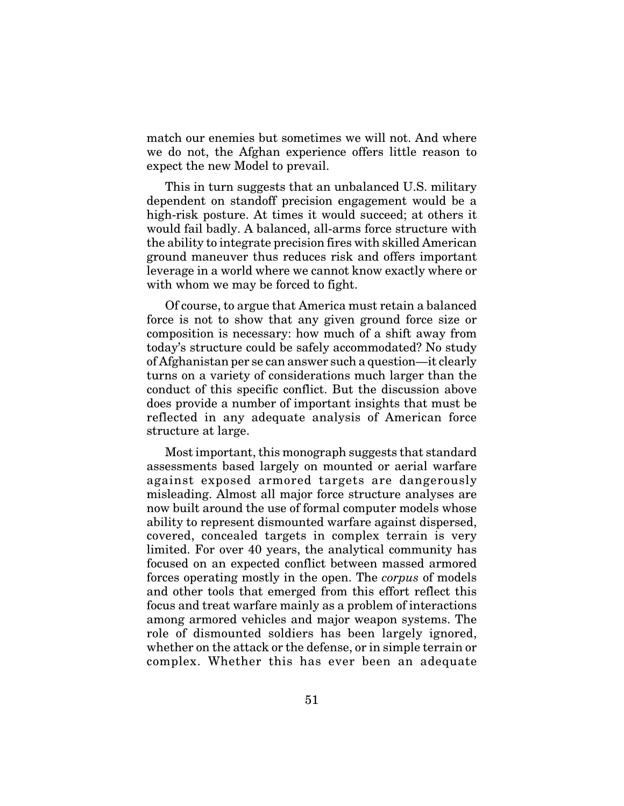match our enemies but sometimes we will not. And where we do not, the Afghan experience offers little reason to expect the new Model to prevail.

This in turn suggests that an unbalanced U.S. military dependent on standoff precision engagement would be a high-risk posture. At times it would succeed; at others it would fail badly. A balanced, all-arms force structure with the ability to integrate precision fires with skilled American ground maneuver thus reduces risk and offers important leverage in a world where we cannot know exactly where or with whom we may be forced to fight.

Of course, to argue that America must retain a balanced force is not to show that any given ground force size or composition is necessary: how much of a shift away from today's structure could be safely accommodated? No study of Afghanistan per se can answer such a question—it clearly turns on a variety of considerations much larger than the conduct of this specific conflict. But the discussion above does provide a number of important insights that must be reflected in any adequate analysis of American force structure at large.

Most important, this monograph suggests that standard assessments based largely on mounted or aerial warfare against exposed armored targets are dangerously misleading. Almost all major force structure analyses are now built around the use of formal computer models whose ability to represent dismounted warfare against dispersed, covered, concealed targets in complex terrain is very limited. For over 40 years, the analytical community has focused on an expected conflict between massed armored forces operating mostly in the open. The *corpus* of models and other tools that emerged from this effort reflect this focus and treat warfare mainly as a problem of interactions among armored vehicles and major weapon systems. The role of dismounted soldiers has been largely ignored, whether on the attack or the defense, or in simple terrain or complex. Whether this has ever been an adequate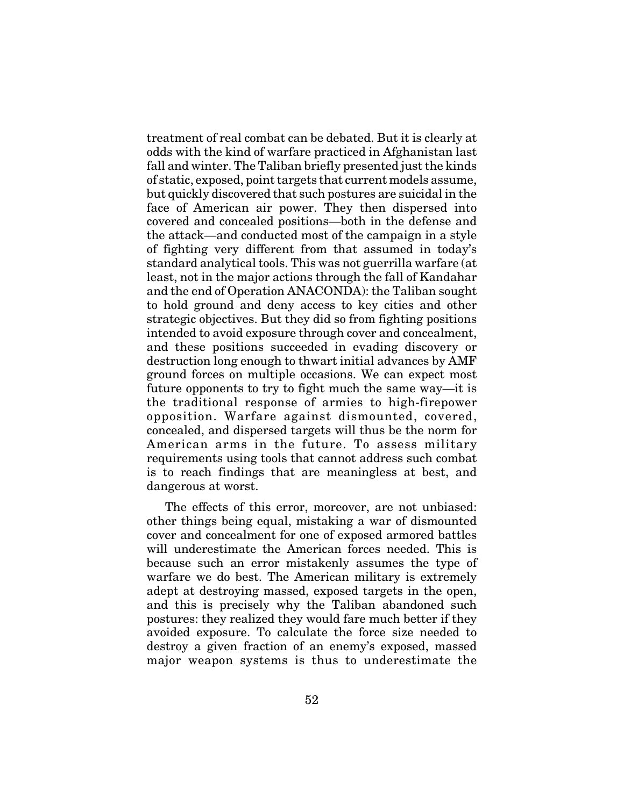treatment of real combat can be debated. But it is clearly at odds with the kind of warfare practiced in Afghanistan last fall and winter. The Taliban briefly presented just the kinds of static, exposed, point targets that current models assume, but quickly discovered that such postures are suicidal in the face of American air power. They then dispersed into covered and concealed positions—both in the defense and the attack—and conducted most of the campaign in a style of fighting very different from that assumed in today's standard analytical tools. This was not guerrilla warfare (at least, not in the major actions through the fall of Kandahar and the end of Operation ANACONDA): the Taliban sought to hold ground and deny access to key cities and other strategic objectives. But they did so from fighting positions intended to avoid exposure through cover and concealment, and these positions succeeded in evading discovery or destruction long enough to thwart initial advances by AMF ground forces on multiple occasions. We can expect most future opponents to try to fight much the same way—it is the traditional response of armies to high-firepower opposition. Warfare against dismounted, covered, concealed, and dispersed targets will thus be the norm for American arms in the future. To assess military requirements using tools that cannot address such combat is to reach findings that are meaningless at best, and dangerous at worst.

The effects of this error, moreover, are not unbiased: other things being equal, mistaking a war of dismounted cover and concealment for one of exposed armored battles will underestimate the American forces needed. This is because such an error mistakenly assumes the type of warfare we do best. The American military is extremely adept at destroying massed, exposed targets in the open, and this is precisely why the Taliban abandoned such postures: they realized they would fare much better if they avoided exposure. To calculate the force size needed to destroy a given fraction of an enemy's exposed, massed major weapon systems is thus to underestimate the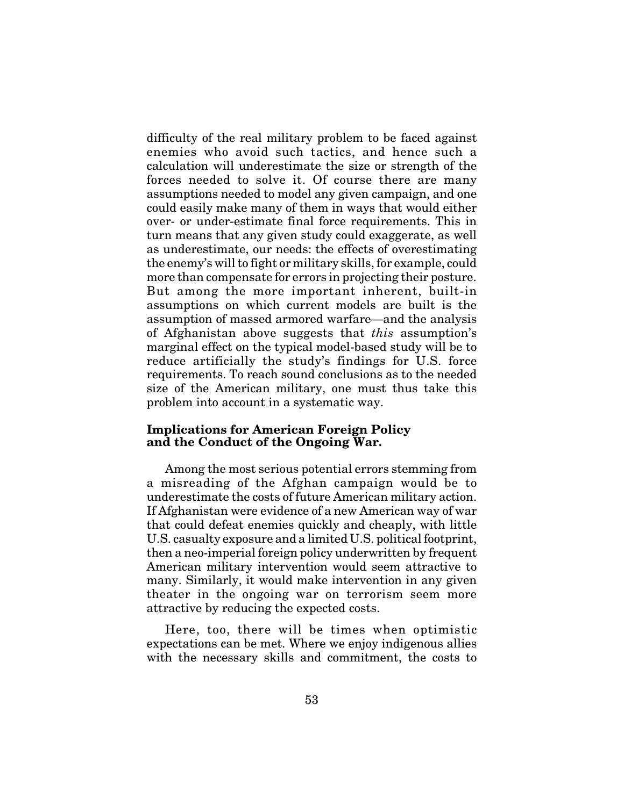difficulty of the real military problem to be faced against enemies who avoid such tactics, and hence such a calculation will underestimate the size or strength of the forces needed to solve it. Of course there are many assumptions needed to model any given campaign, and one could easily make many of them in ways that would either over- or under-estimate final force requirements. This in turn means that any given study could exaggerate, as well as underestimate, our needs: the effects of overestimating the enemy's will to fight or military skills, for example, could more than compensate for errors in projecting their posture. But among the more important inherent, built-in assumptions on which current models are built is the assumption of massed armored warfare—and the analysis of Afghanistan above suggests that *this* assumption's marginal effect on the typical model-based study will be to reduce artificially the study's findings for U.S. force requirements. To reach sound conclusions as to the needed size of the American military, one must thus take this problem into account in a systematic way.

### **Implications for American Foreign Policy and the Conduct of the Ongoing War.**

Among the most serious potential errors stemming from a misreading of the Afghan campaign would be to underestimate the costs of future American military action. If Afghanistan were evidence of a new American way of war that could defeat enemies quickly and cheaply, with little U.S. casualty exposure and a limited U.S. political footprint, then a neo-imperial foreign policy underwritten by frequent American military intervention would seem attractive to many. Similarly, it would make intervention in any given theater in the ongoing war on terrorism seem more attractive by reducing the expected costs.

Here, too, there will be times when optimistic expectations can be met. Where we enjoy indigenous allies with the necessary skills and commitment, the costs to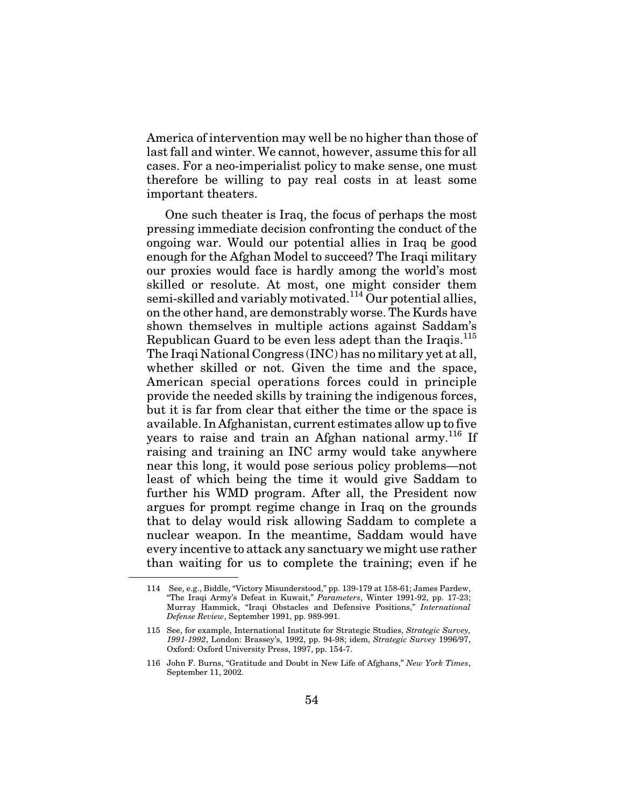America of intervention may well be no higher than those of last fall and winter. We cannot, however, assume this for all cases. For a neo-imperialist policy to make sense, one must therefore be willing to pay real costs in at least some important theaters.

One such theater is Iraq, the focus of perhaps the most pressing immediate decision confronting the conduct of the ongoing war. Would our potential allies in Iraq be good enough for the Afghan Model to succeed? The Iraqi military our proxies would face is hardly among the world's most skilled or resolute. At most, one might consider them semi-skilled and variably motivated.<sup>114</sup> Our potential allies, on the other hand, are demonstrably worse. The Kurds have shown themselves in multiple actions against Saddam's Republican Guard to be even less adept than the Iraqis.115 The Iraqi National Congress (INC) has no military yet at all, whether skilled or not. Given the time and the space, American special operations forces could in principle provide the needed skills by training the indigenous forces, but it is far from clear that either the time or the space is available. In Afghanistan, current estimates allow up to five years to raise and train an Afghan national army.<sup>116</sup> If raising and training an INC army would take anywhere near this long, it would pose serious policy problems—not least of which being the time it would give Saddam to further his WMD program. After all, the President now argues for prompt regime change in Iraq on the grounds that to delay would risk allowing Saddam to complete a nuclear weapon. In the meantime, Saddam would have every incentive to attack any sanctuary we might use rather than waiting for us to complete the training; even if he

<sup>114</sup> See, e.g., Biddle, "Victory Misunderstood," pp. 139-179 at 158-61; James Pardew, "The Iraqi Army's Defeat in Kuwait," *Parameters*, Winter 1991-92, pp. 17-23; Murray Hammick, "Iraqi Obstacles and Defensive Positions," *International Defense Review*, September 1991, pp. 989-991.

<sup>115</sup> See, for example, International Institute for Strategic Studies, *Strategic Survey, 1991-1992*, London: Brassey's, 1992, pp. 94-98; idem, *Strategic Survey* 1996/97, Oxford: Oxford University Press, 1997, pp. 154-7.

<sup>116</sup> John F. Burns, "Gratitude and Doubt in New Life of Afghans," *New York Times*, September 11, 2002.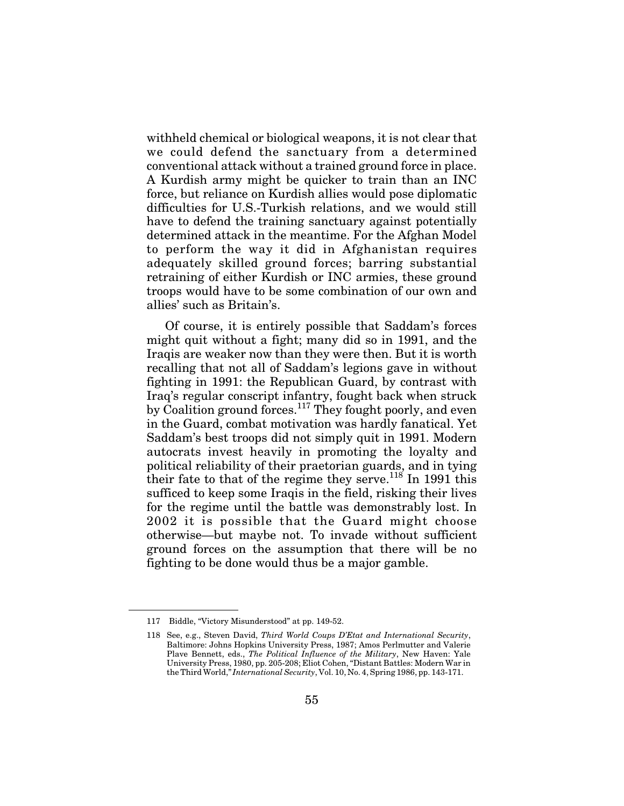withheld chemical or biological weapons, it is not clear that we could defend the sanctuary from a determined conventional attack without a trained ground force in place. A Kurdish army might be quicker to train than an INC force, but reliance on Kurdish allies would pose diplomatic difficulties for U.S.-Turkish relations, and we would still have to defend the training sanctuary against potentially determined attack in the meantime. For the Afghan Model to perform the way it did in Afghanistan requires adequately skilled ground forces; barring substantial retraining of either Kurdish or INC armies, these ground troops would have to be some combination of our own and allies' such as Britain's.

Of course, it is entirely possible that Saddam's forces might quit without a fight; many did so in 1991, and the Iraqis are weaker now than they were then. But it is worth recalling that not all of Saddam's legions gave in without fighting in 1991: the Republican Guard, by contrast with Iraq's regular conscript infantry, fought back when struck by Coalition ground forces.117 They fought poorly, and even in the Guard, combat motivation was hardly fanatical. Yet Saddam's best troops did not simply quit in 1991. Modern autocrats invest heavily in promoting the loyalty and political reliability of their praetorian guards, and in tying their fate to that of the regime they serve.<sup>118</sup> In 1991 this sufficed to keep some Iraqis in the field, risking their lives for the regime until the battle was demonstrably lost. In 2002 it is possible that the Guard might choose otherwise—but maybe not. To invade without sufficient ground forces on the assumption that there will be no fighting to be done would thus be a major gamble.

<sup>117</sup> Biddle, "Victory Misunderstood" at pp. 149-52.

<sup>118</sup> See, e.g., Steven David, *Third World Coups D'Etat and International Security*, Baltimore: Johns Hopkins University Press, 1987; Amos Perlmutter and Valerie Plave Bennett, eds., *The Political Influence of the Military*, New Haven: Yale University Press, 1980, pp. 205-208; Eliot Cohen, "Distant Battles: Modern War in the Third World," *International Security*, Vol. 10, No. 4, Spring 1986, pp. 143-171.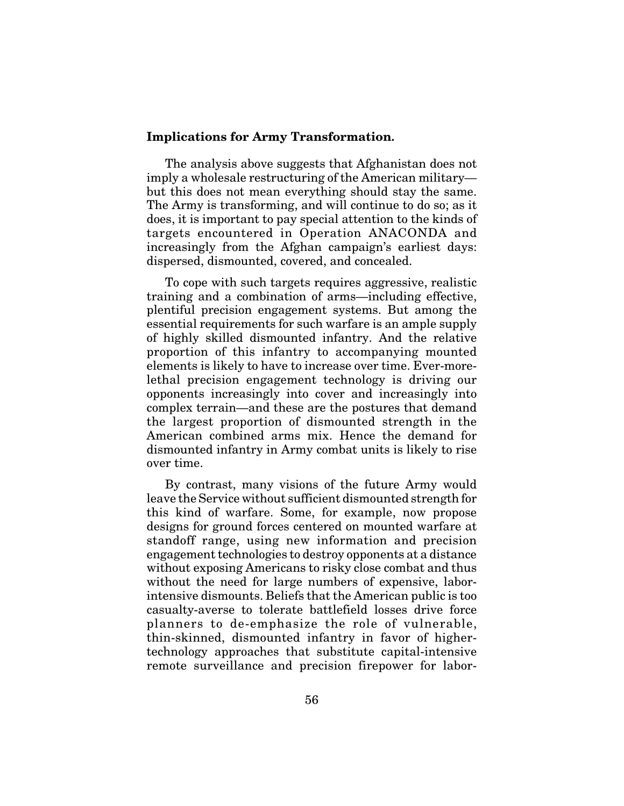#### **Implications for Army Transformation.**

The analysis above suggests that Afghanistan does not imply a wholesale restructuring of the American military but this does not mean everything should stay the same. The Army is transforming, and will continue to do so; as it does, it is important to pay special attention to the kinds of targets encountered in Operation ANACONDA and increasingly from the Afghan campaign's earliest days: dispersed, dismounted, covered, and concealed.

To cope with such targets requires aggressive, realistic training and a combination of arms—including effective, plentiful precision engagement systems. But among the essential requirements for such warfare is an ample supply of highly skilled dismounted infantry. And the relative proportion of this infantry to accompanying mounted elements is likely to have to increase over time. Ever-morelethal precision engagement technology is driving our opponents increasingly into cover and increasingly into complex terrain—and these are the postures that demand the largest proportion of dismounted strength in the American combined arms mix. Hence the demand for dismounted infantry in Army combat units is likely to rise over time.

By contrast, many visions of the future Army would leave the Service without sufficient dismounted strength for this kind of warfare. Some, for example, now propose designs for ground forces centered on mounted warfare at standoff range, using new information and precision engagement technologies to destroy opponents at a distance without exposing Americans to risky close combat and thus without the need for large numbers of expensive, laborintensive dismounts. Beliefs that the American public is too casualty-averse to tolerate battlefield losses drive force planners to de-emphasize the role of vulnerable, thin-skinned, dismounted infantry in favor of highertechnology approaches that substitute capital-intensive remote surveillance and precision firepower for labor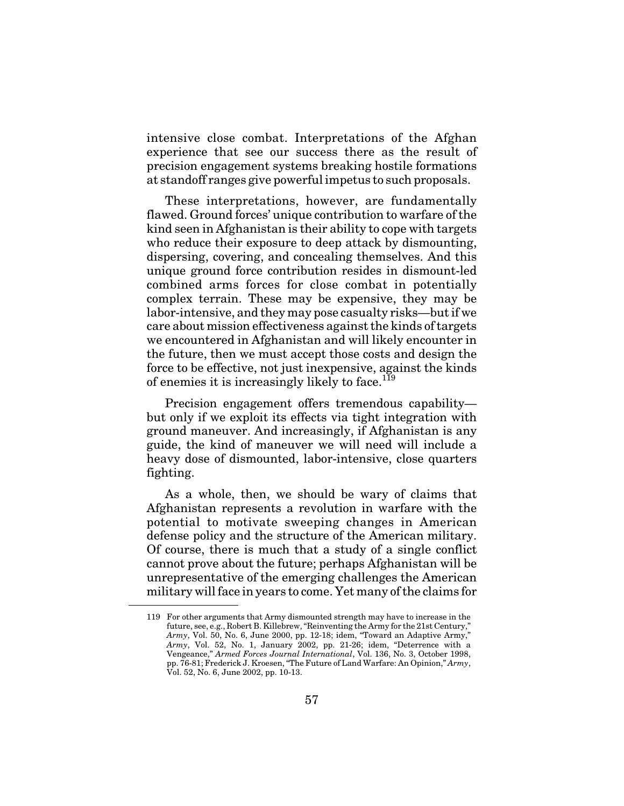intensive close combat. Interpretations of the Afghan experience that see our success there as the result of precision engagement systems breaking hostile formations at standoff ranges give powerful impetus to such proposals.

These interpretations, however, are fundamentally flawed. Ground forces' unique contribution to warfare of the kind seen in Afghanistan is their ability to cope with targets who reduce their exposure to deep attack by dismounting, dispersing, covering, and concealing themselves. And this unique ground force contribution resides in dismount-led combined arms forces for close combat in potentially complex terrain. These may be expensive, they may be labor-intensive, and they may pose casualty risks—but if we care about mission effectiveness against the kinds of targets we encountered in Afghanistan and will likely encounter in the future, then we must accept those costs and design the force to be effective, not just inexpensive, against the kinds of enemies it is increasingly likely to face.<sup>119</sup>

Precision engagement offers tremendous capability but only if we exploit its effects via tight integration with ground maneuver. And increasingly, if Afghanistan is any guide, the kind of maneuver we will need will include a heavy dose of dismounted, labor-intensive, close quarters fighting.

As a whole, then, we should be wary of claims that Afghanistan represents a revolution in warfare with the potential to motivate sweeping changes in American defense policy and the structure of the American military. Of course, there is much that a study of a single conflict cannot prove about the future; perhaps Afghanistan will be unrepresentative of the emerging challenges the American military will face in years to come. Yet many of the claims for

<sup>119</sup> For other arguments that Army dismounted strength may have to increase in the future, see, e.g., Robert B. Killebrew, "Reinventing the Army for the 21st Century," *Army*, Vol. 50, No. 6, June 2000, pp. 12-18; idem, "Toward an Adaptive Army," *Army*, Vol. 52, No. 1, January 2002, pp. 21-26; idem, "Deterrence with a Vengeance," *Armed Forces Journal International*, Vol. 136, No. 3, October 1998, pp. 76-81; Frederick J. Kroesen, "The Future of Land Warfare: An Opinion," *Army*, Vol. 52, No. 6, June 2002, pp. 10-13.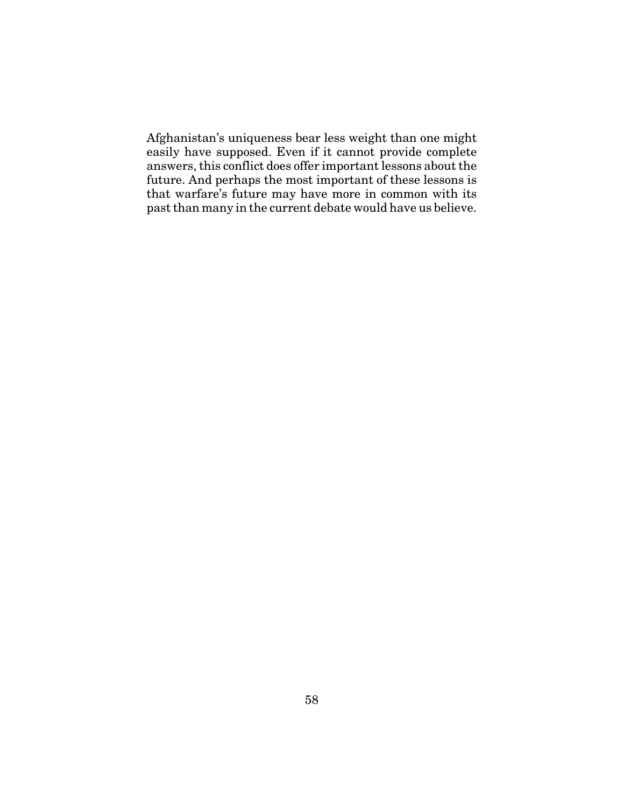Afghanistan's uniqueness bear less weight than one might easily have supposed. Even if it cannot provide complete answers, this conflict does offer important lessons about the future. And perhaps the most important of these lessons is that warfare's future may have more in common with its past than many in the current debate would have us believe.